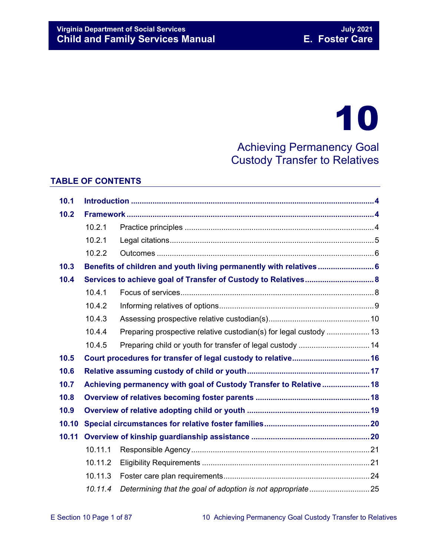# 10

Achieving Permanency Goal Custody Transfer to Relatives

# **TABLE OF CONTENTS**

| 10.1  |         |                                                                    |  |  |
|-------|---------|--------------------------------------------------------------------|--|--|
| 10.2  |         |                                                                    |  |  |
|       | 10.2.1  |                                                                    |  |  |
|       | 10.2.1  |                                                                    |  |  |
|       | 10.2.2  |                                                                    |  |  |
| 10.3  |         | Benefits of children and youth living permanently with relatives 6 |  |  |
| 10.4  |         |                                                                    |  |  |
|       | 10.4.1  |                                                                    |  |  |
|       | 10.4.2  |                                                                    |  |  |
|       | 10.4.3  |                                                                    |  |  |
|       | 10.4.4  |                                                                    |  |  |
|       | 10.4.5  |                                                                    |  |  |
| 10.5  |         |                                                                    |  |  |
| 10.6  |         |                                                                    |  |  |
| 10.7  |         | Achieving permanency with goal of Custody Transfer to Relative  18 |  |  |
| 10.8  |         |                                                                    |  |  |
| 10.9  |         |                                                                    |  |  |
| 10.10 |         |                                                                    |  |  |
| 10.11 |         |                                                                    |  |  |
|       | 10.11.1 |                                                                    |  |  |
|       | 10.11.2 |                                                                    |  |  |
|       | 10.11.3 |                                                                    |  |  |
|       | 10.11.4 |                                                                    |  |  |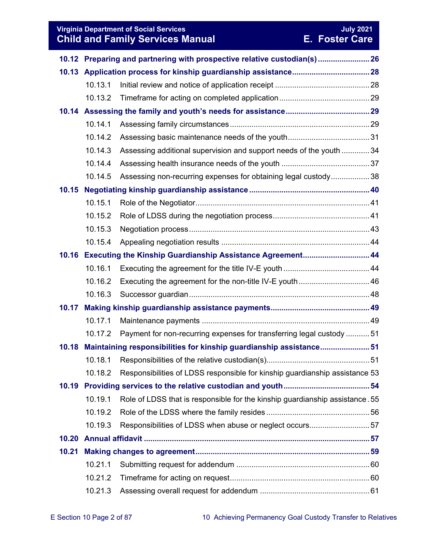# **Virginia Department of Social Services**<br> **Child and Family Services Manual Child and Family Services Manual E. Foster Care Child and Family Services Manual**

|       |         | 10.12 Preparing and partnering with prospective relative custodian(s)  26    |  |  |
|-------|---------|------------------------------------------------------------------------------|--|--|
|       |         |                                                                              |  |  |
|       | 10.13.1 |                                                                              |  |  |
|       | 10.13.2 |                                                                              |  |  |
|       |         |                                                                              |  |  |
|       | 10.14.1 |                                                                              |  |  |
|       | 10.14.2 |                                                                              |  |  |
|       | 10.14.3 | Assessing additional supervision and support needs of the youth  34          |  |  |
|       | 10.14.4 |                                                                              |  |  |
|       | 10.14.5 | Assessing non-recurring expenses for obtaining legal custody38               |  |  |
| 10.15 |         |                                                                              |  |  |
|       | 10.15.1 |                                                                              |  |  |
|       | 10.15.2 |                                                                              |  |  |
|       | 10.15.3 |                                                                              |  |  |
|       | 10.15.4 |                                                                              |  |  |
|       |         | 10.16 Executing the Kinship Guardianship Assistance Agreement 44             |  |  |
|       | 10.16.1 |                                                                              |  |  |
|       | 10.16.2 |                                                                              |  |  |
|       | 10.16.3 |                                                                              |  |  |
| 10.17 |         |                                                                              |  |  |
|       | 10.17.1 |                                                                              |  |  |
|       | 10.17.2 | Payment for non-recurring expenses for transferring legal custody 51         |  |  |
| 10.18 |         | Maintaining responsibilities for kinship guardianship assistance51           |  |  |
|       | 10.18.1 |                                                                              |  |  |
|       | 10.18.2 | Responsibilities of LDSS responsible for kinship guardianship assistance 53  |  |  |
| 10.19 |         |                                                                              |  |  |
|       | 10.19.1 | Role of LDSS that is responsible for the kinship guardianship assistance. 55 |  |  |
|       | 10.19.2 |                                                                              |  |  |
|       | 10.19.3 | Responsibilities of LDSS when abuse or neglect occurs57                      |  |  |
| 10.20 |         |                                                                              |  |  |
| 10.21 |         |                                                                              |  |  |
|       | 10.21.1 |                                                                              |  |  |
|       | 10.21.2 |                                                                              |  |  |
|       | 10.21.3 |                                                                              |  |  |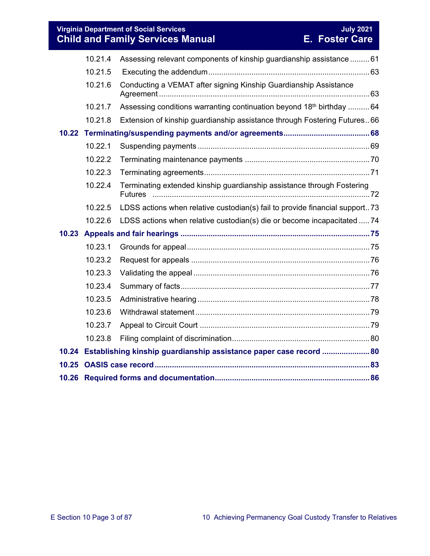**Virginia Department of Social Services July 2021 Child and Family Services Manual E. Foster Care**

|       | 10.21.4 | Assessing relevant components of kinship guardianship assistance  61             |  |
|-------|---------|----------------------------------------------------------------------------------|--|
|       | 10.21.5 |                                                                                  |  |
|       | 10.21.6 | Conducting a VEMAT after signing Kinship Guardianship Assistance                 |  |
|       | 10.21.7 | Assessing conditions warranting continuation beyond 18 <sup>th</sup> birthday 64 |  |
|       | 10.21.8 | Extension of kinship guardianship assistance through Fostering Futures 66        |  |
|       |         |                                                                                  |  |
|       | 10.22.1 |                                                                                  |  |
|       | 10.22.2 |                                                                                  |  |
|       | 10.22.3 |                                                                                  |  |
|       | 10.22.4 | Terminating extended kinship guardianship assistance through Fostering           |  |
|       | 10.22.5 | LDSS actions when relative custodian(s) fail to provide financial support73      |  |
|       | 10.22.6 | LDSS actions when relative custodian(s) die or become incapacitated  74          |  |
|       |         |                                                                                  |  |
|       | 10.23.1 |                                                                                  |  |
|       | 10.23.2 |                                                                                  |  |
|       | 10.23.3 |                                                                                  |  |
|       | 10.23.4 |                                                                                  |  |
|       | 10.23.5 |                                                                                  |  |
|       | 10.23.6 |                                                                                  |  |
|       | 10.23.7 |                                                                                  |  |
|       | 10.23.8 |                                                                                  |  |
|       |         | 10.24 Establishing kinship guardianship assistance paper case record  80         |  |
| 10.25 |         |                                                                                  |  |
|       |         |                                                                                  |  |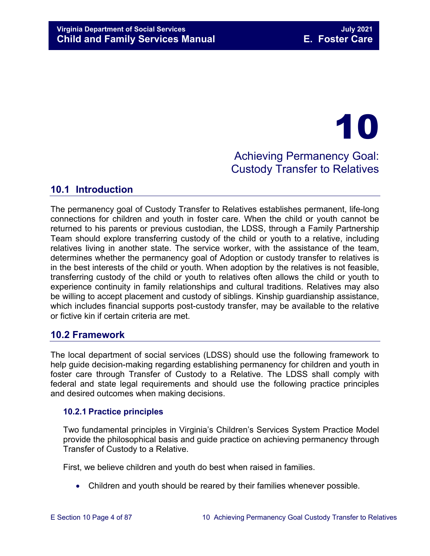# 10 Achieving Permanency Goal: Custody Transfer to Relatives

# <span id="page-3-0"></span>**10.1 Introduction**

The permanency goal of Custody Transfer to Relatives establishes permanent, life-long connections for children and youth in foster care. When the child or youth cannot be returned to his parents or previous custodian, the LDSS, through a Family Partnership Team should explore transferring custody of the child or youth to a relative, including relatives living in another state. The service worker, with the assistance of the team, determines whether the permanency goal of Adoption or custody transfer to relatives is in the best interests of the child or youth. When adoption by the relatives is not feasible, transferring custody of the child or youth to relatives often allows the child or youth to experience continuity in family relationships and cultural traditions. Relatives may also be willing to accept placement and custody of siblings. Kinship guardianship assistance, which includes financial supports post-custody transfer, may be available to the relative or fictive kin if certain criteria are met.

# <span id="page-3-1"></span>**10.2 Framework**

The local department of social services (LDSS) should use the following framework to help guide decision-making regarding establishing permanency for children and youth in foster care through Transfer of Custody to a Relative. The LDSS shall comply with federal and state legal requirements and should use the following practice principles and desired outcomes when making decisions.

# <span id="page-3-2"></span>**10.2.1 Practice principles**

Two fundamental principles in Virginia's Children's Services System Practice Model provide the philosophical basis and guide practice on achieving permanency through Transfer of Custody to a Relative.

First, we believe children and youth do best when raised in families.

• Children and youth should be reared by their families whenever possible.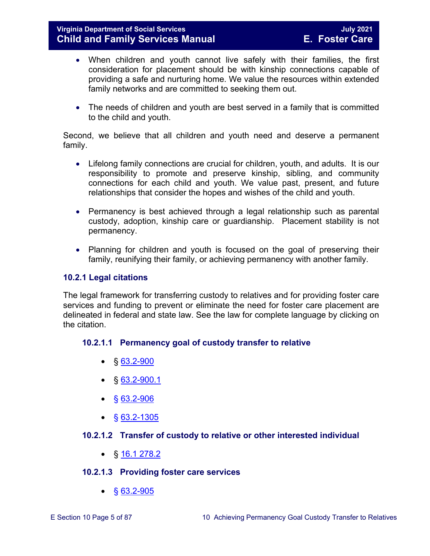- When children and youth cannot live safely with their families, the first consideration for placement should be with kinship connections capable of providing a safe and nurturing home. We value the resources within extended family networks and are committed to seeking them out.
- The needs of children and youth are best served in a family that is committed to the child and youth.

Second, we believe that all children and youth need and deserve a permanent family.

- Lifelong family connections are crucial for children, youth, and adults. It is our responsibility to promote and preserve kinship, sibling, and community connections for each child and youth. We value past, present, and future relationships that consider the hopes and wishes of the child and youth.
- Permanency is best achieved through a legal relationship such as parental custody, adoption, kinship care or guardianship. Placement stability is not permanency.
- Planning for children and youth is focused on the goal of preserving their family, reunifying their family, or achieving permanency with another family.

# <span id="page-4-0"></span>**10.2.1 Legal citations**

The legal framework for transferring custody to relatives and for providing foster care services and funding to prevent or eliminate the need for foster care placement are delineated in federal and state law. See the law for complete language by clicking on the citation.

# **10.2.1.1 Permanency goal of custody transfer to relative**

- $§ 63.2-900$  $§ 63.2-900$
- $\bullet$  § [63.2-900.1](https://law.lis.virginia.gov/vacode/title63.2/chapter9/section63.2-900.1/)
- $§ 63.2 906$
- $§ 63.2 1305$

# **10.2.1.2 Transfer of custody to relative or other interested individual**

•  $\S$  [16.1 278.2](https://law.lis.virginia.gov/vacode/16.1-278.2/)

# **10.2.1.3 Providing foster care services**

 $\bullet$  § [63.2-905](https://law.lis.virginia.gov/vacode/63.2-905/)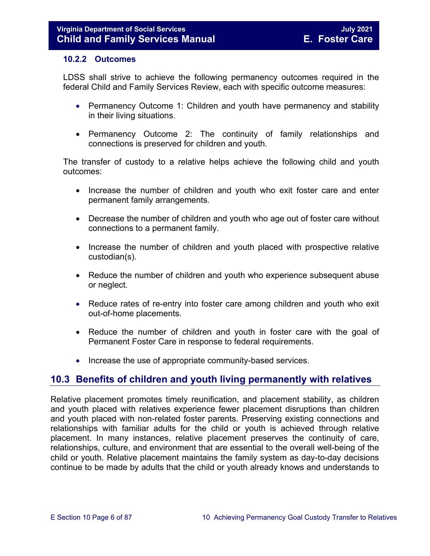#### <span id="page-5-0"></span>**10.2.2 Outcomes**

LDSS shall strive to achieve the following permanency outcomes required in the federal Child and Family Services Review, each with specific outcome measures:

- Permanency Outcome 1: Children and youth have permanency and stability in their living situations.
- Permanency Outcome 2: The continuity of family relationships and connections is preserved for children and youth.

The transfer of custody to a relative helps achieve the following child and youth outcomes:

- Increase the number of children and youth who exit foster care and enter permanent family arrangements.
- Decrease the number of children and youth who age out of foster care without connections to a permanent family.
- Increase the number of children and youth placed with prospective relative custodian(s).
- Reduce the number of children and youth who experience subsequent abuse or neglect.
- Reduce rates of re-entry into foster care among children and youth who exit out-of-home placements.
- Reduce the number of children and youth in foster care with the goal of Permanent Foster Care in response to federal requirements.
- Increase the use of appropriate community-based services.

# <span id="page-5-1"></span>**10.3 Benefits of children and youth living permanently with relatives**

Relative placement promotes timely reunification, and placement stability, as children and youth placed with relatives experience fewer placement disruptions than children and youth placed with non-related foster parents. Preserving existing connections and relationships with familiar adults for the child or youth is achieved through relative placement. In many instances, relative placement preserves the continuity of care, relationships, culture, and environment that are essential to the overall well-being of the child or youth. Relative placement maintains the family system as day-to-day decisions continue to be made by adults that the child or youth already knows and understands to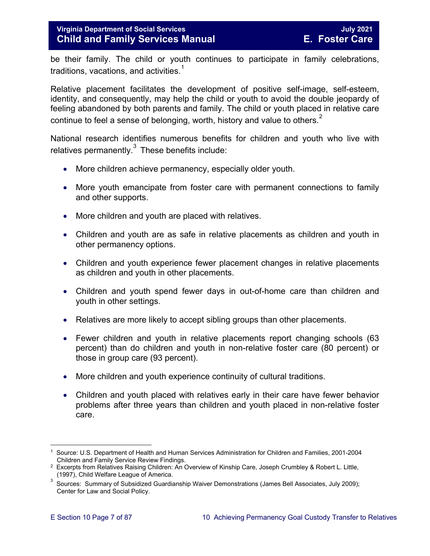# **Virginia Department of Social Services July 2021 Child and Family Services Manual**

be their family. The child or youth continues to participate in family celebrations, traditions, vacations, and activities. $^\mathsf{1}\,$  $^\mathsf{1}\,$  $^\mathsf{1}\,$ 

Relative placement facilitates the development of positive self-image, self-esteem, identity, and consequently, may help the child or youth to avoid the double jeopardy of feeling abandoned by both parents and family. The child or youth placed in relative care continue to feel a sense of belonging, worth, history and value to others. $^2$  $^2$ 

National research identifies numerous benefits for children and youth who live with relatives permanently. $3$  These benefits include:

- More children achieve permanency, especially older youth.
- More youth emancipate from foster care with permanent connections to family and other supports.
- More children and youth are placed with relatives.
- Children and youth are as safe in relative placements as children and youth in other permanency options.
- Children and youth experience fewer placement changes in relative placements as children and youth in other placements.
- Children and youth spend fewer days in out-of-home care than children and youth in other settings.
- Relatives are more likely to accept sibling groups than other placements.
- Fewer children and youth in relative placements report changing schools (63) percent) than do children and youth in non-relative foster care (80 percent) or those in group care (93 percent).
- More children and youth experience continuity of cultural traditions.
- Children and youth placed with relatives early in their care have fewer behavior problems after three years than children and youth placed in non-relative foster care.

<span id="page-6-0"></span> $\frac{1}{\epsilon}$ 1 Source: U.S. Department of Health and Human Services Administration for Children and Families, 2001-2004 Children and Family Service Review Findings.

<span id="page-6-1"></span><sup>&</sup>lt;sup>2</sup> Excerpts from Relatives Raising Children: An Overview of Kinship Care, Joseph Crumbley & Robert L. Little, (1997), Child Welfare League of America.

<span id="page-6-2"></span><sup>3</sup> Sources: Summary of Subsidized Guardianship Waiver Demonstrations (James Bell Associates, July 2009); Center for Law and Social Policy.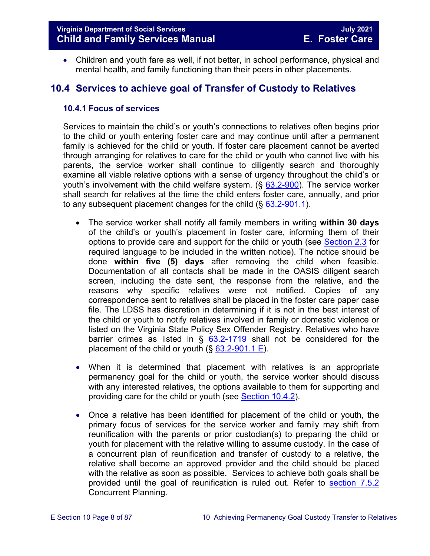• Children and youth fare as well, if not better, in school performance, physical and mental health, and family functioning than their peers in other placements.

# <span id="page-7-0"></span>**10.4 Services to achieve goal of Transfer of Custody to Relatives**

#### <span id="page-7-1"></span>**10.4.1 Focus of services**

Services to maintain the child's or youth's connections to relatives often begins prior to the child or youth entering foster care and may continue until after a permanent family is achieved for the child or youth. If foster care placement cannot be averted through arranging for relatives to care for the child or youth who cannot live with his parents, the service worker shall continue to diligently search and thoroughly examine all viable relative options with a sense of urgency throughout the child's or youth's involvement with the child welfare system.  $(\S$  [63.2-900\)](http://law.lis.virginia.gov/vacode/63.2-900/). The service worker shall search for relatives at the time the child enters foster care, annually, and prior to any subsequent placement changes for the child  $(\S 63.2 - 901.1)$ .

- The service worker shall notify all family members in writing **within 30 days** of the child's or youth's placement in foster care, informing them of their options to provide care and support for the child or youth (see [Section 2.3](https://fusion.dss.virginia.gov/Portals/%5bdfs%5d/Files/DFS%20Manuals/Foster%20Care%20Manuals/Foster%20Care%20Manual%2007-2020/Final%20Foster%20Care%20Manual%2007-2020/section_2_engaging_the_child_family_and_significant_adults.pdf#page=6) for required language to be included in the written notice). The notice should be done **within five (5) days** after removing the child when feasible. Documentation of all contacts shall be made in the OASIS diligent search screen, including the date sent, the response from the relative, and the reasons why specific relatives were not notified. Copies of any correspondence sent to relatives shall be placed in the foster care paper case file. The LDSS has discretion in determining if it is not in the best interest of the child or youth to notify relatives involved in family or domestic violence or listed on the Virginia State Policy Sex Offender Registry. Relatives who have barrier crimes as listed in  $\S$  [63.2-1719](https://law.lis.virginia.gov/vacode/63.2-1719/) shall not be considered for the placement of the child or youth  $(\S 63.2-901.1 \E)$ .
- When it is determined that placement with relatives is an appropriate permanency goal for the child or youth, the service worker should discuss with any interested relatives, the options available to them for supporting and providing care for the child or youth (see [Section 10.4.2\)](#page-8-1).
- Once a relative has been identified for placement of the child or youth, the primary focus of services for the service worker and family may shift from reunification with the parents or prior custodian(s) to preparing the child or youth for placement with the relative willing to assume custody. In the case of a concurrent plan of reunification and transfer of custody to a relative, the relative shall become an approved provider and the child should be placed with the relative as soon as possible. Services to achieve both goals shall be provided until the goal of reunification is ruled out. Refer to [section 7.5.2](https://fusion.dss.virginia.gov/Portals/%5bdfs%5d/Files/DFS%20Manuals/Foster%20Care%20Manuals/Foster%20Care%20Manual%2007-2020/Final%20Foster%20Care%20Manual%2007-2020/section_7_selecting_permanency_goals.pdf#page=11) Concurrent Planning.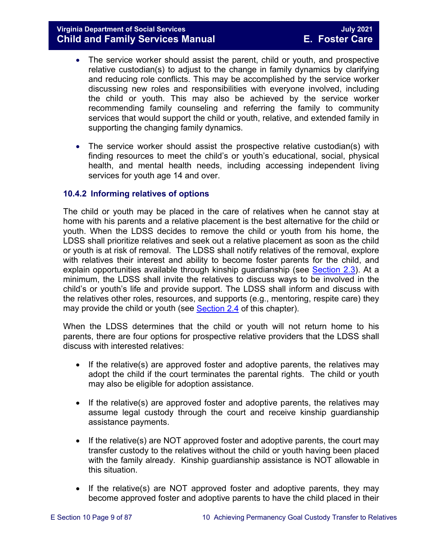- The service worker should assist the parent, child or youth, and prospective relative custodian(s) to adjust to the change in family dynamics by clarifying and reducing role conflicts. This may be accomplished by the service worker discussing new roles and responsibilities with everyone involved, including the child or youth. This may also be achieved by the service worker recommending family counseling and referring the family to community services that would support the child or youth, relative, and extended family in supporting the changing family dynamics.
- The service worker should assist the prospective relative custodian(s) with finding resources to meet the child's or youth's educational, social, physical health, and mental health needs, including accessing independent living services for youth age 14 and over.

# <span id="page-8-1"></span><span id="page-8-0"></span>**10.4.2 Informing relatives of options**

The child or youth may be placed in the care of relatives when he cannot stay at home with his parents and a relative placement is the best alternative for the child or youth. When the LDSS decides to remove the child or youth from his home, the LDSS shall prioritize relatives and seek out a relative placement as soon as the child or youth is at risk of removal. The LDSS shall notify relatives of the removal, explore with relatives their interest and ability to become foster parents for the child, and explain opportunities available through kinship guardianship (see [Section 2.3\)](https://fusion.dss.virginia.gov/Portals/%5bdfs%5d/Files/DFS%20Manuals/Foster%20Care%20Manuals/Foster%20Care%20Manual%2007-2020/Final%20Foster%20Care%20Manual%2007-2020/section_2_engaging_the_child_family_and_significant_adults.pdf#page=6). At a minimum, the LDSS shall invite the relatives to discuss ways to be involved in the child's or youth's life and provide support. The LDSS shall inform and discuss with the relatives other roles, resources, and supports (e.g., mentoring, respite care) they may provide the child or youth (see [Section 2.4](https://fusion.dss.virginia.gov/Portals/%5bdfs%5d/Files/DFS%20Manuals/Foster%20Care%20Manuals/Foster%20Care%20Manual%2007-2020/Final%20Foster%20Care%20Manual%2007-2020/section_2_engaging_the_child_family_and_significant_adults.pdf#page=8) of this chapter).

When the LDSS determines that the child or youth will not return home to his parents, there are four options for prospective relative providers that the LDSS shall discuss with interested relatives:

- If the relative(s) are approved foster and adoptive parents, the relatives may adopt the child if the court terminates the parental rights. The child or youth may also be eligible for adoption assistance.
- If the relative(s) are approved foster and adoptive parents, the relatives may assume legal custody through the court and receive kinship guardianship assistance payments.
- If the relative(s) are NOT approved foster and adoptive parents, the court may transfer custody to the relatives without the child or youth having been placed with the family already. Kinship guardianship assistance is NOT allowable in this situation.
- If the relative(s) are NOT approved foster and adoptive parents, they may become approved foster and adoptive parents to have the child placed in their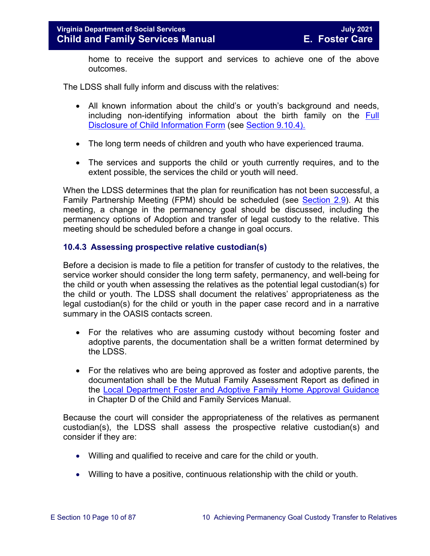home to receive the support and services to achieve one of the above outcomes.

The LDSS shall fully inform and discuss with the relatives:

- All known information about the child's or youth's background and needs, including non-identifying information about the birth family on the [Full](https://fusion.dss.virginia.gov/Portals/%5Bdfs%5D/Files/Adoption/Full%20Disclosure%20Form.docx)  [Disclosure of Child Information Form](https://fusion.dss.virginia.gov/Portals/%5Bdfs%5D/Files/Adoption/Full%20Disclosure%20Form.docx) (see [Section 9.10.4\).](https://fusion.dss.virginia.gov/Portals/%5bdfs%5d/Files/DFS%20Manuals/Foster%20Care%20Manuals/Foster%20Care%20Manual%2007-2020/Final%20Foster%20Care%20Manual%2007-2020/section_9_achieving_permanency_goal_adoption.pdf#page=35)
- The long term needs of children and youth who have experienced trauma.
- The services and supports the child or youth currently requires, and to the extent possible, the services the child or youth will need.

When the LDSS determines that the plan for reunification has not been successful, a Family Partnership Meeting (FPM) should be scheduled (see [Section 2.9\)](https://fusion.dss.virginia.gov/Portals/%5bdfs%5d/Files/DFS%20Manuals/Foster%20Care%20Manuals/Foster%20Care%20Manual%2007-2020/Final%20Foster%20Care%20Manual%2007-2020/section_2_engaging_the_child_family_and_significant_adults.pdf#page=19). At this meeting, a change in the permanency goal should be discussed, including the permanency options of Adoption and transfer of legal custody to the relative. This meeting should be scheduled before a change in goal occurs.

#### <span id="page-9-0"></span>**10.4.3 Assessing prospective relative custodian(s)**

Before a decision is made to file a petition for transfer of custody to the relatives, the service worker should consider the long term safety, permanency, and well-being for the child or youth when assessing the relatives as the potential legal custodian(s) for the child or youth. The LDSS shall document the relatives' appropriateness as the legal custodian(s) for the child or youth in the paper case record and in a narrative summary in the OASIS contacts screen.

- For the relatives who are assuming custody without becoming foster and adoptive parents, the documentation shall be a written format determined by the LDSS.
- For the relatives who are being approved as foster and adoptive parents, the documentation shall be the Mutual Family Assessment Report as defined in the Local Department Foster [and Adoptive Family Home Approval Guidance](https://fusion.dss.virginia.gov/dfs/DFS-Home/Family-Recruitment/Family-Recruitment-Guidance) in Chapter D of the Child and Family Services Manual.

Because the court will consider the appropriateness of the relatives as permanent custodian(s), the LDSS shall assess the prospective relative custodian(s) and consider if they are:

- Willing and qualified to receive and care for the child or youth.
- Willing to have a positive, continuous relationship with the child or youth.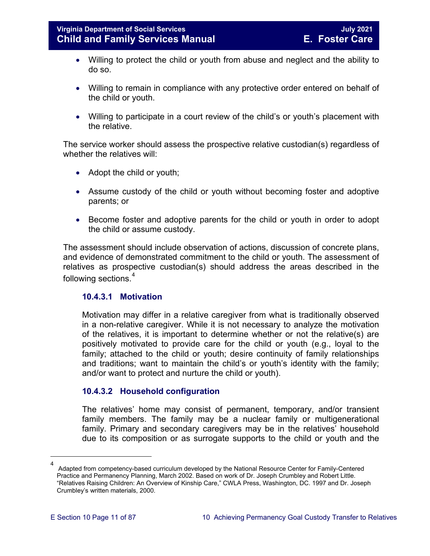- Willing to protect the child or youth from abuse and neglect and the ability to do so.
- Willing to remain in compliance with any protective order entered on behalf of the child or youth.
- Willing to participate in a court review of the child's or youth's placement with the relative.

The service worker should assess the prospective relative custodian(s) regardless of whether the relatives will:

- Adopt the child or youth;
- Assume custody of the child or youth without becoming foster and adoptive parents; or
- Become foster and adoptive parents for the child or youth in order to adopt the child or assume custody.

The assessment should include observation of actions, discussion of concrete plans, and evidence of demonstrated commitment to the child or youth. The assessment of relatives as prospective custodian(s) should address the areas described in the following sections.<sup>[4](#page-10-0)</sup>

# **10.4.3.1 Motivation**

Motivation may differ in a relative caregiver from what is traditionally observed in a non-relative caregiver. While it is not necessary to analyze the motivation of the relatives, it is important to determine whether or not the relative(s) are positively motivated to provide care for the child or youth (e.g., loyal to the family; attached to the child or youth; desire continuity of family relationships and traditions; want to maintain the child's or youth's identity with the family; and/or want to protect and nurture the child or youth).

# **10.4.3.2 Household configuration**

The relatives' home may consist of permanent, temporary, and/or transient family members. The family may be a nuclear family or multigenerational family. Primary and secondary caregivers may be in the relatives' household due to its composition or as surrogate supports to the child or youth and the

<span id="page-10-0"></span>ī

<sup>4</sup> Adapted from competency-based curriculum developed by the National Resource Center for Family-Centered Practice and Permanency Planning, March 2002. Based on work of Dr. Joseph Crumbley and Robert Little. "Relatives Raising Children: An Overview of Kinship Care," CWLA Press, Washington, DC. 1997 and Dr. Joseph Crumbley's written materials, 2000.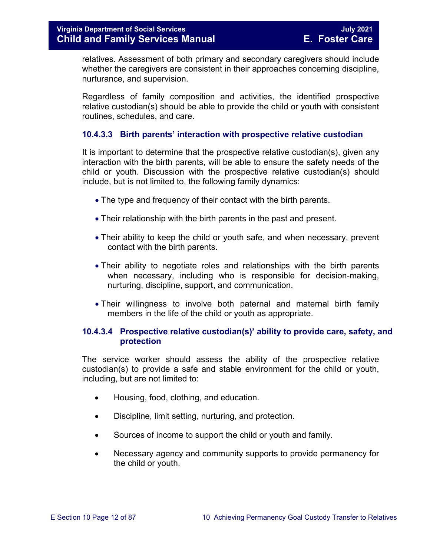relatives. Assessment of both primary and secondary caregivers should include whether the caregivers are consistent in their approaches concerning discipline, nurturance, and supervision.

Regardless of family composition and activities, the identified prospective relative custodian(s) should be able to provide the child or youth with consistent routines, schedules, and care.

# **10.4.3.3 Birth parents' interaction with prospective relative custodian**

It is important to determine that the prospective relative custodian(s), given any interaction with the birth parents, will be able to ensure the safety needs of the child or youth. Discussion with the prospective relative custodian(s) should include, but is not limited to, the following family dynamics:

- The type and frequency of their contact with the birth parents.
- Their relationship with the birth parents in the past and present.
- Their ability to keep the child or youth safe, and when necessary, prevent contact with the birth parents.
- Their ability to negotiate roles and relationships with the birth parents when necessary, including who is responsible for decision-making, nurturing, discipline, support, and communication.
- Their willingness to involve both paternal and maternal birth family members in the life of the child or youth as appropriate.

# **10.4.3.4 Prospective relative custodian(s)' ability to provide care, safety, and protection**

The service worker should assess the ability of the prospective relative custodian(s) to provide a safe and stable environment for the child or youth, including, but are not limited to:

- Housing, food, clothing, and education.
- Discipline, limit setting, nurturing, and protection.
- Sources of income to support the child or youth and family.
- Necessary agency and community supports to provide permanency for the child or youth.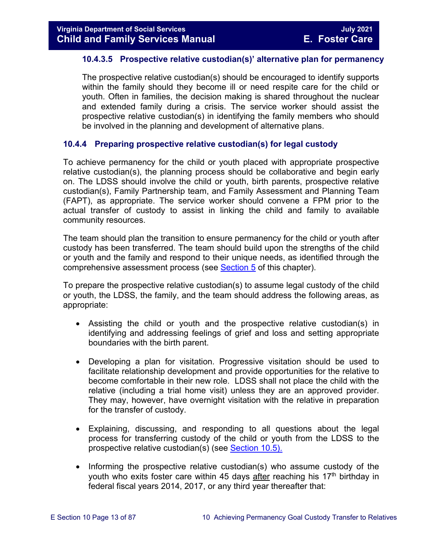# **10.4.3.5 Prospective relative custodian(s)' alternative plan for permanency**

The prospective relative custodian(s) should be encouraged to identify supports within the family should they become ill or need respite care for the child or youth. Often in families, the decision making is shared throughout the nuclear and extended family during a crisis. The service worker should assist the prospective relative custodian(s) in identifying the family members who should be involved in the planning and development of alternative plans.

#### <span id="page-12-0"></span>**10.4.4 Preparing prospective relative custodian(s) for legal custody**

To achieve permanency for the child or youth placed with appropriate prospective relative custodian(s), the planning process should be collaborative and begin early on. The LDSS should involve the child or youth, birth parents, prospective relative custodian(s), Family Partnership team, and Family Assessment and Planning Team (FAPT), as appropriate. The service worker should convene a FPM prior to the actual transfer of custody to assist in linking the child and family to available community resources.

The team should plan the transition to ensure permanency for the child or youth after custody has been transferred. The team should build upon the strengths of the child or youth and the family and respond to their unique needs, as identified through the comprehensive assessment process (see [Section 5](https://fusion.dss.virginia.gov/Portals/%5bdfs%5d/Files/DFS%20Manuals/Foster%20Care%20Manuals/Foster%20Care%20Manual%2007-2020/Final%20Foster%20Care%20Manual%2007-2020/section_5_conducting_child_and_family_assessment.pdf) of this chapter).

To prepare the prospective relative custodian(s) to assume legal custody of the child or youth, the LDSS, the family, and the team should address the following areas, as appropriate:

- Assisting the child or youth and the prospective relative custodian(s) in identifying and addressing feelings of grief and loss and setting appropriate boundaries with the birth parent.
- Developing a plan for visitation. Progressive visitation should be used to facilitate relationship development and provide opportunities for the relative to become comfortable in their new role. LDSS shall not place the child with the relative (including a trial home visit) unless they are an approved provider. They may, however, have overnight visitation with the relative in preparation for the transfer of custody.
- Explaining, discussing, and responding to all questions about the legal process for transferring custody of the child or youth from the LDSS to the prospective relative custodian(s) (see [Section 10.5\).](#page-15-0)
- Informing the prospective relative custodian(s) who assume custody of the youth who exits foster care within 45 days after reaching his  $17<sup>th</sup>$  birthday in federal fiscal years 2014, 2017, or any third year thereafter that: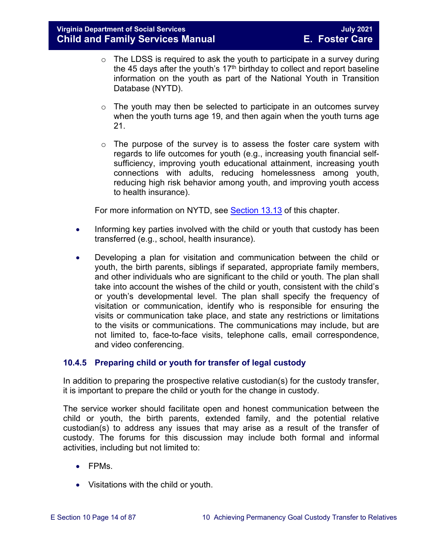- $\circ$  The LDSS is required to ask the youth to participate in a survey during the 45 days after the youth's  $17<sup>th</sup>$  birthday to collect and report baseline information on the youth as part of the National Youth in Transition Database (NYTD).
- $\circ$  The youth may then be selected to participate in an outcomes survey when the youth turns age 19, and then again when the youth turns age 21.
- $\circ$  The purpose of the survey is to assess the foster care system with regards to life outcomes for youth (e.g., increasing youth financial selfsufficiency, improving youth educational attainment, increasing youth connections with adults, reducing homelessness among youth, reducing high risk behavior among youth, and improving youth access to health insurance).

For more information on NYTD, see [Section 13.13](https://fusion.dss.virginia.gov/Portals/%5bdfs%5d/Files/DFS%20Manuals/Foster%20Care%20Manuals/Foster%20Care%20Manual%2007-2020/Final%20Foster%20Care%20Manual%2007-2020/Section_13_achieving_permanency_for_older_youth.pdf#page=33) of this chapter.

- Informing key parties involved with the child or youth that custody has been transferred (e.g., school, health insurance).
- Developing a plan for visitation and communication between the child or youth, the birth parents, siblings if separated, appropriate family members, and other individuals who are significant to the child or youth. The plan shall take into account the wishes of the child or youth, consistent with the child's or youth's developmental level. The plan shall specify the frequency of visitation or communication, identify who is responsible for ensuring the visits or communication take place, and state any restrictions or limitations to the visits or communications. The communications may include, but are not limited to, face-to-face visits, telephone calls, email correspondence, and video conferencing.

# <span id="page-13-0"></span>**10.4.5 Preparing child or youth for transfer of legal custody**

In addition to preparing the prospective relative custodian(s) for the custody transfer, it is important to prepare the child or youth for the change in custody.

The service worker should facilitate open and honest communication between the child or youth, the birth parents, extended family, and the potential relative custodian(s) to address any issues that may arise as a result of the transfer of custody. The forums for this discussion may include both formal and informal activities, including but not limited to:

- FPMs.
- Visitations with the child or youth.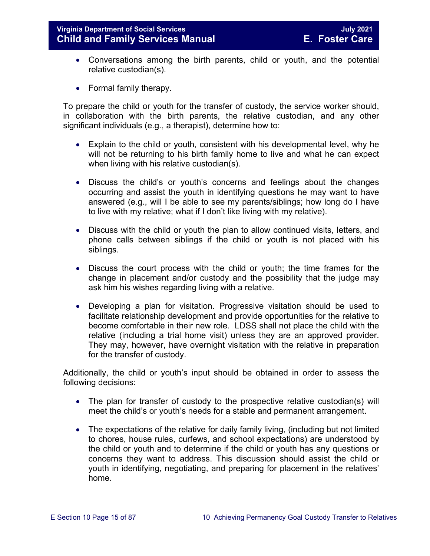- Conversations among the birth parents, child or youth, and the potential relative custodian(s).
- Formal family therapy.

To prepare the child or youth for the transfer of custody, the service worker should, in collaboration with the birth parents, the relative custodian, and any other significant individuals (e.g., a therapist), determine how to:

- Explain to the child or youth, consistent with his developmental level, why he will not be returning to his birth family home to live and what he can expect when living with his relative custodian(s).
- Discuss the child's or youth's concerns and feelings about the changes occurring and assist the youth in identifying questions he may want to have answered (e.g., will I be able to see my parents/siblings; how long do I have to live with my relative; what if I don't like living with my relative).
- Discuss with the child or youth the plan to allow continued visits, letters, and phone calls between siblings if the child or youth is not placed with his siblings.
- Discuss the court process with the child or youth; the time frames for the change in placement and/or custody and the possibility that the judge may ask him his wishes regarding living with a relative.
- Developing a plan for visitation. Progressive visitation should be used to facilitate relationship development and provide opportunities for the relative to become comfortable in their new role. LDSS shall not place the child with the relative (including a trial home visit) unless they are an approved provider. They may, however, have overnight visitation with the relative in preparation for the transfer of custody.

Additionally, the child or youth's input should be obtained in order to assess the following decisions:

- The plan for transfer of custody to the prospective relative custodian(s) will meet the child's or youth's needs for a stable and permanent arrangement.
- The expectations of the relative for daily family living, (including but not limited to chores, house rules, curfews, and school expectations) are understood by the child or youth and to determine if the child or youth has any questions or concerns they want to address. This discussion should assist the child or youth in identifying, negotiating, and preparing for placement in the relatives' home.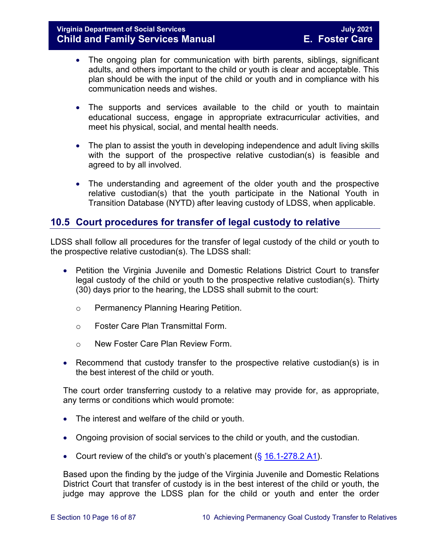- The ongoing plan for communication with birth parents, siblings, significant adults, and others important to the child or youth is clear and acceptable. This plan should be with the input of the child or youth and in compliance with his communication needs and wishes.
- The supports and services available to the child or youth to maintain educational success, engage in appropriate extracurricular activities, and meet his physical, social, and mental health needs.
- The plan to assist the youth in developing independence and adult living skills with the support of the prospective relative custodian(s) is feasible and agreed to by all involved.
- The understanding and agreement of the older youth and the prospective relative custodian(s) that the youth participate in the National Youth in Transition Database (NYTD) after leaving custody of LDSS, when applicable.

# <span id="page-15-0"></span>**10.5 Court procedures for transfer of legal custody to relative**

LDSS shall follow all procedures for the transfer of legal custody of the child or youth to the prospective relative custodian(s). The LDSS shall:

- Petition the Virginia Juvenile and Domestic Relations District Court to transfer legal custody of the child or youth to the prospective relative custodian(s). Thirty (30) days prior to the hearing, the LDSS shall submit to the court:
	- o Permanency Planning Hearing Petition.
	- o Foster Care Plan Transmittal Form.
	- o New Foster Care Plan Review Form.
- Recommend that custody transfer to the prospective relative custodian(s) is in the best interest of the child or youth.

The court order transferring custody to a relative may provide for, as appropriate, any terms or conditions which would promote:

- The interest and welfare of the child or youth.
- Ongoing provision of social services to the child or youth, and the custodian.
- Court review of the child's or youth's placement  $(\S 16.1-278.2 A1)$  $(\S 16.1-278.2 A1)$ .

Based upon the finding by the judge of the Virginia Juvenile and Domestic Relations District Court that transfer of custody is in the best interest of the child or youth, the judge may approve the LDSS plan for the child or youth and enter the order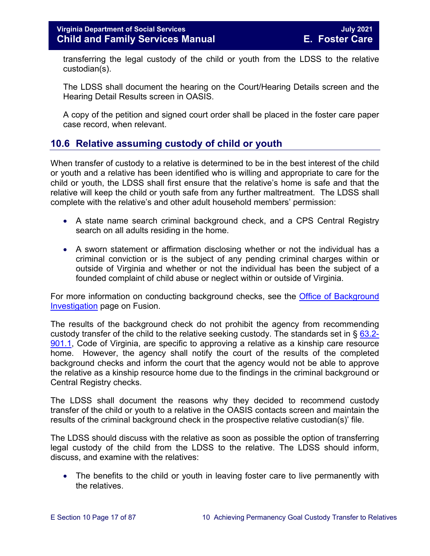transferring the legal custody of the child or youth from the LDSS to the relative custodian(s).

The LDSS shall document the hearing on the Court/Hearing Details screen and the Hearing Detail Results screen in OASIS.

A copy of the petition and signed court order shall be placed in the foster care paper case record, when relevant.

# <span id="page-16-0"></span>**10.6 Relative assuming custody of child or youth**

When transfer of custody to a relative is determined to be in the best interest of the child or youth and a relative has been identified who is willing and appropriate to care for the child or youth, the LDSS shall first ensure that the relative's home is safe and that the relative will keep the child or youth safe from any further maltreatment. The LDSS shall complete with the relative's and other adult household members' permission:

- A state name search criminal background check, and a CPS Central Registry search on all adults residing in the home.
- A sworn statement or affirmation disclosing whether or not the individual has a criminal conviction or is the subject of any pending criminal charges within or outside of Virginia and whether or not the individual has been the subject of a founded complaint of child abuse or neglect within or outside of Virginia.

For more information on conducting background checks, see the [Office of Background](https://fusion.dss.virginia.gov/lp/LP-Home/OFFICE-OF-BACKGROUND-INVESTIGATIONS)  [Investigation](https://fusion.dss.virginia.gov/lp/LP-Home/OFFICE-OF-BACKGROUND-INVESTIGATIONS) page on Fusion.

The results of the background check do not prohibit the agency from recommending custody transfer of the child to the relative seeking custody. The standards set in  $\S$  [63.2-](https://law.lis.virginia.gov/vacode/63.2-901.1/) [901.1,](https://law.lis.virginia.gov/vacode/63.2-901.1/) Code of Virginia, are specific to approving a relative as a kinship care resource home. However, the agency shall notify the court of the results of the completed background checks and inform the court that the agency would not be able to approve the relative as a kinship resource home due to the findings in the criminal background or Central Registry checks.

The LDSS shall document the reasons why they decided to recommend custody transfer of the child or youth to a relative in the OASIS contacts screen and maintain the results of the criminal background check in the prospective relative custodian(s)' file.

The LDSS should discuss with the relative as soon as possible the option of transferring legal custody of the child from the LDSS to the relative. The LDSS should inform, discuss, and examine with the relatives:

• The benefits to the child or youth in leaving foster care to live permanently with the relatives.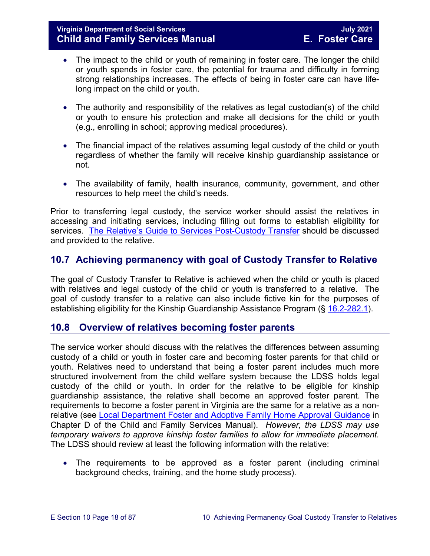# **Virginia Department of Social Services July 2021 Child and Family Services Manual**

- The impact to the child or youth of remaining in foster care. The longer the child or youth spends in foster care, the potential for trauma and difficulty in forming strong relationships increases. The effects of being in foster care can have lifelong impact on the child or youth.
- The authority and responsibility of the relatives as legal custodian(s) of the child or youth to ensure his protection and make all decisions for the child or youth (e.g., enrolling in school; approving medical procedures).
- The financial impact of the relatives assuming legal custody of the child or youth regardless of whether the family will receive kinship guardianship assistance or not.
- The availability of family, health insurance, community, government, and other resources to help meet the child's needs.

Prior to transferring legal custody, the service worker should assist the relatives in accessing and initiating services, including filling out forms to establish eligibility for services. [The Relative's Guide to Services Post-Custody Transfer](https://fusion.dss.virginia.gov/LinkClick.aspx?fileticket=aiZQoogOxDU%3d&portalid=30) should be discussed and provided to the relative.

# <span id="page-17-0"></span>**10.7 Achieving permanency with goal of Custody Transfer to Relative**

The goal of Custody Transfer to Relative is achieved when the child or youth is placed with relatives and legal custody of the child or youth is transferred to a relative. The goal of custody transfer to a relative can also include fictive kin for the purposes of establishing eligibility for the Kinship Guardianship Assistance Program (§ [16.2-282.1\)](https://law.lis.virginia.gov/vacode/16.1-282.1/).

# <span id="page-17-1"></span>**10.8 Overview of relatives becoming foster parents**

The service worker should discuss with the relatives the differences between assuming custody of a child or youth in foster care and becoming foster parents for that child or youth. Relatives need to understand that being a foster parent includes much more structured involvement from the child welfare system because the LDSS holds legal custody of the child or youth. In order for the relative to be eligible for kinship guardianship assistance, the relative shall become an approved foster parent. The requirements to become a foster parent in Virginia are the same for a relative as a nonrelative (see Local Department Foster [and Adoptive Family Home Approval Guidance](https://fusion.dss.virginia.gov/dfs/DFS-Home/Family-Recruitment/Family-Recruitment-Guidance) in Chapter D of the Child and Family Services Manual). *However, the LDSS may use temporary waivers to approve kinship foster families to allow for immediate placement.*  The LDSS should review at least the following information with the relative:

• The requirements to be approved as a foster parent (including criminal background checks, training, and the home study process).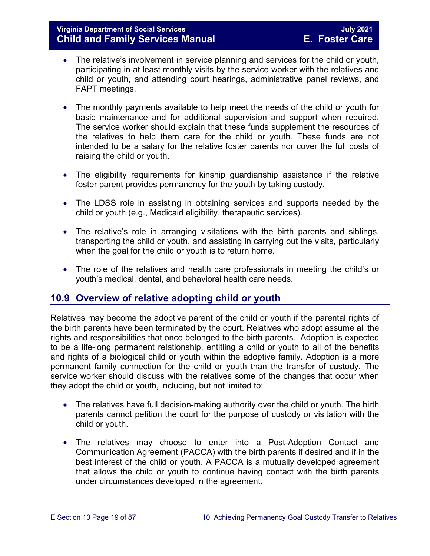# **Virginia Department of Social Services July 2021 Child and Family Services Manual**

- The relative's involvement in service planning and services for the child or youth, participating in at least monthly visits by the service worker with the relatives and child or youth, and attending court hearings, administrative panel reviews, and FAPT meetings.
- The monthly payments available to help meet the needs of the child or youth for basic maintenance and for additional supervision and support when required. The service worker should explain that these funds supplement the resources of the relatives to help them care for the child or youth. These funds are not intended to be a salary for the relative foster parents nor cover the full costs of raising the child or youth.
- The eligibility requirements for kinship guardianship assistance if the relative foster parent provides permanency for the youth by taking custody.
- The LDSS role in assisting in obtaining services and supports needed by the child or youth (e.g., Medicaid eligibility, therapeutic services).
- The relative's role in arranging visitations with the birth parents and siblings, transporting the child or youth, and assisting in carrying out the visits, particularly when the goal for the child or youth is to return home.
- The role of the relatives and health care professionals in meeting the child's or youth's medical, dental, and behavioral health care needs.

# <span id="page-18-0"></span>**10.9 Overview of relative adopting child or youth**

Relatives may become the adoptive parent of the child or youth if the parental rights of the birth parents have been terminated by the court. Relatives who adopt assume all the rights and responsibilities that once belonged to the birth parents. Adoption is expected to be a life-long permanent relationship, entitling a child or youth to all of the benefits and rights of a biological child or youth within the adoptive family. Adoption is a more permanent family connection for the child or youth than the transfer of custody. The service worker should discuss with the relatives some of the changes that occur when they adopt the child or youth, including, but not limited to:

- The relatives have full decision-making authority over the child or youth. The birth parents cannot petition the court for the purpose of custody or visitation with the child or youth.
- The relatives may choose to enter into a Post-Adoption Contact and Communication Agreement (PACCA) with the birth parents if desired and if in the best interest of the child or youth. A PACCA is a mutually developed agreement that allows the child or youth to continue having contact with the birth parents under circumstances developed in the agreement.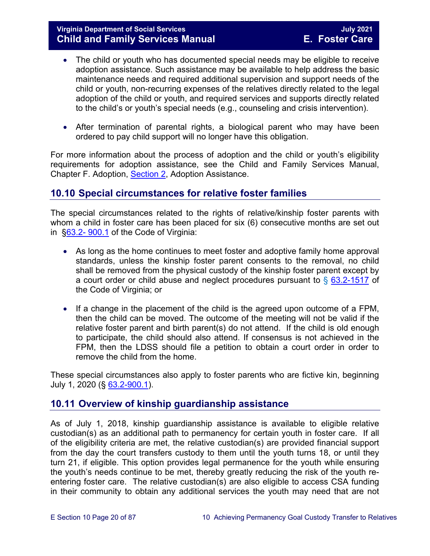- The child or youth who has documented special needs may be eligible to receive adoption assistance. Such assistance may be available to help address the basic maintenance needs and required additional supervision and support needs of the child or youth, non-recurring expenses of the relatives directly related to the legal adoption of the child or youth, and required services and supports directly related to the child's or youth's special needs (e.g., counseling and crisis intervention).
- After termination of parental rights, a biological parent who may have been ordered to pay child support will no longer have this obligation.

For more information about the process of adoption and the child or youth's eligibility requirements for adoption assistance, see the Child and Family Services Manual, Chapter F. Adoption, [Section 2,](https://fusion.dss.virginia.gov/Portals/%5Bdfs%5D/Files/Adoption/Guidance/2020/section_2_adoption%20assistance.pdf) Adoption Assistance.

# <span id="page-19-0"></span>**10.10 Special circumstances for relative foster families**

The special circumstances related to the rights of relative/kinship foster parents with whom a child in foster care has been placed for six (6) consecutive months are set out in [§63.2- 900.1](https://law.lis.virginia.gov/vacode/63.2-900.1/) of the Code of Virginia:

- As long as the home continues to meet foster and adoptive family home approval standards, unless the kinship foster parent consents to the removal, no child shall be removed from the physical custody of the kinship foster parent except by a court order or child abuse and neglect procedures pursuant to  $\S$  [63.2-1517](https://law.lis.virginia.gov/vacode/63.2-1517/) of the Code of Virginia; or
- If a change in the placement of the child is the agreed upon outcome of a FPM, then the child can be moved. The outcome of the meeting will not be valid if the relative foster parent and birth parent(s) do not attend. If the child is old enough to participate, the child should also attend. If consensus is not achieved in the FPM, then the LDSS should file a petition to obtain a court order in order to remove the child from the home.

These special circumstances also apply to foster parents who are fictive kin, beginning July 1, 2020 (§ [63.2-900.1\)](https://law.lis.virginia.gov/vacode/63.2-900.1/).

# <span id="page-19-1"></span>**10.11 Overview of kinship guardianship assistance**

As of July 1, 2018, kinship guardianship assistance is available to eligible relative custodian(s) as an additional path to permanency for certain youth in foster care. If all of the eligibility criteria are met, the relative custodian(s) are provided financial support from the day the court transfers custody to them until the youth turns 18, or until they turn 21, if eligible. This option provides legal permanence for the youth while ensuring the youth's needs continue to be met, thereby greatly reducing the risk of the youth reentering foster care. The relative custodian(s) are also eligible to access CSA funding in their community to obtain any additional services the youth may need that are not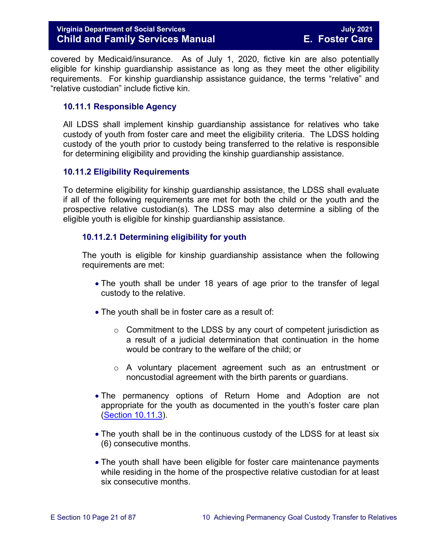# **Virginia Department of Social Services July 2021 Child and Family Services Manual**

covered by Medicaid/insurance. As of July 1, 2020, fictive kin are also potentially eligible for kinship guardianship assistance as long as they meet the other eligibility requirements. For kinship guardianship assistance guidance, the terms "relative" and "relative custodian" include fictive kin.

#### <span id="page-20-0"></span>**10.11.1 Responsible Agency**

All LDSS shall implement kinship guardianship assistance for relatives who take custody of youth from foster care and meet the eligibility criteria. The LDSS holding custody of the youth prior to custody being transferred to the relative is responsible for determining eligibility and providing the kinship guardianship assistance.

#### <span id="page-20-1"></span>**10.11.2 Eligibility Requirements**

To determine eligibility for kinship guardianship assistance, the LDSS shall evaluate if all of the following requirements are met for both the child or the youth and the prospective relative custodian(s). The LDSS may also determine a sibling of the eligible youth is eligible for kinship guardianship assistance.

#### <span id="page-20-2"></span>**10.11.2.1 Determining eligibility for youth**

The youth is eligible for kinship guardianship assistance when the following requirements are met:

- The youth shall be under 18 years of age prior to the transfer of legal custody to the relative.
- The youth shall be in foster care as a result of:
	- $\circ$  Commitment to the LDSS by any court of competent jurisdiction as a result of a judicial determination that continuation in the home would be contrary to the welfare of the child; or
	- $\circ$  A voluntary placement agreement such as an entrustment or noncustodial agreement with the birth parents or guardians.
- The permanency options of Return Home and Adoption are not appropriate for the youth as documented in the youth's foster care plan (Section [10.11.3\)](#page-23-0).
- The youth shall be in the continuous custody of the LDSS for at least six (6) consecutive months.
- The youth shall have been eligible for foster care maintenance payments while residing in the home of the prospective relative custodian for at least six consecutive months.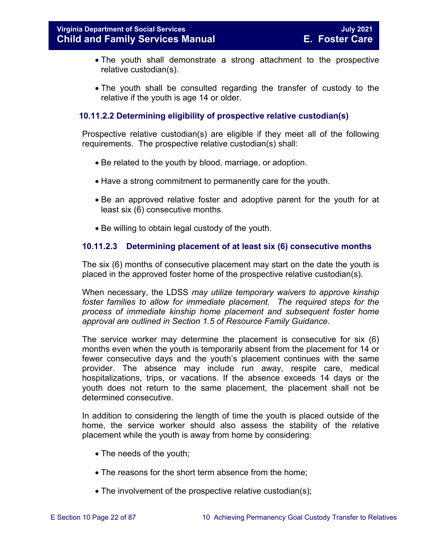- The youth shall demonstrate a strong attachment to the prospective relative custodian(s).
- The youth shall be consulted regarding the transfer of custody to the relative if the youth is age 14 or older.

# **10.11.2.2 Determining eligibility of prospective relative custodian(s)**

Prospective relative custodian(s) are eligible if they meet all of the following requirements. The prospective relative custodian(s) shall:

- Be related to the youth by blood, marriage, or adoption.
- Have a strong commitment to permanently care for the youth.
- Be an approved relative foster and adoptive parent for the youth for at least six (6) consecutive months.
- Be willing to obtain legal custody of the youth.

# **10.11.2.3 Determining placement of at least six (6) consecutive months**

The six (6) months of consecutive placement may start on the date the youth is placed in the approved foster home of the prospective relative custodian(s).

When necessary, the LDSS *may utilize temporary waivers to approve kinship foster families to allow for immediate placement. The required steps for the process of immediate kinship home placement and subsequent foster home approval are outlined in Section 1.5 of Resource Family Guidance*.

The service worker may determine the placement is consecutive for six (6) months even when the youth is temporarily absent from the placement for 14 or fewer consecutive days and the youth's placement continues with the same provider. The absence may include run away, respite care, medical hospitalizations, trips, or vacations. If the absence exceeds 14 days or the youth does not return to the same placement, the placement shall not be determined consecutive.

In addition to considering the length of time the youth is placed outside of the home, the service worker should also assess the stability of the relative placement while the youth is away from home by considering:

- The needs of the youth;
- The reasons for the short term absence from the home;
- The involvement of the prospective relative custodian(s);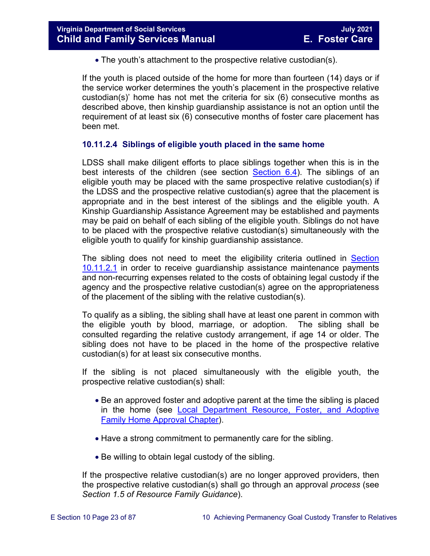• The youth's attachment to the prospective relative custodian(s).

If the youth is placed outside of the home for more than fourteen (14) days or if the service worker determines the youth's placement in the prospective relative custodian(s)' home has not met the criteria for six (6) consecutive months as described above, then kinship guardianship assistance is not an option until the requirement of at least six (6) consecutive months of foster care placement has been met.

# **10.11.2.4 Siblings of eligible youth placed in the same home**

LDSS shall make diligent efforts to place siblings together when this is in the best interests of the children (see section [Section](https://fusion.dss.virginia.gov/Portals/%5bdfs%5d/Files/DFS%20Manuals/Foster%20Care%20Manuals/Foster%20Care%20Manual%2007-2020/Final%20Foster%20Care%20Manual%2007-2020/section_6_placement_to_achieve_permanency.pdg#page=13)  $6.4$ ). The siblings of an eligible youth may be placed with the same prospective relative custodian(s) if the LDSS and the prospective relative custodian(s) agree that the placement is appropriate and in the best interest of the siblings and the eligible youth. A Kinship Guardianship Assistance Agreement may be established and payments may be paid on behalf of each sibling of the eligible youth. Siblings do not have to be placed with the prospective relative custodian(s) simultaneously with the eligible youth to qualify for kinship guardianship assistance.

The sibling does not need to meet the eligibility criteria outlined in Section [10.11.2.1](#page-20-2) in order to receive guardianship assistance maintenance payments and non-recurring expenses related to the costs of obtaining legal custody if the agency and the prospective relative custodian(s) agree on the appropriateness of the placement of the sibling with the relative custodian(s).

To qualify as a sibling, the sibling shall have at least one parent in common with the eligible youth by blood, marriage, or adoption. The sibling shall be consulted regarding the relative custody arrangement, if age 14 or older. The sibling does not have to be placed in the home of the prospective relative custodian(s) for at least six consecutive months.

If the sibling is not placed simultaneously with the eligible youth, the prospective relative custodian(s) shall:

- Be an approved foster and adoptive parent at the time the sibling is placed in the home (see [Local Department Resource, Foster, and Adoptive](https://fusion.dss.virginia.gov/dfs/DFS-Home/Family-Recruitment/Family-Recruitment-Guidance)  [Family Home Approval Chapter\)](https://fusion.dss.virginia.gov/dfs/DFS-Home/Family-Recruitment/Family-Recruitment-Guidance).
- Have a strong commitment to permanently care for the sibling.
- Be willing to obtain legal custody of the sibling.

If the prospective relative custodian(s) are no longer approved providers, then the prospective relative custodian(s) shall go through an approval *process* (see *Section 1.5 of Resource Family Guidance*).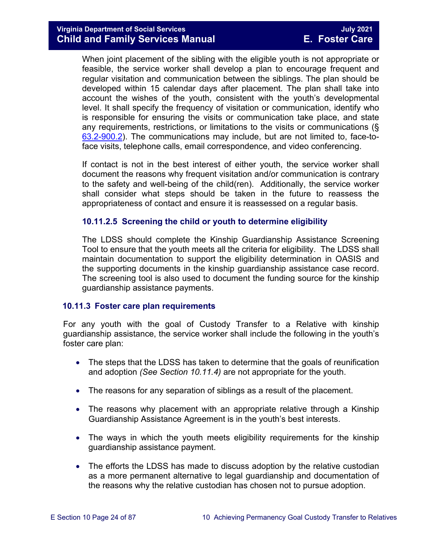When joint placement of the sibling with the eligible youth is not appropriate or feasible, the service worker shall develop a plan to encourage frequent and regular visitation and communication between the siblings. The plan should be developed within 15 calendar days after placement. The plan shall take into account the wishes of the youth, consistent with the youth's developmental level. It shall specify the frequency of visitation or communication, identify who is responsible for ensuring the visits or communication take place, and state any requirements, restrictions, or limitations to the visits or communications (§ [63.2-900.2\)](https://law.lis.virginia.gov/vacode/63.2-900.2/). The communications may include, but are not limited to, face-toface visits, telephone calls, email correspondence, and video conferencing.

If contact is not in the best interest of either youth, the service worker shall document the reasons why frequent visitation and/or communication is contrary to the safety and well-being of the child(ren). Additionally, the service worker shall consider what steps should be taken in the future to reassess the appropriateness of contact and ensure it is reassessed on a regular basis.

#### **10.11.2.5 Screening the child or youth to determine eligibility**

The LDSS should complete the Kinship Guardianship Assistance Screening Tool to ensure that the youth meets all the criteria for eligibility. The LDSS shall maintain documentation to support the eligibility determination in OASIS and the supporting documents in the kinship guardianship assistance case record. The screening tool is also used to document the funding source for the kinship guardianship assistance payments.

#### <span id="page-23-0"></span>**10.11.3 Foster care plan requirements**

For any youth with the goal of Custody Transfer to a Relative with kinship guardianship assistance, the service worker shall include the following in the youth's foster care plan:

- The steps that the LDSS has taken to determine that the goals of reunification and adoption *(See Section 10.11.4)* are not appropriate for the youth.
- The reasons for any separation of siblings as a result of the placement.
- The reasons why placement with an appropriate relative through a Kinship Guardianship Assistance Agreement is in the youth's best interests.
- The ways in which the youth meets eligibility requirements for the kinship guardianship assistance payment.
- The efforts the LDSS has made to discuss adoption by the relative custodian as a more permanent alternative to legal guardianship and documentation of the reasons why the relative custodian has chosen not to pursue adoption.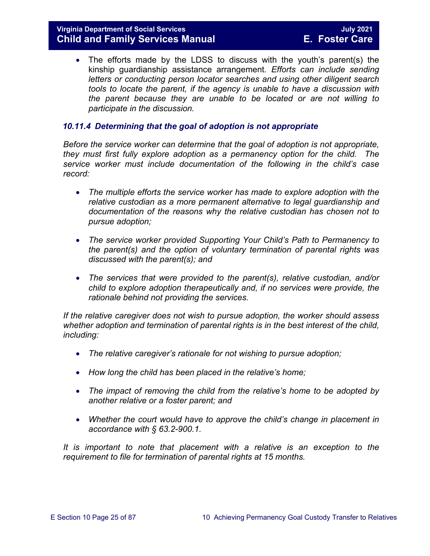• The efforts made by the LDSS to discuss with the youth's parent(s) the kinship guardianship assistance arrangement*. Efforts can include sending letters or conducting person locator searches and using other diligent search tools to locate the parent, if the agency is unable to have a discussion with the parent because they are unable to be located or are not willing to participate in the discussion.* 

#### <span id="page-24-0"></span>*10.11.4 Determining that the goal of adoption is not appropriate*

*Before the service worker can determine that the goal of adoption is not appropriate, they must first fully explore adoption as a permanency option for the child. The service worker must include documentation of the following in the child's case record:* 

- The multiple efforts the service worker has made to explore adoption with the *relative custodian as a more permanent alternative to legal guardianship and documentation of the reasons why the relative custodian has chosen not to pursue adoption;*
- *The service worker provided Supporting Your Child's Path to Permanency to the parent(s) and the option of voluntary termination of parental rights was discussed with the parent(s); and*
- *The services that were provided to the parent(s), relative custodian, and/or child to explore adoption therapeutically and, if no services were provide, the rationale behind not providing the services.*

*If the relative caregiver does not wish to pursue adoption, the worker should assess whether adoption and termination of parental rights is in the best interest of the child, including:*

- *The relative caregiver's rationale for not wishing to pursue adoption;*
- *How long the child has been placed in the relative's home;*
- *The impact of removing the child from the relative's home to be adopted by another relative or a foster parent; and*
- *Whether the court would have to approve the child's change in placement in accordance with § 63.2-900.1.*

It is important to note that placement with a relative is an exception to the *requirement to file for termination of parental rights at 15 months.*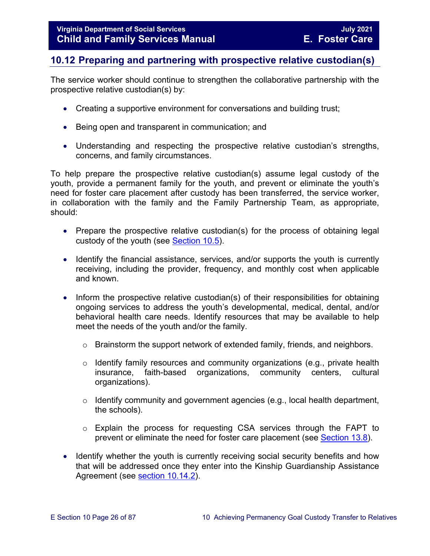# <span id="page-25-0"></span>**10.12 Preparing and partnering with prospective relative custodian(s)**

The service worker should continue to strengthen the collaborative partnership with the prospective relative custodian(s) by:

- Creating a supportive environment for conversations and building trust;
- Being open and transparent in communication; and
- Understanding and respecting the prospective relative custodian's strengths, concerns, and family circumstances.

To help prepare the prospective relative custodian(s) assume legal custody of the youth, provide a permanent family for the youth, and prevent or eliminate the youth's need for foster care placement after custody has been transferred, the service worker, in collaboration with the family and the Family Partnership Team, as appropriate, should:

- Prepare the prospective relative custodian(s) for the process of obtaining legal custody of the youth (see [Section 10.5\)](#page-15-0).
- Identify the financial assistance, services, and/or supports the youth is currently receiving, including the provider, frequency, and monthly cost when applicable and known.
- Inform the prospective relative custodian(s) of their responsibilities for obtaining ongoing services to address the youth's developmental, medical, dental, and/or behavioral health care needs. Identify resources that may be available to help meet the needs of the youth and/or the family.
	- o Brainstorm the support network of extended family, friends, and neighbors.
	- o Identify family resources and community organizations (e.g., private health insurance, faith-based organizations, community centers, cultural organizations).
	- o Identify community and government agencies (e.g., local health department, the schools).
	- o Explain the process for requesting CSA services through the FAPT to prevent or eliminate the need for foster care placement (see [Section 13.8\)](https://fusion.dss.virginia.gov/Portals/%5bdfs%5d/Files/DFS%20Manuals/Foster%20Care%20Manuals/Foster%20Care%20Manual%2007-2020/Final%20Foster%20Care%20Manual%2007-2020/Section_13_achieving_permanency_for_older_youth.pdf#page=23).
- Identify whether the youth is currently receiving social security benefits and how that will be addressed once they enter into the Kinship Guardianship Assistance Agreement (see [section 10.14.2\)](#page-30-0).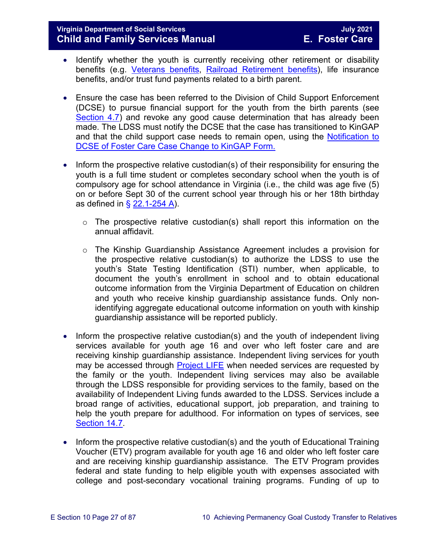# **Virginia Department of Social Services July 2021 Child and Family Services Manual**

- Identify whether the youth is currently receiving other retirement or disability benefits (e.g. [Veterans benefits,](http://www.vba.va.gov/VBA/) [Railroad Retirement benefits\)](http://www.rrb.gov/), life insurance benefits, and/or trust fund payments related to a birth parent.
- Ensure the case has been referred to the Division of Child Support Enforcement (DCSE) to pursue financial support for the youth from the birth parents (see [Section 4.7\)](https://fusion.dss.virginia.gov/Portals/%5bdfs%5d/Files/DFS%20Manuals/Foster%20Care%20Manuals/Foster%20Care%20Manual%2007-2020/Final%20Foster%20Care%20Manual%2007-2020/section_4_opening_and_maintaining_case.pdf#page=12) and revoke any good cause determination that has already been made. The LDSS must notify the DCSE that the case has transitioned to KinGAP and that the child support case needs to remain open, using the [Notification to](https://fusion.dss.virginia.gov/Portals/%5bdfs%5d/Files/DFS%20FORMS/Foster%20Care%20Forms/Notification%20to%20DCSE%20of%20Case%20Change%20to%20KinGAP.pdf)  [DCSE of Foster Care Case Change to KinGAP Form.](https://fusion.dss.virginia.gov/Portals/%5bdfs%5d/Files/DFS%20FORMS/Foster%20Care%20Forms/Notification%20to%20DCSE%20of%20Case%20Change%20to%20KinGAP.pdf)
- Inform the prospective relative custodian(s) of their responsibility for ensuring the youth is a full time student or completes secondary school when the youth is of compulsory age for school attendance in Virginia (i.e., the child was age five (5) on or before Sept 30 of the current school year through his or her 18th birthday as defined in  $\S$  [22.1-254 A\)](https://law.lis.virginia.gov/vacode/22.1-254/).
	- $\circ$  The prospective relative custodian(s) shall report this information on the annual affidavit.
	- o The Kinship Guardianship Assistance Agreement includes a provision for the prospective relative custodian(s) to authorize the LDSS to use the youth's State Testing Identification (STI) number, when applicable, to document the youth's enrollment in school and to obtain educational outcome information from the Virginia Department of Education on children and youth who receive kinship guardianship assistance funds. Only nonidentifying aggregate educational outcome information on youth with kinship guardianship assistance will be reported publicly.
- Inform the prospective relative custodian(s) and the youth of independent living services available for youth age 16 and over who left foster care and are receiving kinship guardianship assistance. Independent living services for youth may be accessed through **Project LIFE** when needed services are requested by the family or the youth. Independent living services may also be available through the LDSS responsible for providing services to the family, based on the availability of Independent Living funds awarded to the LDSS. Services include a broad range of activities, educational support, job preparation, and training to help the youth prepare for adulthood. For information on types of services, see [Section 14.7.](https://fusion.dss.virginia.gov/Portals/%5bdfs%5d/Files/DFS%20Manuals/Foster%20Care%20Manuals/Foster%20Care%20Manual%2007-2020/Final%20Foster%20Care%20Manual%2007-2020/Section_14_Fostering_Futures.pdf#page=35)
- Inform the prospective relative custodian(s) and the youth of Educational Training Voucher (ETV) program available for youth age 16 and older who left foster care and are receiving kinship guardianship assistance. The ETV Program provides federal and state funding to help eligible youth with expenses associated with college and post-secondary vocational training programs. Funding of up to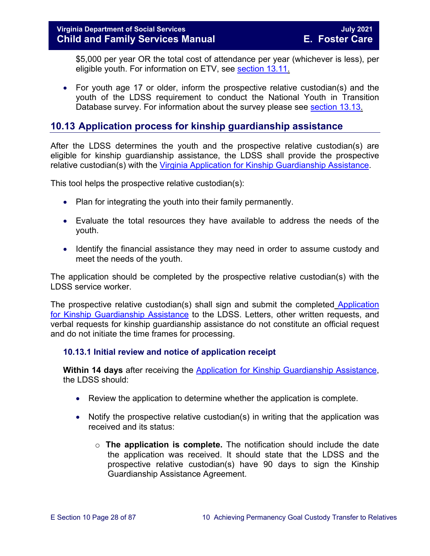\$5,000 per year OR the total cost of attendance per year (whichever is less), per eligible youth. For information on ETV, see [section 13.11.](https://fusion.dss.virginia.gov/Portals/%5bdfs%5d/Files/DFS%20Manuals/Foster%20Care%20Manuals/Foster%20Care%20Manual%2007-2020/Final%20Foster%20Care%20Manual%2007-2020/Section_13_achieving_permanency_for_older_youth.pdf#page=26)

• For youth age 17 or older, inform the prospective relative custodian(s) and the youth of the LDSS requirement to conduct the National Youth in Transition Database survey. For information about the survey please see [section 13.13.](https://fusion.dss.virginia.gov/Portals/%5bdfs%5d/Files/DFS%20Manuals/Foster%20Care%20Manuals/Foster%20Care%20Manual%2007-2020/Final%20Foster%20Care%20Manual%2007-2020/Section_13_achieving_permanency_for_older_youth.pdf#page=33)

# <span id="page-27-0"></span>**10.13 Application process for kinship guardianship assistance**

After the LDSS determines the youth and the prospective relative custodian(s) are eligible for kinship guardianship assistance, the LDSS shall provide the prospective relative custodian(s) with the [Virginia Application for Kinship Guardianship Assistance.](https://fusion.dss.virginia.gov/Portals/%5Bdfs%5D/Files/DFS%20FORMS/Family%20Services-Generic%20Forms/Application%20for%20Assistance.pdf)

This tool helps the prospective relative custodian(s):

- Plan for integrating the youth into their family permanently.
- Evaluate the total resources they have available to address the needs of the youth.
- Identify the financial assistance they may need in order to assume custody and meet the needs of the youth.

The application should be completed by the prospective relative custodian(s) with the LDSS service worker.

The prospective relative custodian(s) shall sign and submit the completed Application [for Kinship Guardianship Assistance](https://fusion.dss.virginia.gov/Portals/%5Bdfs%5D/Files/DFS%20FORMS/Family%20Services-Generic%20Forms/Application%20for%20Assistance.pdf) to the LDSS. Letters, other written requests, and verbal requests for kinship guardianship assistance do not constitute an official request and do not initiate the time frames for processing.

# <span id="page-27-1"></span>**10.13.1 Initial review and notice of application receipt**

**Within 14 days** after receiving the [Application for Kinship Guardianship Assistance,](https://fusion.dss.virginia.gov/Portals/%5Bdfs%5D/Files/DFS%20FORMS/Family%20Services-Generic%20Forms/Application%20for%20Assistance.pdf) the LDSS should:

- Review the application to determine whether the application is complete.
- Notify the prospective relative custodian(s) in writing that the application was received and its status:
	- o **The application is complete.** The notification should include the date the application was received. It should state that the LDSS and the prospective relative custodian(s) have 90 days to sign the Kinship Guardianship Assistance Agreement.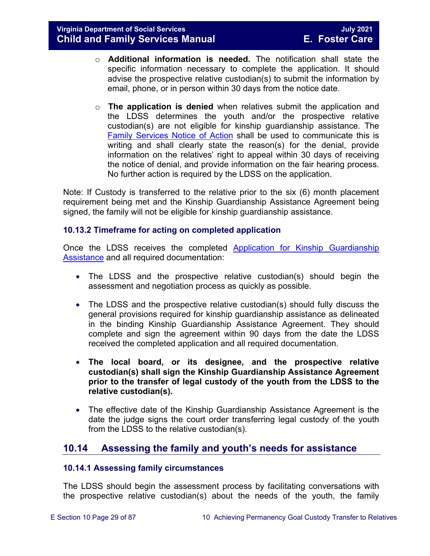- o **Additional information is needed.** The notification shall state the specific information necessary to complete the application. It should advise the prospective relative custodian(s) to submit the information by email, phone, or in person within 30 days from the notice date.
- o **The application is denied** when relatives submit the application and the LDSS determines the youth and/or the prospective relative custodian(s) are not eligible for kinship guardianship assistance. The [Family Services Notice of Action](https://fusion.dss.virginia.gov/Portals/%5Bdfs%5D/Files/DFS%20FORMS/Family%20Services-Generic%20Forms/Family%20Services%20Notice%20of%20Action%20and%20Right%20to%20Appeal.pdf) shall be used to communicate this is writing and shall clearly state the reason(s) for the denial, provide information on the relatives' right to appeal within 30 days of receiving the notice of denial, and provide information on the fair hearing process. No further action is required by the LDSS on the application.

Note: If Custody is transferred to the relative prior to the six (6) month placement requirement being met and the Kinship Guardianship Assistance Agreement being signed, the family will not be eligible for kinship guardianship assistance.

# <span id="page-28-0"></span>**10.13.2 Timeframe for acting on completed application**

Once the LDSS receives the completed [Application for Kinship Guardianship](https://fusion.dss.virginia.gov/Portals/%5Bdfs%5D/Files/DFS%20FORMS/Family%20Services-Generic%20Forms/Application%20for%20Assistance.pdf)  [Assistance](https://fusion.dss.virginia.gov/Portals/%5Bdfs%5D/Files/DFS%20FORMS/Family%20Services-Generic%20Forms/Application%20for%20Assistance.pdf) and all required documentation:

- The LDSS and the prospective relative custodian(s) should begin the assessment and negotiation process as quickly as possible.
- The LDSS and the prospective relative custodian(s) should fully discuss the general provisions required for kinship guardianship assistance as delineated in the binding Kinship Guardianship Assistance Agreement. They should complete and sign the agreement within 90 days from the date the LDSS received the completed application and all required documentation.
- **The local board, or its designee, and the prospective relative custodian(s) shall sign the Kinship Guardianship Assistance Agreement prior to the transfer of legal custody of the youth from the LDSS to the relative custodian(s).**
- The effective date of the Kinship Guardianship Assistance Agreement is the date the judge signs the court order transferring legal custody of the youth from the LDSS to the relative custodian(s).

# <span id="page-28-1"></span>**10.14 Assessing the family and youth's needs for assistance**

#### <span id="page-28-2"></span>**10.14.1 Assessing family circumstances**

The LDSS should begin the assessment process by facilitating conversations with the prospective relative custodian(s) about the needs of the youth, the family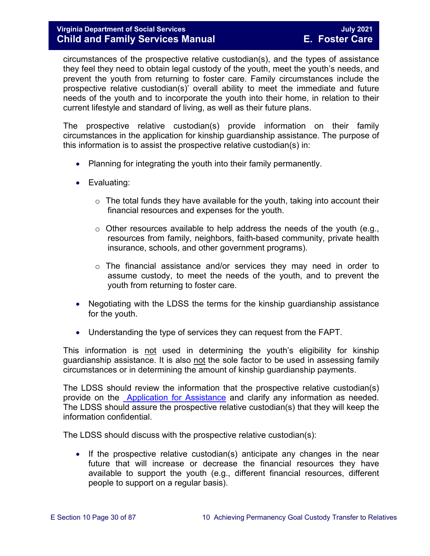circumstances of the prospective relative custodian(s), and the types of assistance they feel they need to obtain legal custody of the youth, meet the youth's needs, and prevent the youth from returning to foster care. Family circumstances include the prospective relative custodian(s)' overall ability to meet the immediate and future needs of the youth and to incorporate the youth into their home, in relation to their current lifestyle and standard of living, as well as their future plans.

The prospective relative custodian(s) provide information on their family circumstances in the application for kinship guardianship assistance. The purpose of this information is to assist the prospective relative custodian(s) in:

- Planning for integrating the youth into their family permanently.
- Evaluating:
	- $\circ$  The total funds they have available for the youth, taking into account their financial resources and expenses for the youth.
	- $\circ$  Other resources available to help address the needs of the youth (e.g., resources from family, neighbors, faith-based community, private health insurance, schools, and other government programs).
	- o The financial assistance and/or services they may need in order to assume custody, to meet the needs of the youth, and to prevent the youth from returning to foster care.
- Negotiating with the LDSS the terms for the kinship guardianship assistance for the youth.
- Understanding the type of services they can request from the FAPT.

This information is not used in determining the youth's eligibility for kinship guardianship assistance. It is also not the sole factor to be used in assessing family circumstances or in determining the amount of kinship guardianship payments.

The LDSS should review the information that the prospective relative custodian(s) provide on the [Application for Assistance](https://fusion.dss.virginia.gov/Portals/%5Bdfs%5D/Files/DFS%20FORMS/Family%20Services-Generic%20Forms/Application%20for%20Assistance.pdf) and clarify any information as needed. The LDSS should assure the prospective relative custodian(s) that they will keep the information confidential.

The LDSS should discuss with the prospective relative custodian(s):

• If the prospective relative custodian(s) anticipate any changes in the near future that will increase or decrease the financial resources they have available to support the youth (e.g., different financial resources, different people to support on a regular basis).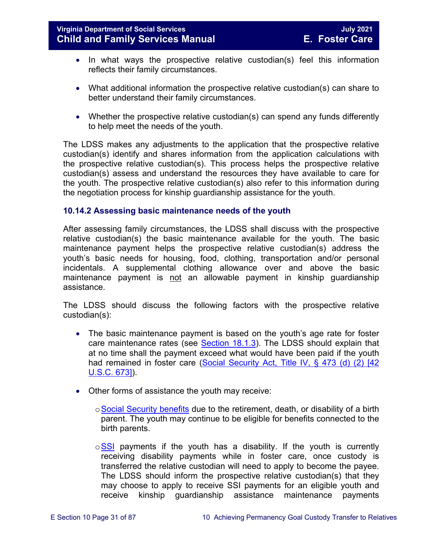- In what ways the prospective relative custodian(s) feel this information reflects their family circumstances.
- What additional information the prospective relative custodian(s) can share to better understand their family circumstances.
- Whether the prospective relative custodian(s) can spend any funds differently to help meet the needs of the youth.

The LDSS makes any adjustments to the application that the prospective relative custodian(s) identify and shares information from the application calculations with the prospective relative custodian(s). This process helps the prospective relative custodian(s) assess and understand the resources they have available to care for the youth. The prospective relative custodian(s) also refer to this information during the negotiation process for kinship guardianship assistance for the youth.

#### <span id="page-30-0"></span>**10.14.2 Assessing basic maintenance needs of the youth**

After assessing family circumstances, the LDSS shall discuss with the prospective relative custodian(s) the basic maintenance available for the youth. The basic maintenance payment helps the prospective relative custodian(s) address the youth's basic needs for housing, food, clothing, transportation and/or personal incidentals. A supplemental clothing allowance over and above the basic maintenance payment is not an allowable payment in kinship guardianship assistance.

The LDSS should discuss the following factors with the prospective relative custodian(s):

- The basic maintenance payment is based on the youth's age rate for foster care maintenance rates (see [Section 18.1.3\)](https://fusion.dss.virginia.gov/Portals/%5bdfs%5d/Files/DFS%20Manuals/Foster%20Care%20Manuals/Foster%20Care%20Manual%2007-2020/Final%20Foster%20Care%20Manual%2007-2020/section_18_funding_maintenance_costs.pdf#page=4). The LDSS should explain that at no time shall the payment exceed what would have been paid if the youth had remained in foster care (Social Security Act, Title IV, § 473 (d) (2) [42 [U.S.C. 673\]\)](http://www.socialsecurity.gov/OP_Home/ssact/title04/0473.htm).
- Other forms of assistance the youth may receive:
	- o[Social Security benefits](http://www.socialsecurity.gov/) due to the retirement, death, or disability of a birth parent. The youth may continue to be eligible for benefits connected to the birth parents.
	- $\circ$  [SSI](http://www.socialsecurity.gov/pgm/ssi.htm) payments if the youth has a disability. If the youth is currently receiving disability payments while in foster care, once custody is transferred the relative custodian will need to apply to become the payee. The LDSS should inform the prospective relative custodian(s) that they may choose to apply to receive SSI payments for an eligible youth and receive kinship guardianship assistance maintenance payments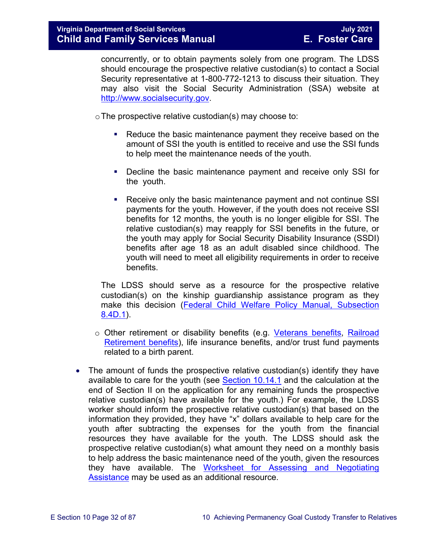concurrently, or to obtain payments solely from one program. The LDSS should encourage the prospective relative custodian(s) to contact a Social Security representative at 1-800-772-1213 to discuss their situation. They may also visit the Social Security Administration (SSA) website at [http://www.socialsecurity.gov.](http://www.socialsecurity.gov/)

 $\circ$  The prospective relative custodian(s) may choose to:

- Reduce the basic maintenance payment they receive based on the amount of SSI the youth is entitled to receive and use the SSI funds to help meet the maintenance needs of the youth.
- Decline the basic maintenance payment and receive only SSI for the youth.
- Receive only the basic maintenance payment and not continue SSI payments for the youth. However, if the youth does not receive SSI benefits for 12 months, the youth is no longer eligible for SSI. The relative custodian(s) may reapply for SSI benefits in the future, or the youth may apply for Social Security Disability Insurance (SSDI) benefits after age 18 as an adult disabled since childhood. The youth will need to meet all eligibility requirements in order to receive benefits.

The LDSS should serve as a resource for the prospective relative custodian(s) on the kinship guardianship assistance program as they make this decision [\(Federal Child Welfare Policy Manual, Subsection](http://www.acf.hhs.gov/cwpm/programs/cb/laws_policies/laws/cwpm/questDetail.jsp?QAId=76)  [8.4D.1\)](http://www.acf.hhs.gov/cwpm/programs/cb/laws_policies/laws/cwpm/questDetail.jsp?QAId=76).

- o Other retirement or disability benefits (e.g. [Veterans benefits,](http://www.vba.va.gov/VBA/) [Railroad](http://www.rrb.gov/)  [Retirement benefits\)](http://www.rrb.gov/), life insurance benefits, and/or trust fund payments related to a birth parent.
- The amount of funds the prospective relative custodian(s) identify they have available to care for the youth (see [Section 10.14.1](#page-28-2) and the calculation at the end of Section II on the application for any remaining funds the prospective relative custodian(s) have available for the youth.) For example, the LDSS worker should inform the prospective relative custodian(s) that based on the information they provided, they have "x" dollars available to help care for the youth after subtracting the expenses for the youth from the financial resources they have available for the youth. The LDSS should ask the prospective relative custodian(s) what amount they need on a monthly basis to help address the basic maintenance need of the youth, given the resources they have available. The [Worksheet for Assessing and Negotiating](https://fusion.dss.virginia.gov/Portals/%5Bdfs%5D/Files/Adoption/Adoption%20Assistance/Assessing%20and%20Negotiating%20-%20Worksheet.doc)  [Assistance](https://fusion.dss.virginia.gov/Portals/%5Bdfs%5D/Files/Adoption/Adoption%20Assistance/Assessing%20and%20Negotiating%20-%20Worksheet.doc) may be used as an additional resource.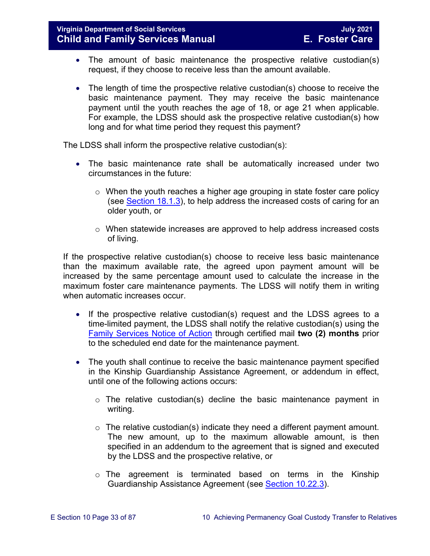- The amount of basic maintenance the prospective relative custodian(s) request, if they choose to receive less than the amount available.
- The length of time the prospective relative custodian(s) choose to receive the basic maintenance payment. They may receive the basic maintenance payment until the youth reaches the age of 18, or age 21 when applicable. For example, the LDSS should ask the prospective relative custodian(s) how long and for what time period they request this payment?

The LDSS shall inform the prospective relative custodian(s):

- The basic maintenance rate shall be automatically increased under two circumstances in the future:
	- o When the youth reaches a higher age grouping in state foster care policy (see [Section 18.1.3\)](https://fusion.dss.virginia.gov/Portals/%5bdfs%5d/Files/DFS%20Manuals/Foster%20Care%20Manuals/Foster%20Care%20Manual%2007-2020/Final%20Foster%20Care%20Manual%2007-2020/section_18_funding_maintenance_costs.pdf#page=4), to help address the increased costs of caring for an older youth, or
	- o When statewide increases are approved to help address increased costs of living.

If the prospective relative custodian(s) choose to receive less basic maintenance than the maximum available rate, the agreed upon payment amount will be increased by the same percentage amount used to calculate the increase in the maximum foster care maintenance payments. The LDSS will notify them in writing when automatic increases occur.

- If the prospective relative custodian(s) request and the LDSS agrees to a time-limited payment, the LDSS shall notify the relative custodian(s) using the [Family Services Notice of Action](https://fusion.dss.virginia.gov/Portals/%5Bdfs%5D/Files/DFS%20FORMS/Family%20Services-Generic%20Forms/Family%20Services%20Notice%20of%20Action%20and%20Right%20to%20Appeal.pdf) through certified mail **two (2) months** prior to the scheduled end date for the maintenance payment.
- The youth shall continue to receive the basic maintenance payment specified in the Kinship Guardianship Assistance Agreement, or addendum in effect, until one of the following actions occurs:
	- o The relative custodian(s) decline the basic maintenance payment in writing.
	- $\circ$  The relative custodian(s) indicate they need a different payment amount. The new amount, up to the maximum allowable amount, is then specified in an addendum to the agreement that is signed and executed by the LDSS and the prospective relative, or
	- o The agreement is terminated based on terms in the Kinship Guardianship Assistance Agreement (see [Section 10.22.3\)](#page-70-0).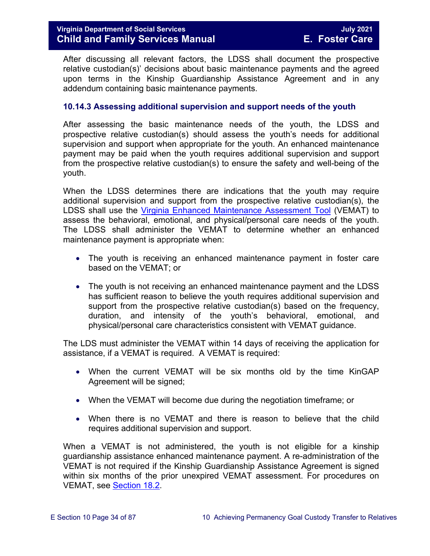After discussing all relevant factors, the LDSS shall document the prospective relative custodian(s)' decisions about basic maintenance payments and the agreed upon terms in the Kinship Guardianship Assistance Agreement and in any addendum containing basic maintenance payments.

#### <span id="page-33-0"></span>**10.14.3 Assessing additional supervision and support needs of the youth**

After assessing the basic maintenance needs of the youth, the LDSS and prospective relative custodian(s) should assess the youth's needs for additional supervision and support when appropriate for the youth. An enhanced maintenance payment may be paid when the youth requires additional supervision and support from the prospective relative custodian(s) to ensure the safety and well-being of the youth.

When the LDSS determines there are indications that the youth may require additional supervision and support from the prospective relative custodian(s), the LDSS shall use the [Virginia Enhanced Maintenance Assessment Tool](https://fusion.dss.virginia.gov/dis/IT-Services/Applications/VEMAT) (VEMAT) to assess the behavioral, emotional, and physical/personal care needs of the youth. The LDSS shall administer the VEMAT to determine whether an enhanced maintenance payment is appropriate when:

- The youth is receiving an enhanced maintenance payment in foster care based on the VEMAT; or
- The youth is not receiving an enhanced maintenance payment and the LDSS has sufficient reason to believe the youth requires additional supervision and support from the prospective relative custodian(s) based on the frequency, duration, and intensity of the youth's behavioral, emotional, and physical/personal care characteristics consistent with VEMAT guidance.

The LDS must administer the VEMAT within 14 days of receiving the application for assistance, if a VEMAT is required. A VEMAT is required:

- When the current VEMAT will be six months old by the time KinGAP Agreement will be signed;
- When the VEMAT will become due during the negotiation timeframe; or
- When there is no VEMAT and there is reason to believe that the child requires additional supervision and support.

When a VEMAT is not administered, the youth is not eligible for a kinship guardianship assistance enhanced maintenance payment. A re-administration of the VEMAT is not required if the Kinship Guardianship Assistance Agreement is signed within six months of the prior unexpired VEMAT assessment. For procedures on VEMAT, see [Section 18.2.](https://fusion.dss.virginia.gov/Portals/%5bdfs%5d/Files/DFS%20Manuals/Foster%20Care%20Manuals/Foster%20Care%20Manual%2007-2020/Final%20Foster%20Care%20Manual%2007-2020/section_18_funding_maintenance_costs.pdf#page=11)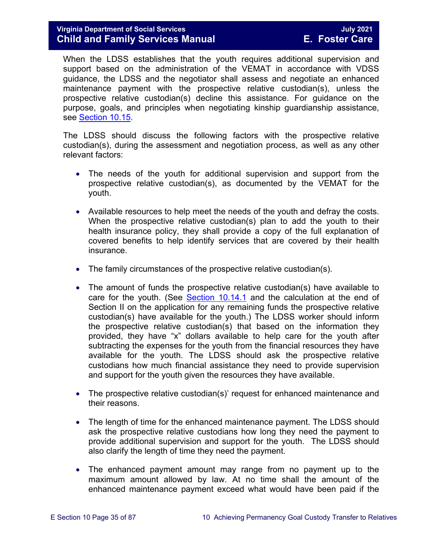# **Virginia Department of Social Services July 2021 Child and Family Services Manual**

When the LDSS establishes that the youth requires additional supervision and support based on the administration of the VEMAT in accordance with VDSS guidance, the LDSS and the negotiator shall assess and negotiate an enhanced maintenance payment with the prospective relative custodian(s), unless the prospective relative custodian(s) decline this assistance. For guidance on the purpose, goals, and principles when negotiating kinship guardianship assistance, see [Section 10.15.](#page-39-0)

The LDSS should discuss the following factors with the prospective relative custodian(s), during the assessment and negotiation process, as well as any other relevant factors:

- The needs of the youth for additional supervision and support from the prospective relative custodian(s), as documented by the VEMAT for the youth.
- Available resources to help meet the needs of the youth and defray the costs. When the prospective relative custodian(s) plan to add the youth to their health insurance policy, they shall provide a copy of the full explanation of covered benefits to help identify services that are covered by their health insurance.
- The family circumstances of the prospective relative custodian(s).
- The amount of funds the prospective relative custodian(s) have available to care for the youth. (See [Section 10.14.1](#page-28-2) and the calculation at the end of Section II on the application for any remaining funds the prospective relative custodian(s) have available for the youth.) The LDSS worker should inform the prospective relative custodian(s) that based on the information they provided, they have "x" dollars available to help care for the youth after subtracting the expenses for the youth from the financial resources they have available for the youth. The LDSS should ask the prospective relative custodians how much financial assistance they need to provide supervision and support for the youth given the resources they have available.
- The prospective relative custodian(s)' request for enhanced maintenance and their reasons.
- The length of time for the enhanced maintenance payment. The LDSS should ask the prospective relative custodians how long they need the payment to provide additional supervision and support for the youth. The LDSS should also clarify the length of time they need the payment.
- The enhanced payment amount may range from no payment up to the maximum amount allowed by law. At no time shall the amount of the enhanced maintenance payment exceed what would have been paid if the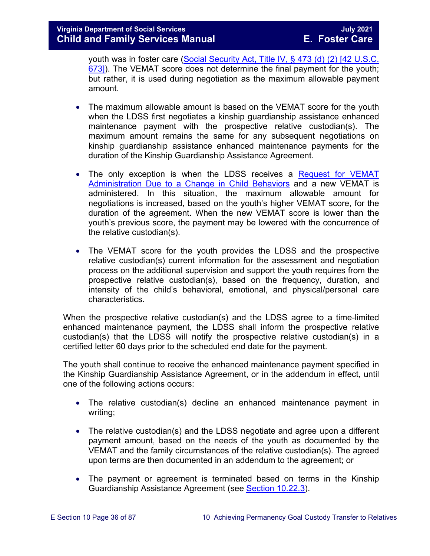youth was in foster care [\(Social Security Act, Title IV, § 473 \(d\) \(2\) \[42 U.S.C.](http://www.socialsecurity.gov/OP_Home/ssact/title04/0473.htm)  [673\]\)](http://www.socialsecurity.gov/OP_Home/ssact/title04/0473.htm). The VEMAT score does not determine the final payment for the youth; but rather, it is used during negotiation as the maximum allowable payment amount.

- The maximum allowable amount is based on the VEMAT score for the youth when the LDSS first negotiates a kinship guardianship assistance enhanced maintenance payment with the prospective relative custodian(s). The maximum amount remains the same for any subsequent negotiations on kinship guardianship assistance enhanced maintenance payments for the duration of the Kinship Guardianship Assistance Agreement.
- The only exception is when the LDSS receives a Request for VEMAT [Administration Due to a Change in Child Behaviors](https://fusion.dss.virginia.gov/Portals/%5BDIS%5D/Files/032-04-0048-01-eng.doc) and a new VEMAT is administered. In this situation, the maximum allowable amount for negotiations is increased, based on the youth's higher VEMAT score, for the duration of the agreement. When the new VEMAT score is lower than the youth's previous score, the payment may be lowered with the concurrence of the relative custodian(s).
- The VEMAT score for the youth provides the LDSS and the prospective relative custodian(s) current information for the assessment and negotiation process on the additional supervision and support the youth requires from the prospective relative custodian(s), based on the frequency, duration, and intensity of the child's behavioral, emotional, and physical/personal care characteristics.

When the prospective relative custodian(s) and the LDSS agree to a time-limited enhanced maintenance payment, the LDSS shall inform the prospective relative custodian(s) that the LDSS will notify the prospective relative custodian(s) in a certified letter 60 days prior to the scheduled end date for the payment.

The youth shall continue to receive the enhanced maintenance payment specified in the Kinship Guardianship Assistance Agreement, or in the addendum in effect, until one of the following actions occurs:

- The relative custodian(s) decline an enhanced maintenance payment in writing;
- The relative custodian(s) and the LDSS negotiate and agree upon a different payment amount, based on the needs of the youth as documented by the VEMAT and the family circumstances of the relative custodian(s). The agreed upon terms are then documented in an addendum to the agreement; or
- The payment or agreement is terminated based on terms in the Kinship Guardianship Assistance Agreement (see [Section 10.22.3\)](#page-70-0).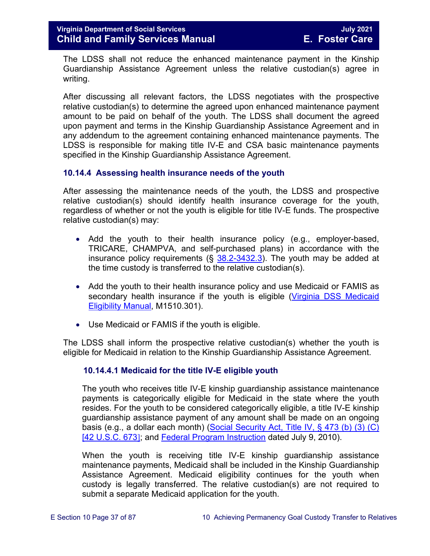The LDSS shall not reduce the enhanced maintenance payment in the Kinship Guardianship Assistance Agreement unless the relative custodian(s) agree in writing.

After discussing all relevant factors, the LDSS negotiates with the prospective relative custodian(s) to determine the agreed upon enhanced maintenance payment amount to be paid on behalf of the youth. The LDSS shall document the agreed upon payment and terms in the Kinship Guardianship Assistance Agreement and in any addendum to the agreement containing enhanced maintenance payments. The LDSS is responsible for making title IV-E and CSA basic maintenance payments specified in the Kinship Guardianship Assistance Agreement.

### **10.14.4 Assessing health insurance needs of the youth**

After assessing the maintenance needs of the youth, the LDSS and prospective relative custodian(s) should identify health insurance coverage for the youth, regardless of whether or not the youth is eligible for title IV-E funds. The prospective relative custodian(s) may:

- Add the youth to their health insurance policy (e.g., employer-based, TRICARE, CHAMPVA, and self-purchased plans) in accordance with the insurance policy requirements ( $\S$   $38.2$ -3432.3). The youth may be added at the time custody is transferred to the relative custodian(s).
- Add the youth to their health insurance policy and use Medicaid or FAMIS as secondary health insurance if the youth is eligible (Virginia DSS Medicaid [Eligibility Manual,](http://www.dss.virginia.gov/benefit/medical_assistance/manual.cgi) M1510.301).
- Use Medicaid or FAMIS if the youth is eligible.

The LDSS shall inform the prospective relative custodian(s) whether the youth is eligible for Medicaid in relation to the Kinship Guardianship Assistance Agreement.

## **10.14.4.1 Medicaid for the title IV-E eligible youth**

The youth who receives title IV-E kinship guardianship assistance maintenance payments is categorically eligible for Medicaid in the state where the youth resides. For the youth to be considered categorically eligible, a title IV-E kinship guardianship assistance payment of any amount shall be made on an ongoing basis (e.g., a dollar each month) [\(Social Security Act, Title IV, § 473 \(b\) \(3\) \(C\)](http://www.socialsecurity.gov/OP_Home/ssact/title04/0473.htm)  [\[42 U.S.C. 673](http://www.socialsecurity.gov/OP_Home/ssact/title04/0473.htm)]; and [Federal Program Instruction](http://www.acf.hhs.gov/programs/cb/laws_policies/policy/pi/2010/pi1011.htm#sectd) dated July 9, 2010).

When the youth is receiving title IV-E kinship guardianship assistance maintenance payments, Medicaid shall be included in the Kinship Guardianship Assistance Agreement. Medicaid eligibility continues for the youth when custody is legally transferred. The relative custodian(s) are not required to submit a separate Medicaid application for the youth.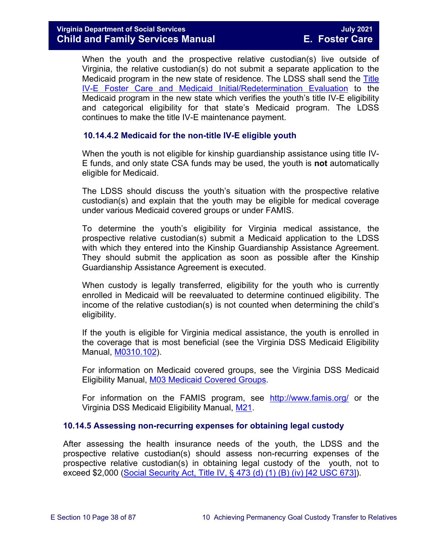When the youth and the prospective relative custodian(s) live outside of Virginia, the relative custodian(s) do not submit a separate application to the Medicaid program in the new state of residence. The LDSS shall send the [Title](https://fusion.dss.virginia.gov/dfs/DFS-Home/Title-IV-E/Title-IV-E-Forms)  [IV-E Foster Care and Medicaid Initial/Redetermination Evaluation](https://fusion.dss.virginia.gov/dfs/DFS-Home/Title-IV-E/Title-IV-E-Forms) to the Medicaid program in the new state which verifies the youth's title IV-E eligibility and categorical eligibility for that state's Medicaid program. The LDSS continues to make the title IV-E maintenance payment.

## **10.14.4.2 Medicaid for the non-title IV-E eligible youth**

When the youth is not eligible for kinship guardianship assistance using title IV-E funds, and only state CSA funds may be used, the youth is **not** automatically eligible for Medicaid.

The LDSS should discuss the youth's situation with the prospective relative custodian(s) and explain that the youth may be eligible for medical coverage under various Medicaid covered groups or under FAMIS.

To determine the youth's eligibility for Virginia medical assistance, the prospective relative custodian(s) submit a Medicaid application to the LDSS with which they entered into the Kinship Guardianship Assistance Agreement. They should submit the application as soon as possible after the Kinship Guardianship Assistance Agreement is executed.

When custody is legally transferred, eligibility for the youth who is currently enrolled in Medicaid will be reevaluated to determine continued eligibility. The income of the relative custodian(s) is not counted when determining the child's eligibility.

If the youth is eligible for Virginia medical assistance, the youth is enrolled in the coverage that is most beneficial (see the Virginia DSS Medicaid Eligibility Manual, [M0310.102\)](http://www.dss.virginia.gov/files/division/bp/medical_assistance/manual_transmittals/manual/m03.pdf).

For information on Medicaid covered groups, see the Virginia DSS Medicaid Eligibility Manual, [M03 Medicaid Covered Groups.](http://www.dss.virginia.gov/files/division/bp/medical_assistance/manual_transmittals/manual/m03.pdf)

For information on the FAMIS program, see <http://www.famis.org/> or the Virginia DSS Medicaid Eligibility Manual, [M21.](http://www.dss.virginia.gov/files/division/bp/medical_assistance/manual_transmittals/manual/m21.pdf)

## **10.14.5 Assessing non-recurring expenses for obtaining legal custody**

After assessing the health insurance needs of the youth, the LDSS and the prospective relative custodian(s) should assess non-recurring expenses of the prospective relative custodian(s) in obtaining legal custody of the youth, not to exceed \$2,000 [\(Social Security Act, Title IV, § 473 \(d\) \(1\) \(B\) \(iv\) \[42 USC 673\]\)](http://www.socialsecurity.gov/OP_Home/ssact/title04/0473.htm).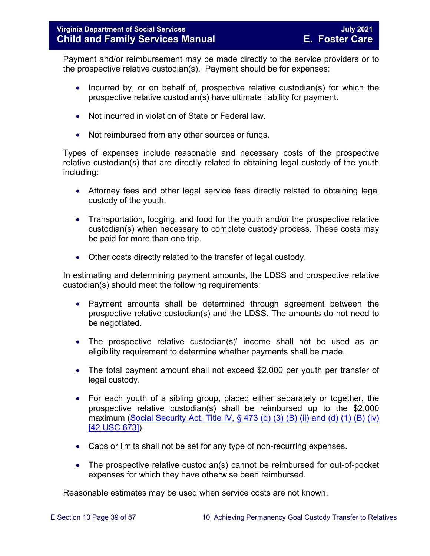Payment and/or reimbursement may be made directly to the service providers or to the prospective relative custodian(s). Payment should be for expenses:

- Incurred by, or on behalf of, prospective relative custodian(s) for which the prospective relative custodian(s) have ultimate liability for payment.
- Not incurred in violation of State or Federal law.
- Not reimbursed from any other sources or funds.

Types of expenses include reasonable and necessary costs of the prospective relative custodian(s) that are directly related to obtaining legal custody of the youth including:

- Attorney fees and other legal service fees directly related to obtaining legal custody of the youth.
- Transportation, lodging, and food for the youth and/or the prospective relative custodian(s) when necessary to complete custody process. These costs may be paid for more than one trip.
- Other costs directly related to the transfer of legal custody.

In estimating and determining payment amounts, the LDSS and prospective relative custodian(s) should meet the following requirements:

- Payment amounts shall be determined through agreement between the prospective relative custodian(s) and the LDSS. The amounts do not need to be negotiated.
- The prospective relative custodian(s)' income shall not be used as an eligibility requirement to determine whether payments shall be made.
- The total payment amount shall not exceed \$2,000 per youth per transfer of legal custody.
- For each youth of a sibling group, placed either separately or together, the prospective relative custodian(s) shall be reimbursed up to the \$2,000 maximum (Social Security Act, Title IV,  $\S$  473 (d) (3) (B) (ii) and (d) (1) (B) (iv) [\[42 USC 673\]\)](http://www.socialsecurity.gov/OP_Home/ssact/title04/0473.htm).
- Caps or limits shall not be set for any type of non-recurring expenses.
- The prospective relative custodian(s) cannot be reimbursed for out-of-pocket expenses for which they have otherwise been reimbursed.

Reasonable estimates may be used when service costs are not known.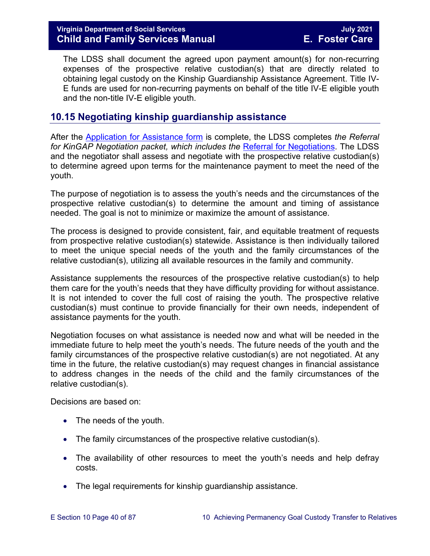The LDSS shall document the agreed upon payment amount(s) for non-recurring expenses of the prospective relative custodian(s) that are directly related to obtaining legal custody on the Kinship Guardianship Assistance Agreement. Title IV-E funds are used for non-recurring payments on behalf of the title IV-E eligible youth and the non-title IV-E eligible youth.

# **10.15 Negotiating kinship guardianship assistance**

After the Application for [Assistance form](https://fusion.dss.virginia.gov/Portals/%5Bdfs%5D/Files/DFS%20FORMS/Family%20Services-Generic%20Forms/Application%20for%20Assistance.pdf) is complete, the LDSS completes *the Referral for KinGAP Negotiation packet, which includes the* [Referral for Negotiations.](https://fusion.dss.virginia.gov/Portals/%5Bdfs%5D/Files/DFS%20FORMS/Family%20Services-Generic%20Forms/Referral%20for%20Negotiations.pdf) The LDSS and the negotiator shall assess and negotiate with the prospective relative custodian(s) to determine agreed upon terms for the maintenance payment to meet the need of the youth.

The purpose of negotiation is to assess the youth's needs and the circumstances of the prospective relative custodian(s) to determine the amount and timing of assistance needed. The goal is not to minimize or maximize the amount of assistance.

The process is designed to provide consistent, fair, and equitable treatment of requests from prospective relative custodian(s) statewide. Assistance is then individually tailored to meet the unique special needs of the youth and the family circumstances of the relative custodian(s), utilizing all available resources in the family and community.

Assistance supplements the resources of the prospective relative custodian(s) to help them care for the youth's needs that they have difficulty providing for without assistance. It is not intended to cover the full cost of raising the youth. The prospective relative custodian(s) must continue to provide financially for their own needs, independent of assistance payments for the youth.

Negotiation focuses on what assistance is needed now and what will be needed in the immediate future to help meet the youth's needs. The future needs of the youth and the family circumstances of the prospective relative custodian(s) are not negotiated. At any time in the future, the relative custodian(s) may request changes in financial assistance to address changes in the needs of the child and the family circumstances of the relative custodian(s).

Decisions are based on:

- The needs of the youth.
- The family circumstances of the prospective relative custodian(s).
- The availability of other resources to meet the youth's needs and help defray costs.
- The legal requirements for kinship guardianship assistance.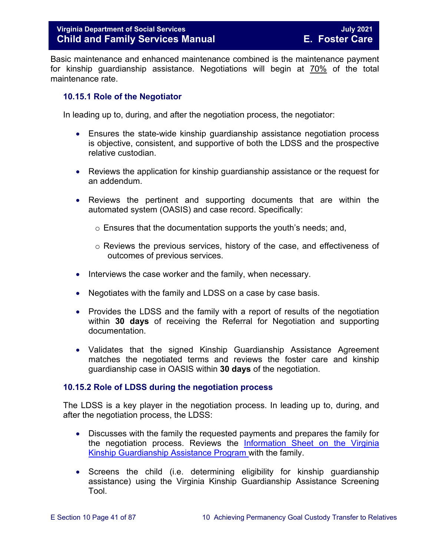Basic maintenance and enhanced maintenance combined is the maintenance payment for kinship guardianship assistance. Negotiations will begin at 70% of the total maintenance rate.

### **10.15.1 Role of the Negotiator**

In leading up to, during, and after the negotiation process, the negotiator:

- Ensures the state-wide kinship guardianship assistance negotiation process is objective, consistent, and supportive of both the LDSS and the prospective relative custodian.
- Reviews the application for kinship guardianship assistance or the request for an addendum.
- Reviews the pertinent and supporting documents that are within the automated system (OASIS) and case record. Specifically:
	- o Ensures that the documentation supports the youth's needs; and,
	- $\circ$  Reviews the previous services, history of the case, and effectiveness of outcomes of previous services.
- Interviews the case worker and the family, when necessary.
- Negotiates with the family and LDSS on a case by case basis.
- Provides the LDSS and the family with a report of results of the negotiation within **30 days** of receiving the Referral for Negotiation and supporting documentation.
- Validates that the signed Kinship Guardianship Assistance Agreement matches the negotiated terms and reviews the foster care and kinship guardianship case in OASIS within **30 days** of the negotiation.

### **10.15.2 Role of LDSS during the negotiation process**

The LDSS is a key player in the negotiation process. In leading up to, during, and after the negotiation process, the LDSS:

- Discusses with the family the requested payments and prepares the family for the negotiation process. Reviews the [Information Sheet on the Virginia](http://www.dss.virginia.gov/family/ap/index.cgi)  [Kinship Guardianship Assistance](http://www.dss.virginia.gov/family/ap/index.cgi) Program with the family.
- Screens the child (i.e. determining eligibility for kinship guardianship assistance) using the Virginia Kinship Guardianship Assistance Screening Tool.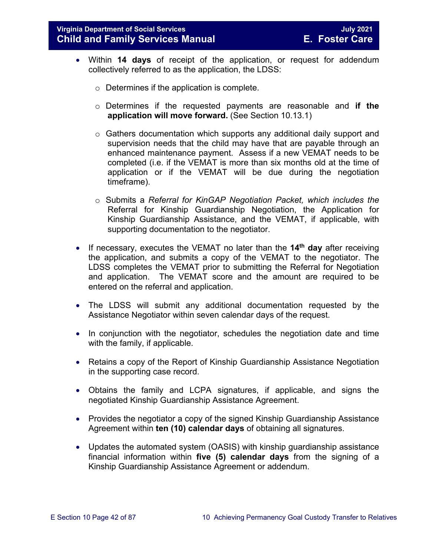- Within **14 days** of receipt of the application, or request for addendum collectively referred to as the application, the LDSS:
	- $\circ$  Determines if the application is complete.
	- o Determines if the requested payments are reasonable and **if the application will move forward.** (See Section 10.13.1)
	- $\circ$  Gathers documentation which supports any additional daily support and supervision needs that the child may have that are payable through an enhanced maintenance payment. Assess if a new VEMAT needs to be completed (i.e. if the VEMAT is more than six months old at the time of application or if the VEMAT will be due during the negotiation timeframe).
	- o Submits a *Referral for KinGAP Negotiation Packet, which includes the*  Referral for Kinship Guardianship Negotiation, the Application for Kinship Guardianship Assistance, and the VEMAT, if applicable, with supporting documentation to the negotiator.
- If necessary, executes the VEMAT no later than the **14th day** after receiving the application, and submits a copy of the VEMAT to the negotiator. The LDSS completes the VEMAT prior to submitting the Referral for Negotiation and application. The VEMAT score and the amount are required to be entered on the referral and application.
- The LDSS will submit any additional documentation requested by the Assistance Negotiator within seven calendar days of the request.
- In conjunction with the negotiator, schedules the negotiation date and time with the family, if applicable.
- Retains a copy of the Report of Kinship Guardianship Assistance Negotiation in the supporting case record.
- Obtains the family and LCPA signatures, if applicable, and signs the negotiated Kinship Guardianship Assistance Agreement.
- Provides the negotiator a copy of the signed Kinship Guardianship Assistance Agreement within **ten (10) calendar days** of obtaining all signatures.
- Updates the automated system (OASIS) with kinship guardianship assistance financial information within **five (5) calendar days** from the signing of a Kinship Guardianship Assistance Agreement or addendum.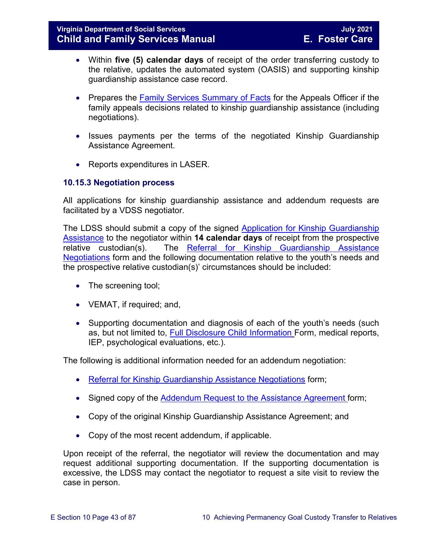- Within **five (5) calendar days** of receipt of the order transferring custody to the relative, updates the automated system (OASIS) and supporting kinship guardianship assistance case record.
- Prepares the [Family Services Summary of Facts](https://fusion.dss.virginia.gov/Portals/%5Bdfs%5D/Files/DFS%20FORMS/Family%20Services-Generic%20Forms/Family%20Services%20Summary%20of%20Facts.pdf) for the Appeals Officer if the family appeals decisions related to kinship guardianship assistance (including negotiations).
- Issues payments per the terms of the negotiated Kinship Guardianship Assistance Agreement.
- Reports expenditures in LASER.

## **10.15.3 Negotiation process**

All applications for kinship guardianship assistance and addendum requests are facilitated by a VDSS negotiator.

The LDSS should submit a copy of the signed [Application for Kinship Guardianship](https://fusion.dss.virginia.gov/Portals/%5Bdfs%5D/Files/DFS%20FORMS/Family%20Services-Generic%20Forms/Application%20for%20Assistance.pdf)  [Assistance](https://fusion.dss.virginia.gov/Portals/%5Bdfs%5D/Files/DFS%20FORMS/Family%20Services-Generic%20Forms/Application%20for%20Assistance.pdf) to the negotiator within **14 calendar days** of receipt from the prospective relative custodian(s). The [Referral for Kinship Guardianship Assistance](https://fusion.dss.virginia.gov/Portals/%5Bdfs%5D/Files/DFS%20FORMS/Family%20Services-Generic%20Forms/Referral%20for%20Negotiations.pdf) [Negotiations](https://fusion.dss.virginia.gov/Portals/%5Bdfs%5D/Files/DFS%20FORMS/Family%20Services-Generic%20Forms/Referral%20for%20Negotiations.pdf) form and the following documentation relative to the youth's needs and the prospective relative custodian(s)' circumstances should be included:

- The screening tool;
- VEMAT, if required; and,
- Supporting documentation and diagnosis of each of the youth's needs (such as, but not limited to, [Full Disclosure Child Information](https://fusion.dss.virginia.gov/Portals/%5Bdfs%5D/Files/Adoption/Full%20Disclosure%20Form.docx) Form, medical reports, IEP, psychological evaluations, etc.).

The following is additional information needed for an addendum negotiation:

- [Referral for Kinship Guardianship Assistance](https://fusion.dss.virginia.gov/Portals/%5Bdfs%5D/Files/DFS%20FORMS/Family%20Services-Generic%20Forms/Referral%20for%20Negotiations.pdf) Negotiations form;
- Signed copy of the Addendum Request to the [Assistance Agreement](https://fusion.dss.virginia.gov/Portals/%5Bdfs%5D/Files/DFS%20FORMS/Family%20Services-Generic%20Forms/Addendum%20Request%20to%20the%20Assistance%20Agreement.pdf) form;
- Copy of the original Kinship Guardianship Assistance Agreement; and
- Copy of the most recent addendum, if applicable.

Upon receipt of the referral, the negotiator will review the documentation and may request additional supporting documentation. If the supporting documentation is excessive, the LDSS may contact the negotiator to request a site visit to review the case in person.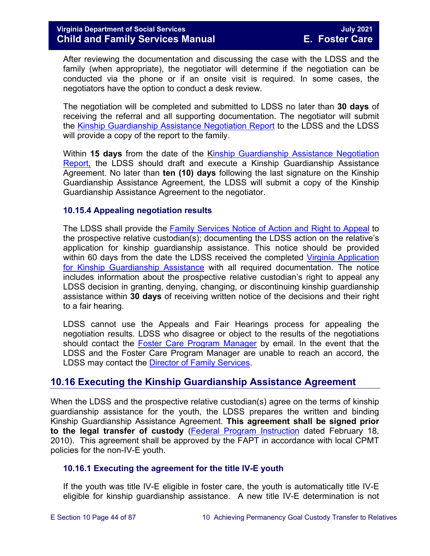After reviewing the documentation and discussing the case with the LDSS and the family (when appropriate), the negotiator will determine if the negotiation can be conducted via the phone or if an onsite visit is required. In some cases, the negotiators have the option to conduct a desk review.

The negotiation will be completed and submitted to LDSS no later than **30 days** of receiving the referral and all supporting documentation. The negotiator will submit the [Kinship Guardianship Assistance](https://fusion.dss.virginia.gov/Portals/%5Bdfs%5D/Files/DFS%20FORMS/Family%20Services-Generic%20Forms/Negotiation%20Report.pdf) Negotiation Report to the LDSS and the LDSS will provide a copy of the report to the family.

Within **15 days** from the date of the [Kinship Guardianship Assistance](https://fusion.dss.virginia.gov/Portals/%5Bdfs%5D/Files/DFS%20FORMS/Family%20Services-Generic%20Forms/Negotiation%20Report.pdf) Negotiation [Report,](https://fusion.dss.virginia.gov/Portals/%5Bdfs%5D/Files/DFS%20FORMS/Family%20Services-Generic%20Forms/Negotiation%20Report.pdf) the LDSS should draft and execute a Kinship Guardianship Assistance Agreement. No later than **ten (10) days** following the last signature on the Kinship Guardianship Assistance Agreement, the LDSS will submit a copy of the Kinship Guardianship Assistance Agreement to the negotiator.

### **10.15.4 Appealing negotiation results**

The LDSS shall provide the [Family Services Notice of Action and Right to Appeal](https://fusion.dss.virginia.gov/Portals/%5Bdfs%5D/Files/DFS%20FORMS/Family%20Services-Generic%20Forms/Family%20Services%20Notice%20of%20Action%20and%20Right%20to%20Appeal.pdf) to the prospective relative custodian(s); documenting the LDSS action on the relative's application for kinship guardianship assistance. This notice should be provided within 60 days from the date the LDSS received the completed Virginia Application [for Kinship Guardianship Assistance](https://fusion.dss.virginia.gov/Portals/%5Bdfs%5D/Files/DFS%20FORMS/Family%20Services-Generic%20Forms/Application%20for%20Assistance.pdf) with all required documentation. The notice includes information about the prospective relative custodian's right to appeal any LDSS decision in granting, denying, changing, or discontinuing kinship guardianship assistance within **30 days** of receiving written notice of the decisions and their right to a fair hearing.

LDSS cannot use the Appeals and Fair Hearings process for appealing the negotiation results. LDSS who disagree or object to the results of the negotiations should contact the [Foster Care Program](mailto:traci.jones@dss.virginia.gov) Manager by email. In the event that the LDSS and the Foster Care Program Manager are unable to reach an accord, the LDSS may contact the [Director of Family Services.](mailto:kristin.zagar@dss.virginia.gov)

# **10.16 Executing the Kinship Guardianship Assistance Agreement**

When the LDSS and the prospective relative custodian(s) agree on the terms of kinship guardianship assistance for the youth, the LDSS prepares the written and binding Kinship Guardianship Assistance Agreement. **This agreement shall be signed prior to the legal transfer of custody** [\(Federal Program Instruction](http://www.acf.hhs.gov/programs/cb/laws_policies/policy/pi/2010/pi1001.htm) dated February 18, 2010). This agreement shall be approved by the FAPT in accordance with local CPMT policies for the non-IV-E youth.

### **10.16.1 Executing the agreement for the title IV-E youth**

If the youth was title IV-E eligible in foster care, the youth is automatically title IV-E eligible for kinship guardianship assistance. A new title IV-E determination is not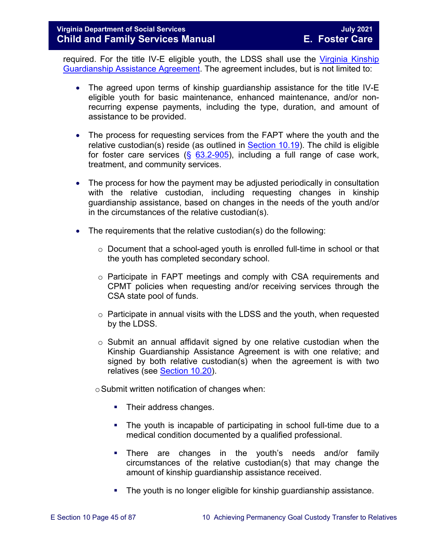required. For the title IV-E eligible youth, the LDSS shall use the [Virginia Kinship](https://fusion.dss.virginia.gov/Portals/%5Bdfs%5D/Files/DFS%20FORMS/Foster%20Care%20Forms/Virginia%20Kinship%20Guardianship%20%28KinGAP%29%20Agreement.docx)  [Guardianship Assistance Agreement.](https://fusion.dss.virginia.gov/Portals/%5Bdfs%5D/Files/DFS%20FORMS/Foster%20Care%20Forms/Virginia%20Kinship%20Guardianship%20%28KinGAP%29%20Agreement.docx) The agreement includes, but is not limited to:

- The agreed upon terms of kinship guardianship assistance for the title IV-E eligible youth for basic maintenance, enhanced maintenance, and/or nonrecurring expense payments, including the type, duration, and amount of assistance to be provided.
- The process for requesting services from the FAPT where the youth and the relative custodian(s) reside (as outlined in [Section 10.19\)](#page-53-0). The child is eligible for foster care services  $(\S$  [63.2-905\)](https://law.lis.virginia.gov/vacode/63.2-905/), including a full range of case work, treatment, and community services.
- The process for how the payment may be adjusted periodically in consultation with the relative custodian, including requesting changes in kinship guardianship assistance, based on changes in the needs of the youth and/or in the circumstances of the relative custodian(s).
- The requirements that the relative custodian(s) do the following:
	- $\circ$  Document that a school-aged youth is enrolled full-time in school or that the youth has completed secondary school.
	- o Participate in FAPT meetings and comply with CSA requirements and CPMT policies when requesting and/or receiving services through the CSA state pool of funds.
	- $\circ$  Participate in annual visits with the LDSS and the youth, when requested by the LDSS.
	- $\circ$  Submit an annual affidavit signed by one relative custodian when the Kinship Guardianship Assistance Agreement is with one relative; and signed by both relative custodian(s) when the agreement is with two relatives (see [Section 10.20\)](#page-56-0).

 $\circ$  Submit written notification of changes when:

- Their address changes.
- The youth is incapable of participating in school full-time due to a medical condition documented by a qualified professional.
- There are changes in the youth's needs and/or family circumstances of the relative custodian(s) that may change the amount of kinship guardianship assistance received.
- **The youth is no longer eligible for kinship guardianship assistance.**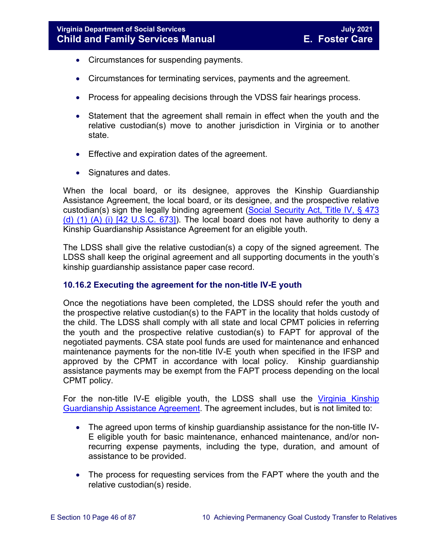- Circumstances for suspending payments.
- Circumstances for terminating services, payments and the agreement.
- Process for appealing decisions through the VDSS fair hearings process.
- Statement that the agreement shall remain in effect when the youth and the relative custodian(s) move to another jurisdiction in Virginia or to another state.
- Effective and expiration dates of the agreement.
- Signatures and dates.

When the local board, or its designee, approves the Kinship Guardianship Assistance Agreement, the local board, or its designee, and the prospective relative custodian(s) sign the legally binding agreement [\(Social Security Act, Title IV, § 473](http://www.socialsecurity.gov/OP_Home/ssact/title04/0473.htm)  (d)  $(1)$   $(A)$   $(i)$   $[42 \, U.S.C. 673]$ ). The local board does not have authority to deny a Kinship Guardianship Assistance Agreement for an eligible youth.

The LDSS shall give the relative custodian(s) a copy of the signed agreement. The LDSS shall keep the original agreement and all supporting documents in the youth's kinship guardianship assistance paper case record.

## **10.16.2 Executing the agreement for the non-title IV-E youth**

Once the negotiations have been completed, the LDSS should refer the youth and the prospective relative custodian(s) to the FAPT in the locality that holds custody of the child. The LDSS shall comply with all state and local CPMT policies in referring the youth and the prospective relative custodian(s) to FAPT for approval of the negotiated payments. CSA state pool funds are used for maintenance and enhanced maintenance payments for the non-title IV-E youth when specified in the IFSP and approved by the CPMT in accordance with local policy. Kinship guardianship assistance payments may be exempt from the FAPT process depending on the local CPMT policy.

For the non-title IV-E eligible youth, the LDSS shall use the [Virginia Kinship](https://fusion.dss.virginia.gov/Portals/%5Bdfs%5D/Files/DFS%20FORMS/Foster%20Care%20Forms/Virginia%20Kinship%20Guardianship%20%28KinGAP%29%20Agreement.docx)  [Guardianship Assistance Agreement.](https://fusion.dss.virginia.gov/Portals/%5Bdfs%5D/Files/DFS%20FORMS/Foster%20Care%20Forms/Virginia%20Kinship%20Guardianship%20%28KinGAP%29%20Agreement.docx) The agreement includes, but is not limited to:

- The agreed upon terms of kinship guardianship assistance for the non-title IV-E eligible youth for basic maintenance, enhanced maintenance, and/or nonrecurring expense payments, including the type, duration, and amount of assistance to be provided.
- The process for requesting services from the FAPT where the youth and the relative custodian(s) reside.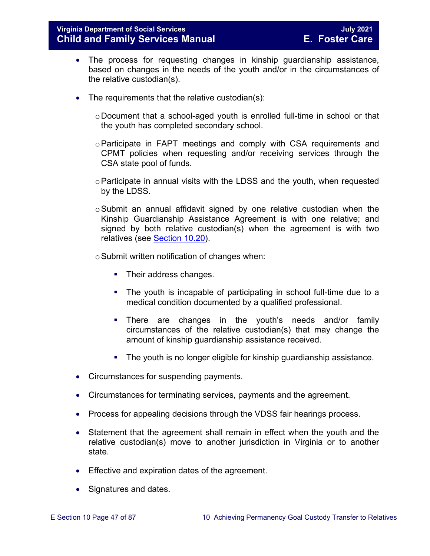## **Virginia Department of Social Services July 2021 Child and Family Services Manual**

- The process for requesting changes in kinship guardianship assistance, based on changes in the needs of the youth and/or in the circumstances of the relative custodian(s).
- The requirements that the relative custodian(s):
	- $\circ$  Document that a school-aged youth is enrolled full-time in school or that the youth has completed secondary school.
	- $\circ$  Participate in FAPT meetings and comply with CSA requirements and CPMT policies when requesting and/or receiving services through the CSA state pool of funds.
	- oParticipate in annual visits with the LDSS and the youth, when requested by the LDSS.
	- $\circ$ Submit an annual affidavit signed by one relative custodian when the Kinship Guardianship Assistance Agreement is with one relative; and signed by both relative custodian(s) when the agreement is with two relatives (see [Section 10.20\)](#page-56-0).
	- $\circ$  Submit written notification of changes when:
		- Their address changes.
		- The youth is incapable of participating in school full-time due to a medical condition documented by a qualified professional.
		- There are changes in the youth's needs and/or family circumstances of the relative custodian(s) that may change the amount of kinship guardianship assistance received.
		- **The youth is no longer eligible for kinship guardianship assistance.**
- Circumstances for suspending payments.
- Circumstances for terminating services, payments and the agreement.
- Process for appealing decisions through the VDSS fair hearings process.
- Statement that the agreement shall remain in effect when the youth and the relative custodian(s) move to another jurisdiction in Virginia or to another state.
- Effective and expiration dates of the agreement.
- Signatures and dates.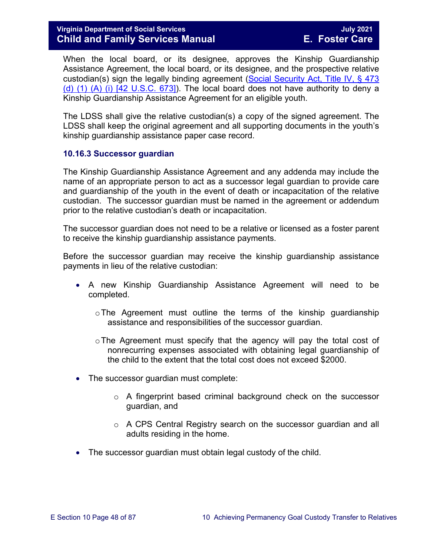When the local board, or its designee, approves the Kinship Guardianship Assistance Agreement, the local board, or its designee, and the prospective relative custodian(s) sign the legally binding agreement [\(Social Security Act, Title IV, § 473](http://www.socialsecurity.gov/OP_Home/ssact/title04/0473.htm)  (d)  $(1)$   $(A)$   $(i)$   $[42 \, U.S.C. 673]$ ). The local board does not have authority to deny a Kinship Guardianship Assistance Agreement for an eligible youth.

The LDSS shall give the relative custodian(s) a copy of the signed agreement. The LDSS shall keep the original agreement and all supporting documents in the youth's kinship guardianship assistance paper case record.

### <span id="page-47-0"></span>**10.16.3 Successor guardian**

The Kinship Guardianship Assistance Agreement and any addenda may include the name of an appropriate person to act as a successor legal guardian to provide care and guardianship of the youth in the event of death or incapacitation of the relative custodian. The successor guardian must be named in the agreement or addendum prior to the relative custodian's death or incapacitation.

The successor guardian does not need to be a relative or licensed as a foster parent to receive the kinship guardianship assistance payments.

Before the successor guardian may receive the kinship guardianship assistance payments in lieu of the relative custodian:

- A new Kinship Guardianship Assistance Agreement will need to be completed.
	- oThe Agreement must outline the terms of the kinship guardianship assistance and responsibilities of the successor guardian.
	- $\circ$  The Agreement must specify that the agency will pay the total cost of nonrecurring expenses associated with obtaining legal guardianship of the child to the extent that the total cost does not exceed \$2000.
- The successor guardian must complete:
	- o A fingerprint based criminal background check on the successor guardian, and
	- o A CPS Central Registry search on the successor guardian and all adults residing in the home.
- The successor guardian must obtain legal custody of the child.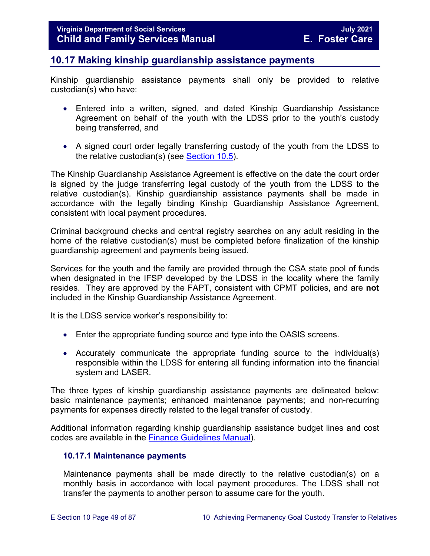# **10.17 Making kinship guardianship assistance payments**

Kinship guardianship assistance payments shall only be provided to relative custodian(s) who have:

- Entered into a written, signed, and dated Kinship Guardianship Assistance Agreement on behalf of the youth with the LDSS prior to the youth's custody being transferred, and
- A signed court order legally transferring custody of the youth from the LDSS to the relative custodian(s) (see **Section 10.5)**.

The Kinship Guardianship Assistance Agreement is effective on the date the court order is signed by the judge transferring legal custody of the youth from the LDSS to the relative custodian(s). Kinship guardianship assistance payments shall be made in accordance with the legally binding Kinship Guardianship Assistance Agreement, consistent with local payment procedures.

Criminal background checks and central registry searches on any adult residing in the home of the relative custodian(s) must be completed before finalization of the kinship guardianship agreement and payments being issued.

Services for the youth and the family are provided through the CSA state pool of funds when designated in the IFSP developed by the LDSS in the locality where the family resides. They are approved by the FAPT, consistent with CPMT policies, and are **not** included in the Kinship Guardianship Assistance Agreement.

It is the LDSS service worker's responsibility to:

- Enter the appropriate funding source and type into the OASIS screens.
- Accurately communicate the appropriate funding source to the individual(s) responsible within the LDSS for entering all funding information into the financial system and LASER.

The three types of kinship guardianship assistance payments are delineated below: basic maintenance payments; enhanced maintenance payments; and non-recurring payments for expenses directly related to the legal transfer of custody.

Additional information regarding kinship guardianship assistance budget lines and cost codes are available in the [Finance Guidelines Manual\)](https://fusion.dss.virginia.gov/dof/DOF-Home/LOCAL-RESOURCES/Finance-Guidelines-Manual-LDSS).

### **10.17.1 Maintenance payments**

Maintenance payments shall be made directly to the relative custodian(s) on a monthly basis in accordance with local payment procedures. The LDSS shall not transfer the payments to another person to assume care for the youth.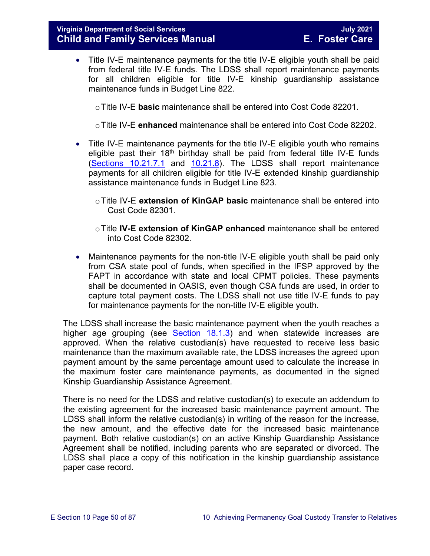## **Virginia Department of Social Services July 2021 Child and Family Services Manual**

• Title IV-E maintenance payments for the title IV-E eligible youth shall be paid from federal title IV-E funds. The LDSS shall report maintenance payments for all children eligible for title IV-E kinship guardianship assistance maintenance funds in Budget Line 822.

oTitle IV-E **basic** maintenance shall be entered into Cost Code 82201.

oTitle IV-E **enhanced** maintenance shall be entered into Cost Code 82202.

- Title IV-E maintenance payments for the title IV-E eligible youth who remains eligible past their  $18<sup>th</sup>$  birthday shall be paid from federal title IV-E funds [\(Sections 10.21.7.1](#page-63-0) and [10.21.8\)](#page-65-0). The LDSS shall report maintenance payments for all children eligible for title IV-E extended kinship guardianship assistance maintenance funds in Budget Line 823.
	- oTitle IV-E **extension of KinGAP basic** maintenance shall be entered into Cost Code 82301.
	- oTitle **IV-E extension of KinGAP enhanced** maintenance shall be entered into Cost Code 82302.
- Maintenance payments for the non-title IV-E eligible youth shall be paid only from CSA state pool of funds, when specified in the IFSP approved by the FAPT in accordance with state and local CPMT policies. These payments shall be documented in OASIS, even though CSA funds are used, in order to capture total payment costs. The LDSS shall not use title IV-E funds to pay for maintenance payments for the non-title IV-E eligible youth.

The LDSS shall increase the basic maintenance payment when the youth reaches a higher age grouping (see [Section 18.1.3\)](https://fusion.dss.virginia.gov/Portals/%5bdfs%5d/Files/DFS%20Manuals/Foster%20Care%20Manuals/Foster%20Care%20Manual%2007-2020/Final%20Foster%20Care%20Manual%2007-2020/section_18_funding_maintenance_costs.pdf#page=4) and when statewide increases are approved. When the relative custodian(s) have requested to receive less basic maintenance than the maximum available rate, the LDSS increases the agreed upon payment amount by the same percentage amount used to calculate the increase in the maximum foster care maintenance payments, as documented in the signed Kinship Guardianship Assistance Agreement.

There is no need for the LDSS and relative custodian(s) to execute an addendum to the existing agreement for the increased basic maintenance payment amount. The LDSS shall inform the relative custodian(s) in writing of the reason for the increase, the new amount, and the effective date for the increased basic maintenance payment. Both relative custodian(s) on an active Kinship Guardianship Assistance Agreement shall be notified, including parents who are separated or divorced. The LDSS shall place a copy of this notification in the kinship guardianship assistance paper case record.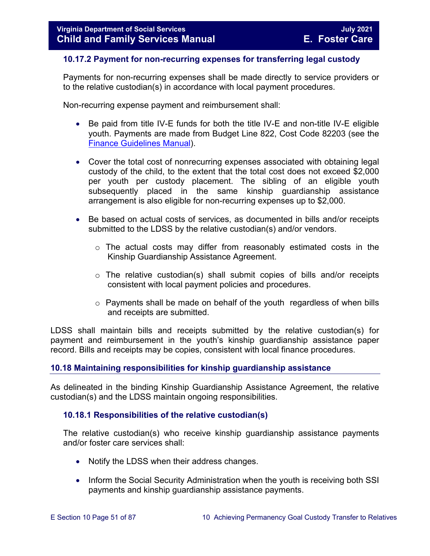## **10.17.2 Payment for non-recurring expenses for transferring legal custody**

Payments for non-recurring expenses shall be made directly to service providers or to the relative custodian(s) in accordance with local payment procedures.

Non-recurring expense payment and reimbursement shall:

- Be paid from title IV-E funds for both the title IV-E and non-title IV-E eligible youth. Payments are made from Budget Line 822, Cost Code 82203 (see the [Finance Guidelines Manual\)](https://fusion.dss.virginia.gov/dof/DOF-Home/LOCAL-RESOURCES/Finance-Guidelines-Manual-LDSS).
- Cover the total cost of nonrecurring expenses associated with obtaining legal custody of the child, to the extent that the total cost does not exceed \$2,000 per youth per custody placement. The sibling of an eligible youth subsequently placed in the same kinship guardianship assistance arrangement is also eligible for non-recurring expenses up to \$2,000.
- Be based on actual costs of services, as documented in bills and/or receipts submitted to the LDSS by the relative custodian(s) and/or vendors.
	- o The actual costs may differ from reasonably estimated costs in the Kinship Guardianship Assistance Agreement.
	- $\circ$  The relative custodian(s) shall submit copies of bills and/or receipts consistent with local payment policies and procedures.
	- $\circ$  Payments shall be made on behalf of the youth regardless of when bills and receipts are submitted.

LDSS shall maintain bills and receipts submitted by the relative custodian(s) for payment and reimbursement in the youth's kinship guardianship assistance paper record. Bills and receipts may be copies, consistent with local finance procedures.

### **10.18 Maintaining responsibilities for kinship guardianship assistance**

As delineated in the binding Kinship Guardianship Assistance Agreement, the relative custodian(s) and the LDSS maintain ongoing responsibilities.

### **10.18.1 Responsibilities of the relative custodian(s)**

The relative custodian(s) who receive kinship guardianship assistance payments and/or foster care services shall:

- Notify the LDSS when their address changes.
- Inform the Social Security Administration when the youth is receiving both SSI payments and kinship guardianship assistance payments.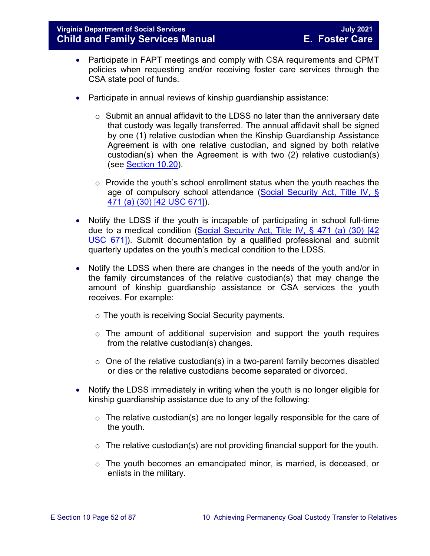## **Virginia Department of Social Services July 2021 Child and Family Services Manual**

- Participate in FAPT meetings and comply with CSA requirements and CPMT policies when requesting and/or receiving foster care services through the CSA state pool of funds.
- Participate in annual reviews of kinship guardianship assistance:
	- o Submit an annual affidavit to the LDSS no later than the anniversary date that custody was legally transferred. The annual affidavit shall be signed by one (1) relative custodian when the Kinship Guardianship Assistance Agreement is with one relative custodian, and signed by both relative custodian(s) when the Agreement is with two (2) relative custodian(s) (see [Section 10.20\)](#page-56-0).
	- $\circ$  Provide the youth's school enrollment status when the youth reaches the age of compulsory school attendance [\(Social Security Act, Title IV, §](http://www.socialsecurity.gov/OP_Home/ssact/title04/0471.htm)  [471 \(a\) \(30\) \[42 USC 671\]\)](http://www.socialsecurity.gov/OP_Home/ssact/title04/0471.htm).
- Notify the LDSS if the youth is incapable of participating in school full-time due to a medical condition [\(Social Security Act, Title IV, § 471 \(a\) \(30\) \[42](http://www.socialsecurity.gov/OP_Home/ssact/title04/0471.htm)  [USC 671\]\)](http://www.socialsecurity.gov/OP_Home/ssact/title04/0471.htm). Submit documentation by a qualified professional and submit quarterly updates on the youth's medical condition to the LDSS.
- Notify the LDSS when there are changes in the needs of the youth and/or in the family circumstances of the relative custodian(s) that may change the amount of kinship guardianship assistance or CSA services the youth receives. For example:
	- o The youth is receiving Social Security payments.
	- $\circ$  The amount of additional supervision and support the youth requires from the relative custodian(s) changes.
	- $\circ$  One of the relative custodian(s) in a two-parent family becomes disabled or dies or the relative custodians become separated or divorced.
- Notify the LDSS immediately in writing when the youth is no longer eligible for kinship guardianship assistance due to any of the following:
	- o The relative custodian(s) are no longer legally responsible for the care of the youth.
	- $\circ$  The relative custodian(s) are not providing financial support for the youth.
	- $\circ$  The youth becomes an emancipated minor, is married, is deceased, or enlists in the military.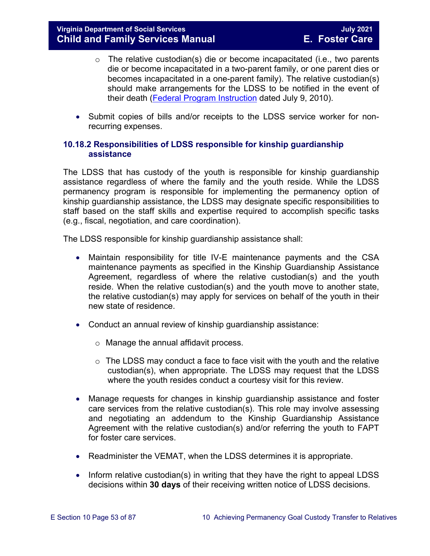- $\circ$  The relative custodian(s) die or become incapacitated (i.e., two parents die or become incapacitated in a two-parent family, or one parent dies or becomes incapacitated in a one-parent family). The relative custodian(s) should make arrangements for the LDSS to be notified in the event of their death [\(Federal Program Instruction](http://www.acf.hhs.gov/programs/cb/laws_policies/policy/pi/2010/pi1011.htm#sectd) dated July 9, 2010).
- Submit copies of bills and/or receipts to the LDSS service worker for nonrecurring expenses.

## <span id="page-52-0"></span>**10.18.2 Responsibilities of LDSS responsible for kinship guardianship assistance**

The LDSS that has custody of the youth is responsible for kinship guardianship assistance regardless of where the family and the youth reside. While the LDSS permanency program is responsible for implementing the permanency option of kinship guardianship assistance, the LDSS may designate specific responsibilities to staff based on the staff skills and expertise required to accomplish specific tasks (e.g., fiscal, negotiation, and care coordination).

The LDSS responsible for kinship guardianship assistance shall:

- Maintain responsibility for title IV-E maintenance payments and the CSA maintenance payments as specified in the Kinship Guardianship Assistance Agreement, regardless of where the relative custodian(s) and the youth reside. When the relative custodian(s) and the youth move to another state, the relative custodian(s) may apply for services on behalf of the youth in their new state of residence.
- Conduct an annual review of kinship guardianship assistance:
	- o Manage the annual affidavit process.
	- $\circ$  The LDSS may conduct a face to face visit with the youth and the relative custodian(s), when appropriate. The LDSS may request that the LDSS where the youth resides conduct a courtesy visit for this review.
- Manage requests for changes in kinship guardianship assistance and foster care services from the relative custodian(s). This role may involve assessing and negotiating an addendum to the Kinship Guardianship Assistance Agreement with the relative custodian(s) and/or referring the youth to FAPT for foster care services.
- Readminister the VEMAT, when the LDSS determines it is appropriate.
- Inform relative custodian(s) in writing that they have the right to appeal LDSS decisions within **30 days** of their receiving written notice of LDSS decisions.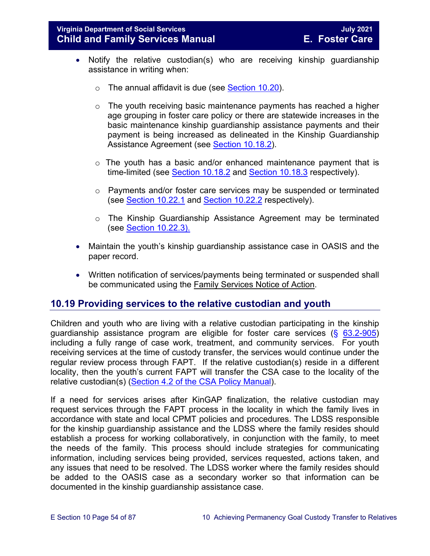- Notify the relative custodian(s) who are receiving kinship guardianship assistance in writing when:
	- $\circ$  The annual affidavit is due (see [Section 10.20\)](#page-56-0).
	- $\circ$  The youth receiving basic maintenance payments has reached a higher age grouping in foster care policy or there are statewide increases in the basic maintenance kinship guardianship assistance payments and their payment is being increased as delineated in the Kinship Guardianship Assistance Agreement (see [Section 10.18.2\)](#page-52-0).
	- $\circ$  The youth has a basic and/or enhanced maintenance payment that is time-limited (see [Section 10.18.2](#page-52-0) and [Section 10.18.3](#page-52-0) respectively).
	- o Payments and/or foster care services may be suspended or terminated (see [Section 10.22.1](#page-68-0) and [Section 10.22.2](#page-69-0) respectively).
	- o The Kinship Guardianship Assistance Agreement may be terminated (see [Section 10.22.3\).](#page-70-0)
- Maintain the youth's kinship guardianship assistance case in OASIS and the paper record.
- Written notification of services/payments being terminated or suspended shall be communicated using the Family Services Notice of Action.

# <span id="page-53-0"></span>**10.19 Providing services to the relative custodian and youth**

Children and youth who are living with a relative custodian participating in the kinship guardianship assistance program are eligible for foster care services  $(\S$  [63.2-905\)](https://law.lis.virginia.gov/vacode/63.2-905/) including a fully range of case work, treatment, and community services. For youth receiving services at the time of custody transfer, the services would continue under the regular review process through FAPT. If the relative custodian(s) reside in a different locality, then the youth's current FAPT will transfer the CSA case to the locality of the relative custodian(s) [\(Section 4.2 of the CSA Policy Manual\)](https://www.csa.virginia.gov/content/doc/CSA_Policy_Manual_2019_revision.pdf#page=43).

If a need for services arises after KinGAP finalization, the relative custodian may request services through the FAPT process in the locality in which the family lives in accordance with state and local CPMT policies and procedures. The LDSS responsible for the kinship guardianship assistance and the LDSS where the family resides should establish a process for working collaboratively, in conjunction with the family, to meet the needs of the family. This process should include strategies for communicating information, including services being provided, services requested, actions taken, and any issues that need to be resolved. The LDSS worker where the family resides should be added to the OASIS case as a secondary worker so that information can be documented in the kinship guardianship assistance case.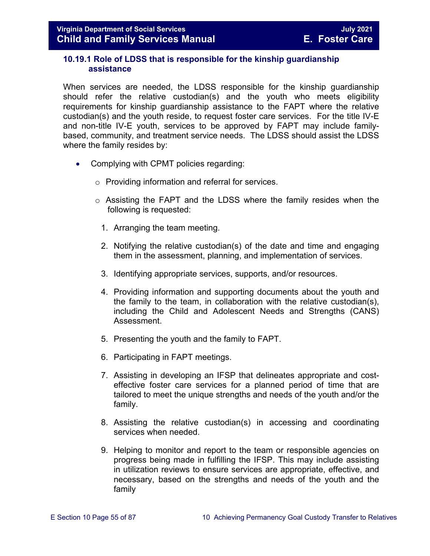## **10.19.1 Role of LDSS that is responsible for the kinship guardianship assistance**

When services are needed, the LDSS responsible for the kinship guardianship should refer the relative custodian(s) and the youth who meets eligibility requirements for kinship guardianship assistance to the FAPT where the relative custodian(s) and the youth reside, to request foster care services. For the title IV-E and non-title IV-E youth, services to be approved by FAPT may include familybased, community, and treatment service needs. The LDSS should assist the LDSS where the family resides by:

- Complying with CPMT policies regarding:
	- o Providing information and referral for services.
	- o Assisting the FAPT and the LDSS where the family resides when the following is requested:
		- 1. Arranging the team meeting.
		- 2. Notifying the relative custodian(s) of the date and time and engaging them in the assessment, planning, and implementation of services.
		- 3. Identifying appropriate services, supports, and/or resources.
		- 4. Providing information and supporting documents about the youth and the family to the team, in collaboration with the relative custodian(s), including the Child and Adolescent Needs and Strengths (CANS) Assessment.
		- 5. Presenting the youth and the family to FAPT.
		- 6. Participating in FAPT meetings.
		- 7. Assisting in developing an IFSP that delineates appropriate and costeffective foster care services for a planned period of time that are tailored to meet the unique strengths and needs of the youth and/or the family.
		- 8. Assisting the relative custodian(s) in accessing and coordinating services when needed.
		- 9. Helping to monitor and report to the team or responsible agencies on progress being made in fulfilling the IFSP. This may include assisting in utilization reviews to ensure services are appropriate, effective, and necessary, based on the strengths and needs of the youth and the family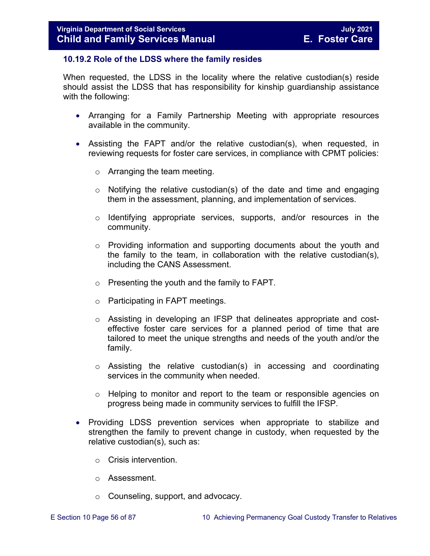### **10.19.2 Role of the LDSS where the family resides**

When requested, the LDSS in the locality where the relative custodian(s) reside should assist the LDSS that has responsibility for kinship guardianship assistance with the following:

- Arranging for a Family Partnership Meeting with appropriate resources available in the community.
- Assisting the FAPT and/or the relative custodian(s), when requested, in reviewing requests for foster care services, in compliance with CPMT policies:
	- o Arranging the team meeting.
	- $\circ$  Notifying the relative custodian(s) of the date and time and engaging them in the assessment, planning, and implementation of services.
	- o Identifying appropriate services, supports, and/or resources in the community.
	- $\circ$  Providing information and supporting documents about the youth and the family to the team, in collaboration with the relative custodian(s), including the CANS Assessment.
	- o Presenting the youth and the family to FAPT.
	- o Participating in FAPT meetings.
	- o Assisting in developing an IFSP that delineates appropriate and costeffective foster care services for a planned period of time that are tailored to meet the unique strengths and needs of the youth and/or the family.
	- o Assisting the relative custodian(s) in accessing and coordinating services in the community when needed.
	- o Helping to monitor and report to the team or responsible agencies on progress being made in community services to fulfill the IFSP.
- Providing LDSS prevention services when appropriate to stabilize and strengthen the family to prevent change in custody, when requested by the relative custodian(s), such as:
	- o Crisis intervention.
	- o Assessment.
	- o Counseling, support, and advocacy.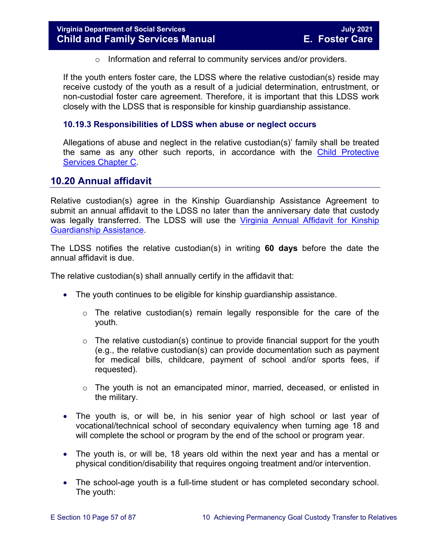o Information and referral to community services and/or providers.

If the youth enters foster care, the LDSS where the relative custodian(s) reside may receive custody of the youth as a result of a judicial determination, entrustment, or non-custodial foster care agreement. Therefore, it is important that this LDSS work closely with the LDSS that is responsible for kinship guardianship assistance.

## **10.19.3 Responsibilities of LDSS when abuse or neglect occurs**

Allegations of abuse and neglect in the relative custodian(s)' family shall be treated the same as any other such reports, in accordance with the [Child Protective](https://fusion.dss.virginia.gov/Portals/%5Bdfs%5D/Files/DFS%20Manuals/CPS%20Manuals/Manual--2020/section_3_complaints_reports%20July%202020.pdf)  [Services Chapter C.](https://fusion.dss.virginia.gov/Portals/%5Bdfs%5D/Files/DFS%20Manuals/CPS%20Manuals/Manual--2020/section_3_complaints_reports%20July%202020.pdf)

# <span id="page-56-0"></span>**10.20 Annual affidavit**

Relative custodian(s) agree in the Kinship Guardianship Assistance Agreement to submit an annual affidavit to the LDSS no later than the anniversary date that custody was legally transferred. The LDSS will use the [Virginia Annual Affidavit for Kinship](https://fusion.dss.virginia.gov/Portals/%5bdfs%5d/Files/DFS%20FORMS/Foster%20Care%20Forms/Annual%20Affidavit%20for%20Kinship%20Guardianship%20Assistance.pdf)  [Guardianship Assistance.](https://fusion.dss.virginia.gov/Portals/%5bdfs%5d/Files/DFS%20FORMS/Foster%20Care%20Forms/Annual%20Affidavit%20for%20Kinship%20Guardianship%20Assistance.pdf)

The LDSS notifies the relative custodian(s) in writing **60 days** before the date the annual affidavit is due.

The relative custodian(s) shall annually certify in the affidavit that:

- The youth continues to be eligible for kinship guardianship assistance.
	- $\circ$  The relative custodian(s) remain legally responsible for the care of the youth.
	- $\circ$  The relative custodian(s) continue to provide financial support for the youth (e.g., the relative custodian(s) can provide documentation such as payment for medical bills, childcare, payment of school and/or sports fees, if requested).
	- $\circ$  The youth is not an emancipated minor, married, deceased, or enlisted in the military.
- The youth is, or will be, in his senior year of high school or last year of vocational/technical school of secondary equivalency when turning age 18 and will complete the school or program by the end of the school or program year.
- The youth is, or will be, 18 years old within the next year and has a mental or physical condition/disability that requires ongoing treatment and/or intervention.
- The school-age youth is a full-time student or has completed secondary school. The youth: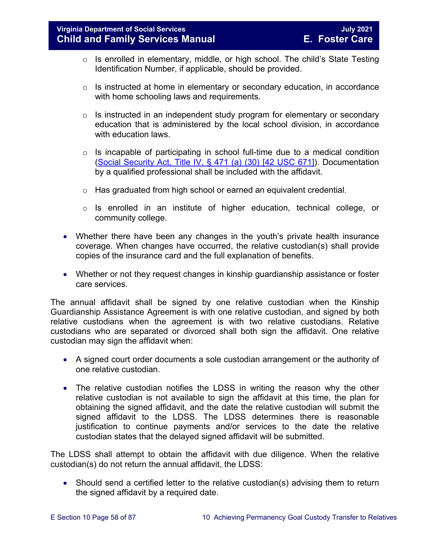- $\circ$  Is enrolled in elementary, middle, or high school. The child's State Testing Identification Number, if applicable, should be provided.
- $\circ$  Is instructed at home in elementary or secondary education, in accordance with home schooling laws and requirements.
- $\circ$  Is instructed in an independent study program for elementary or secondary education that is administered by the local school division, in accordance with education laws.
- $\circ$  Is incapable of participating in school full-time due to a medical condition [\(Social Security Act, Title IV, § 471 \(a\) \(30\) \[42 USC 671\]\)](http://www.socialsecurity.gov/OP_Home/ssact/title04/0471.htm). Documentation by a qualified professional shall be included with the affidavit.
- o Has graduated from high school or earned an equivalent credential.
- o Is enrolled in an institute of higher education, technical college, or community college.
- Whether there have been any changes in the youth's private health insurance coverage. When changes have occurred, the relative custodian(s) shall provide copies of the insurance card and the full explanation of benefits.
- Whether or not they request changes in kinship guardianship assistance or foster care services.

The annual affidavit shall be signed by one relative custodian when the Kinship Guardianship Assistance Agreement is with one relative custodian, and signed by both relative custodians when the agreement is with two relative custodians. Relative custodians who are separated or divorced shall both sign the affidavit. One relative custodian may sign the affidavit when:

- A signed court order documents a sole custodian arrangement or the authority of one relative custodian.
- The relative custodian notifies the LDSS in writing the reason why the other relative custodian is not available to sign the affidavit at this time, the plan for obtaining the signed affidavit, and the date the relative custodian will submit the signed affidavit to the LDSS. The LDSS determines there is reasonable justification to continue payments and/or services to the date the relative custodian states that the delayed signed affidavit will be submitted.

The LDSS shall attempt to obtain the affidavit with due diligence. When the relative custodian(s) do not return the annual affidavit, the LDSS:

• Should send a certified letter to the relative custodian(s) advising them to return the signed affidavit by a required date.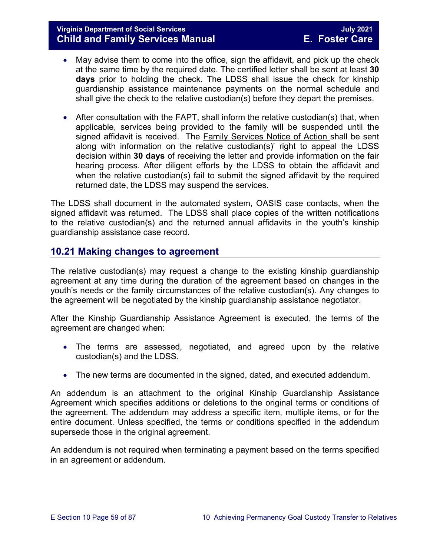# **Virginia Department of Social Services July 2021 Child and Family Services Manual**

- May advise them to come into the office, sign the affidavit, and pick up the check at the same time by the required date. The certified letter shall be sent at least **30 days** prior to holding the check. The LDSS shall issue the check for kinship guardianship assistance maintenance payments on the normal schedule and shall give the check to the relative custodian(s) before they depart the premises.
- After consultation with the FAPT, shall inform the relative custodian(s) that, when applicable, services being provided to the family will be suspended until the signed affidavit is received. The Family Services Notice of Action shall be sent along with information on the relative custodian(s)' right to appeal the LDSS decision within **30 days** of receiving the letter and provide information on the fair hearing process. After diligent efforts by the LDSS to obtain the affidavit and when the relative custodian(s) fail to submit the signed affidavit by the required returned date, the LDSS may suspend the services.

The LDSS shall document in the automated system, OASIS case contacts, when the signed affidavit was returned. The LDSS shall place copies of the written notifications to the relative custodian(s) and the returned annual affidavits in the youth's kinship guardianship assistance case record.

# **10.21 Making changes to agreement**

The relative custodian(s) may request a change to the existing kinship guardianship agreement at any time during the duration of the agreement based on changes in the youth's needs or the family circumstances of the relative custodian(s). Any changes to the agreement will be negotiated by the kinship guardianship assistance negotiator.

After the Kinship Guardianship Assistance Agreement is executed, the terms of the agreement are changed when:

- The terms are assessed, negotiated, and agreed upon by the relative custodian(s) and the LDSS.
- The new terms are documented in the signed, dated, and executed [addendum.](http://www.dss.virginia.gov/family/ap/index.cgi)

An addendum is an attachment to the original Kinship Guardianship Assistance Agreement which specifies additions or deletions to the original terms or conditions of the agreement. The addendum may address a specific item, multiple items, or for the entire document. Unless specified, the terms or conditions specified in the addendum supersede those in the original agreement.

An addendum is not required when terminating a payment based on the terms specified in an agreement or addendum.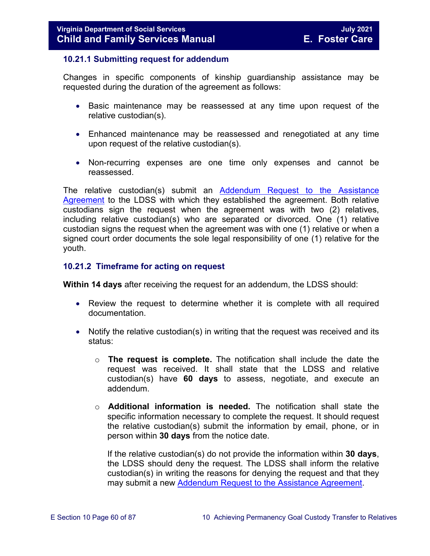### **10.21.1 Submitting request for addendum**

Changes in specific components of kinship guardianship assistance may be requested during the duration of the agreement as follows:

- Basic maintenance may be reassessed at any time upon request of the relative custodian(s).
- Enhanced maintenance may be reassessed and renegotiated at any time upon request of the relative custodian(s).
- Non-recurring expenses are one time only expenses and cannot be reassessed.

The relative custodian(s) submit an [Addendum Request to the Assistance](https://fusion.dss.virginia.gov/Portals/%5Bdfs%5D/Files/DFS%20FORMS/Family%20Services-Generic%20Forms/Addendum%20Request%20to%20the%20Assistance%20Agreement.pdf)  [Agreement](https://fusion.dss.virginia.gov/Portals/%5Bdfs%5D/Files/DFS%20FORMS/Family%20Services-Generic%20Forms/Addendum%20Request%20to%20the%20Assistance%20Agreement.pdf) to the LDSS with which they established the agreement. Both relative custodians sign the request when the agreement was with two (2) relatives, including relative custodian(s) who are separated or divorced. One (1) relative custodian signs the request when the agreement was with one (1) relative or when a signed court order documents the sole legal responsibility of one (1) relative for the youth.

### **10.21.2 Timeframe for acting on request**

**Within 14 days** after receiving the request for an addendum, the LDSS should:

- Review the request to determine whether it is complete with all required documentation.
- Notify the relative custodian(s) in writing that the request was received and its status:
	- o **The request is complete.** The notification shall include the date the request was received. It shall state that the LDSS and relative custodian(s) have **60 days** to assess, negotiate, and execute an addendum.
	- o **Additional information is needed.** The notification shall state the specific information necessary to complete the request. It should request the relative custodian(s) submit the information by email, phone, or in person within **30 days** from the notice date.

If the relative custodian(s) do not provide the information within **30 days**, the LDSS should deny the request. The LDSS shall inform the relative custodian(s) in writing the reasons for denying the request and that they may submit a new [Addendum Request to the Assistance Agreement.](https://fusion.dss.virginia.gov/Portals/%5Bdfs%5D/Files/DFS%20FORMS/Family%20Services-Generic%20Forms/Addendum%20Request%20to%20the%20Assistance%20Agreement.pdf)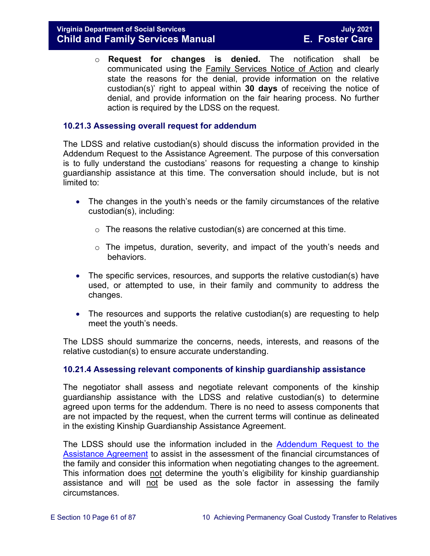o **Request for changes is denied.** The notification shall be communicated using the Family Services Notice of Action and clearly state the reasons for the denial, provide information on the relative custodian(s)' right to appeal within **30 days** of receiving the notice of denial, and provide information on the fair hearing process. No further action is required by the LDSS on the request.

## **10.21.3 Assessing overall request for addendum**

The LDSS and relative custodian(s) should discuss the information provided in the Addendum Request to the Assistance Agreement. The purpose of this conversation is to fully understand the custodians' reasons for requesting a change to kinship guardianship assistance at this time. The conversation should include, but is not limited to:

- The changes in the youth's needs or the family circumstances of the relative custodian(s), including:
	- $\circ$  The reasons the relative custodian(s) are concerned at this time.
	- o The impetus, duration, severity, and impact of the youth's needs and behaviors.
- The specific services, resources, and supports the relative custodian(s) have used, or attempted to use, in their family and community to address the changes.
- The resources and supports the relative custodian(s) are requesting to help meet the youth's needs.

The LDSS should summarize the concerns, needs, interests, and reasons of the relative custodian(s) to ensure accurate understanding.

### **10.21.4 Assessing relevant components of kinship guardianship assistance**

The negotiator shall assess and negotiate relevant components of the kinship guardianship assistance with the LDSS and relative custodian(s) to determine agreed upon terms for the addendum. There is no need to assess components that are not impacted by the request, when the current terms will continue as delineated in the existing Kinship Guardianship Assistance Agreement.

The LDSS should use the information included in the [Addendum](https://fusion.dss.virginia.gov/Portals/%5Bdfs%5D/Files/DFS%20FORMS/Family%20Services-Generic%20Forms/Addendum%20Request%20to%20the%20Assistance%20Agreement.pdf) Request to the Assistance Agreement to assist in the assessment of the financial circumstances of the family and consider this information when negotiating changes to the agreement. This information does not determine the youth's eligibility for kinship guardianship assistance and will not be used as the sole factor in assessing the family circumstances.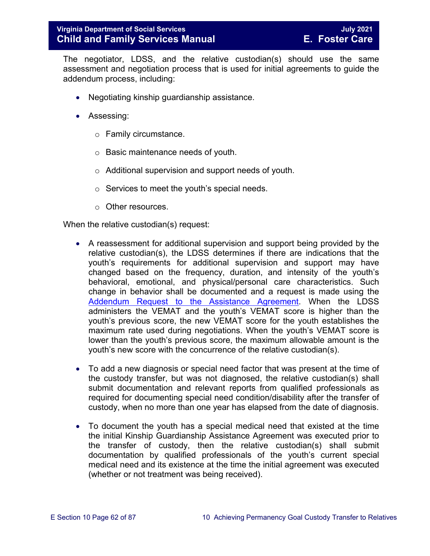The negotiator, LDSS, and the relative custodian(s) should use the same assessment and negotiation process that is used for initial agreements to guide the addendum process, including:

- Negotiating kinship guardianship assistance.
- Assessing:
	- o Family circumstance.
	- o Basic maintenance needs of youth.
	- o Additional supervision and support needs of youth.
	- o Services to meet the youth's special needs.
	- o Other resources.

When the relative custodian(s) request:

- A reassessment for additional supervision and support being provided by the relative custodian(s), the LDSS determines if there are indications that the youth's requirements for additional supervision and support may have changed based on the frequency, duration, and intensity of the youth's behavioral, emotional, and physical/personal care characteristics. Such change in behavior shall be documented and a request is made using the [Addendum Request to the Assistance Agreement.](https://fusion.dss.virginia.gov/Portals/%5Bdfs%5D/Files/DFS%20FORMS/Family%20Services-Generic%20Forms/Addendum%20Request%20to%20the%20Assistance%20Agreement.pdf) When the LDSS administers the VEMAT and the youth's VEMAT score is higher than the youth's previous score, the new VEMAT score for the youth establishes the maximum rate used during negotiations. When the youth's VEMAT score is lower than the youth's previous score, the maximum allowable amount is the youth's new score with the concurrence of the relative custodian(s).
- To add a new diagnosis or special need factor that was present at the time of the custody transfer, but was not diagnosed, the relative custodian(s) shall submit documentation and relevant reports from qualified professionals as required for documenting special need condition/disability after the transfer of custody, when no more than one year has elapsed from the date of diagnosis.
- To document the youth has a special medical need that existed at the time the initial Kinship Guardianship Assistance Agreement was executed prior to the transfer of custody, then the relative custodian(s) shall submit documentation by qualified professionals of the youth's current special medical need and its existence at the time the initial agreement was executed (whether or not treatment was being received).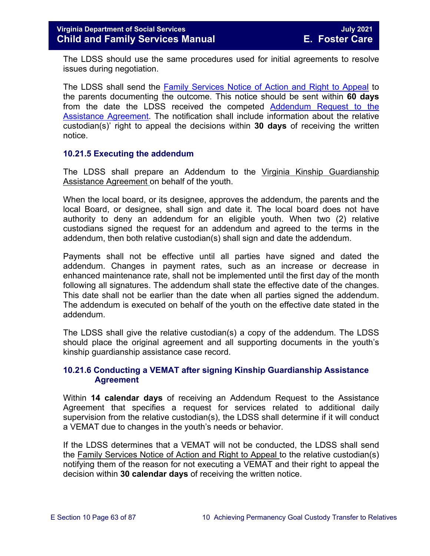The LDSS should use the same procedures used for initial agreements to resolve issues during negotiation.

The LDSS shall send the [Family Services Notice of Action and Right to Appeal](http://www.dss.virginia.gov/files/division/dfs/ap/intro_page/forms/032-02-0669-00-eng.pdf) to the parents documenting the outcome. This notice should be sent within **60 days**  from the date the LDSS received the competed [Addendum Request to the](https://fusion.dss.virginia.gov/Portals/%5Bdfs%5D/Files/DFS%20FORMS/Family%20Services-Generic%20Forms/Addendum%20Request%20to%20the%20Assistance%20Agreement.pdf)  [Assistance Agreement.](https://fusion.dss.virginia.gov/Portals/%5Bdfs%5D/Files/DFS%20FORMS/Family%20Services-Generic%20Forms/Addendum%20Request%20to%20the%20Assistance%20Agreement.pdf) The notification shall include information about the relative custodian(s)' right to appeal the decisions within **30 days** of receiving the written notice.

### **10.21.5 Executing the addendum**

The LDSS shall prepare an Addendum to the Virginia Kinship Guardianship Assistance Agreement on behalf of the youth.

When the local board, or its designee, approves the addendum, the parents and the local Board, or designee, shall sign and date it. The local board does not have authority to deny an addendum for an eligible youth. When two (2) relative custodians signed the request for an addendum and agreed to the terms in the addendum, then both relative custodian(s) shall sign and date the addendum.

Payments shall not be effective until all parties have signed and dated the addendum. Changes in payment rates, such as an increase or decrease in enhanced maintenance rate, shall not be implemented until the first day of the month following all signatures. The addendum shall state the effective date of the changes. This date shall not be earlier than the date when all parties signed the addendum. The addendum is executed on behalf of the youth on the effective date stated in the addendum.

The LDSS shall give the relative custodian(s) a copy of the addendum. The LDSS should place the original agreement and all supporting documents in the youth's kinship guardianship assistance case record.

## **10.21.6 Conducting a VEMAT after signing Kinship Guardianship Assistance Agreement**

Within **14 calendar days** of receiving an Addendum Request to the Assistance Agreement that specifies a request for services related to additional daily supervision from the relative custodian(s), the LDSS shall determine if it will conduct a VEMAT due to changes in the youth's needs or behavior.

If the LDSS determines that a VEMAT will not be conducted, the LDSS shall send the Family Services Notice of Action and Right to Appeal to the relative custodian(s) notifying them of the reason for not executing a VEMAT and their right to appeal the decision within **30 calendar days** of receiving the written notice.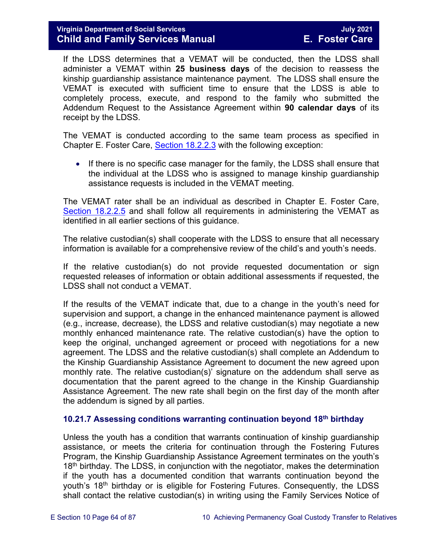If the LDSS determines that a VEMAT will be conducted, then the LDSS shall administer a VEMAT within **25 business days** of the decision to reassess the kinship guardianship assistance maintenance payment. The LDSS shall ensure the VEMAT is executed with sufficient time to ensure that the LDSS is able to completely process, execute, and respond to the family who submitted the Addendum Request to the Assistance Agreement within **90 calendar days** of its receipt by the LDSS.

The VEMAT is conducted according to the same team process as specified in Chapter E. Foster Care, [Section 18.2.2.3](https://fusion.dss.virginia.gov/Portals/%5bdfs%5d/Files/DFS%20Manuals/Foster%20Care%20Manuals/Foster%20Care%20Manual%2007-2020/Final%20Foster%20Care%20Manual%2007-2020/section_18_funding_maintenance_costs.pdf#page=16) with the following exception:

• If there is no specific case manager for the family, the LDSS shall ensure that the individual at the LDSS who is assigned to manage kinship guardianship assistance requests is included in the VEMAT meeting.

The VEMAT rater shall be an individual as described in Chapter E. Foster Care, [Section 18.2.2.5](https://fusion.dss.virginia.gov/Portals/%5bdfs%5d/Files/DFS%20Manuals/Foster%20Care%20Manuals/Foster%20Care%20Manual%2007-2020/Final%20Foster%20Care%20Manual%2007-2020/section_18_funding_maintenance_costs.pdf#page=21) and shall follow all requirements in administering the VEMAT as identified in all earlier sections of this guidance.

The relative custodian(s) shall cooperate with the LDSS to ensure that all necessary information is available for a comprehensive review of the child's and youth's needs.

If the relative custodian(s) do not provide requested documentation or sign requested releases of information or obtain additional assessments if requested, the LDSS shall not conduct a VEMAT.

If the results of the VEMAT indicate that, due to a change in the youth's need for supervision and support, a change in the enhanced maintenance payment is allowed (e.g., increase, decrease), the LDSS and relative custodian(s) may negotiate a new monthly enhanced maintenance rate. The relative custodian(s) have the option to keep the original, unchanged agreement or proceed with negotiations for a new agreement. The LDSS and the relative custodian(s) shall complete an Addendum to the Kinship Guardianship Assistance Agreement to document the new agreed upon monthly rate. The relative custodian(s)' signature on the addendum shall serve as documentation that the parent agreed to the change in the Kinship Guardianship Assistance Agreement. The new rate shall begin on the first day of the month after the addendum is signed by all parties.

# <span id="page-63-0"></span>**10.21.7 Assessing conditions warranting continuation beyond 18th birthday**

Unless the youth has a condition that warrants continuation of kinship guardianship assistance, or meets the criteria for continuation through the Fostering Futures Program, the Kinship Guardianship Assistance Agreement terminates on the youth's  $18<sup>th</sup>$  birthday. The LDSS, in conjunction with the negotiator, makes the determination if the youth has a documented condition that warrants continuation beyond the youth's 18<sup>th</sup> birthday or is eligible for Fostering Futures. Consequently, the LDSS shall contact the relative custodian(s) in writing using the Family Services Notice of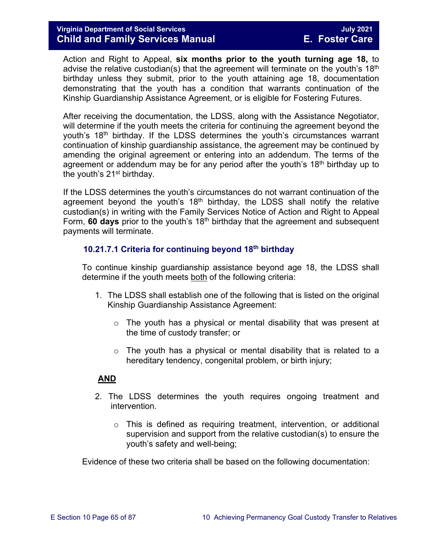Action and Right to Appeal, **six months prior to the youth turning age 18,** to advise the relative custodian(s) that the agreement will terminate on the youth's  $18<sup>th</sup>$ birthday unless they submit, prior to the youth attaining age 18, documentation demonstrating that the youth has a condition that warrants continuation of the Kinship Guardianship Assistance Agreement, or is eligible for Fostering Futures.

After receiving the documentation, the LDSS, along with the Assistance Negotiator, will determine if the youth meets the criteria for continuing the agreement beyond the youth's 18<sup>th</sup> birthday. If the LDSS determines the youth's circumstances warrant continuation of kinship guardianship assistance, the agreement may be continued by amending the original agreement or entering into an addendum. The terms of the agreement or addendum may be for any period after the youth's 18<sup>th</sup> birthday up to the youth's 21<sup>st</sup> birthday.

If the LDSS determines the youth's circumstances do not warrant continuation of the agreement beyond the youth's  $18<sup>th</sup>$  birthday, the LDSS shall notify the relative custodian(s) in writing with the Family Services Notice of Action and Right to Appeal Form, **60 days** prior to the youth's 18th birthday that the agreement and subsequent payments will terminate.

## **10.21.7.1 Criteria for continuing beyond 18th birthday**

To continue kinship guardianship assistance beyond age 18, the LDSS shall determine if the youth meets both of the following criteria:

- 1. The LDSS shall establish one of the following that is listed on the original Kinship Guardianship Assistance Agreement:
	- o The youth has a physical or mental disability that was present at the time of custody transfer; or
	- $\circ$  The youth has a physical or mental disability that is related to a hereditary tendency, congenital problem, or birth injury;

### **AND**

- 2. The LDSS determines the youth requires ongoing treatment and intervention.
	- $\circ$  This is defined as requiring treatment, intervention, or additional supervision and support from the relative custodian(s) to ensure the youth's safety and well-being;

Evidence of these two criteria shall be based on the following documentation: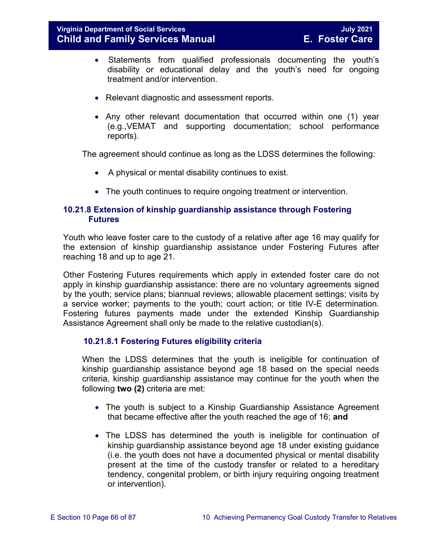- Statements from qualified professionals documenting the youth's disability or educational delay and the youth's need for ongoing treatment and/or intervention.
- Relevant diagnostic and assessment reports.
- Any other relevant documentation that occurred within one (1) year (e.g.,VEMAT and supporting documentation; school performance reports).

The agreement should continue as long as the LDSS determines the following:

- A physical or mental disability continues to exist.
- The youth continues to require ongoing treatment or intervention.

## <span id="page-65-0"></span>**10.21.8 Extension of kinship guardianship assistance through Fostering Futures**

Youth who leave foster care to the custody of a relative after age 16 may qualify for the extension of kinship guardianship assistance under Fostering Futures after reaching 18 and up to age 21.

Other Fostering Futures requirements which apply in extended foster care do not apply in kinship guardianship assistance: there are no voluntary agreements signed by the youth; service plans; biannual reviews; allowable placement settings; visits by a service worker; payments to the youth; court action; or title IV-E determination. Fostering futures payments made under the extended Kinship Guardianship Assistance Agreement shall only be made to the relative custodian(s).

## **10.21.8.1 Fostering Futures eligibility criteria**

When the LDSS determines that the youth is ineligible for continuation of kinship guardianship assistance beyond age 18 based on the special needs criteria, kinship guardianship assistance may continue for the youth when the following **two (2)** criteria are met:

- The youth is subject to a Kinship Guardianship Assistance Agreement that became effective after the youth reached the age of 16; **and**
- The LDSS has determined the youth is ineligible for continuation of kinship guardianship assistance beyond age 18 under existing guidance (i.e. the youth does not have a documented physical or mental disability present at the time of the custody transfer or related to a hereditary tendency, congenital problem, or birth injury requiring ongoing treatment or intervention).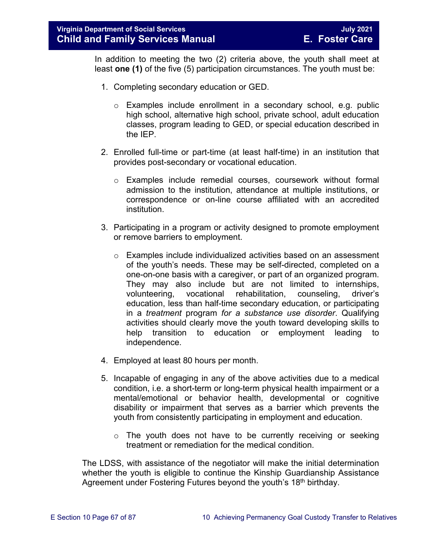In addition to meeting the two (2) criteria above, the youth shall meet at least **one (1)** of the five (5) participation circumstances. The youth must be:

- 1. Completing secondary education or GED.
	- $\circ$  Examples include enrollment in a secondary school, e.g. public high school, alternative high school, private school, adult education classes, program leading to GED, or special education described in the IEP.
- 2. Enrolled full-time or part-time (at least half-time) in an institution that provides post-secondary or vocational education.
	- o Examples include remedial courses, coursework without formal admission to the institution, attendance at multiple institutions, or correspondence or on-line course affiliated with an accredited institution.
- 3. Participating in a program or activity designed to promote employment or remove barriers to employment.
	- o Examples include individualized activities based on an assessment of the youth's needs. These may be self-directed, completed on a one-on-one basis with a caregiver, or part of an organized program. They may also include but are not limited to internships, volunteering, vocational rehabilitation, counseling, driver's education, less than half-time secondary education, or participating in a *treatment* program *for a substance use disorder*. Qualifying activities should clearly move the youth toward developing skills to help transition to education or employment leading to independence.
- 4. Employed at least 80 hours per month.
- 5. Incapable of engaging in any of the above activities due to a medical condition, i.e. a short-term or long-term physical health impairment or a mental/emotional or behavior health, developmental or cognitive disability or impairment that serves as a barrier which prevents the youth from consistently participating in employment and education.
	- $\circ$  The youth does not have to be currently receiving or seeking treatment or remediation for the medical condition.

The LDSS, with assistance of the negotiator will make the initial determination whether the youth is eligible to continue the Kinship Guardianship Assistance Agreement under Fostering Futures beyond the youth's 18<sup>th</sup> birthday.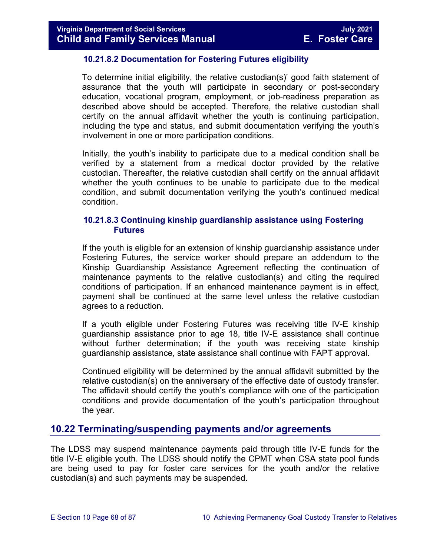### **10.21.8.2 Documentation for Fostering Futures eligibility**

To determine initial eligibility, the relative custodian(s)' good faith statement of assurance that the youth will participate in secondary or post-secondary education, vocational program, employment, or job-readiness preparation as described above should be accepted. Therefore, the relative custodian shall certify on the annual affidavit whether the youth is continuing participation, including the type and status, and submit documentation verifying the youth's involvement in one or more participation conditions.

Initially, the youth's inability to participate due to a medical condition shall be verified by a statement from a medical doctor provided by the relative custodian. Thereafter, the relative custodian shall certify on the annual affidavit whether the youth continues to be unable to participate due to the medical condition, and submit documentation verifying the youth's continued medical condition.

### **10.21.8.3 Continuing kinship guardianship assistance using Fostering Futures**

If the youth is eligible for an extension of kinship guardianship assistance under Fostering Futures, the service worker should prepare an addendum to the Kinship Guardianship Assistance Agreement reflecting the continuation of maintenance payments to the relative custodian(s) and citing the required conditions of participation. If an enhanced maintenance payment is in effect, payment shall be continued at the same level unless the relative custodian agrees to a reduction.

If a youth eligible under Fostering Futures was receiving title IV-E kinship guardianship assistance prior to age 18, title IV-E assistance shall continue without further determination; if the youth was receiving state kinship guardianship assistance, state assistance shall continue with FAPT approval.

Continued eligibility will be determined by the annual affidavit submitted by the relative custodian(s) on the anniversary of the effective date of custody transfer. The affidavit should certify the youth's compliance with one of the participation conditions and provide documentation of the youth's participation throughout the year.

# **10.22 Terminating/suspending payments and/or agreements**

The LDSS may suspend maintenance payments paid through title IV-E funds for the title IV-E eligible youth. The LDSS should notify the CPMT when CSA state pool funds are being used to pay for foster care services for the youth and/or the relative custodian(s) and such payments may be suspended.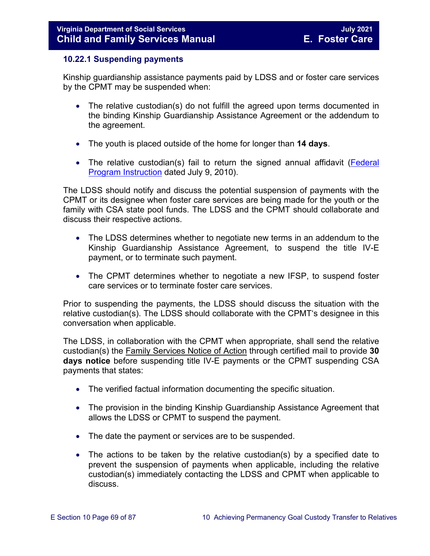### <span id="page-68-0"></span>**10.22.1 Suspending payments**

Kinship guardianship assistance payments paid by LDSS and or foster care services by the CPMT may be suspended when:

- The relative custodian(s) do not fulfill the agreed upon terms documented in the binding Kinship Guardianship Assistance Agreement or the addendum to the agreement.
- The youth is placed outside of the home for longer than **14 days**.
- The relative custodian(s) fail to return the signed annual affidavit (Federal [Program Instruction](http://www.acf.hhs.gov/programs/cb/laws_policies/policy/pi/2010/pi1011.htm#sectd) dated July 9, 2010).

The LDSS should notify and discuss the potential suspension of payments with the CPMT or its designee when foster care services are being made for the youth or the family with CSA state pool funds. The LDSS and the CPMT should collaborate and discuss their respective actions.

- The LDSS determines whether to negotiate new terms in an addendum to the Kinship Guardianship Assistance Agreement, to suspend the title IV-E payment, or to terminate such payment.
- The CPMT determines whether to negotiate a new IFSP, to suspend foster care services or to terminate foster care services.

Prior to suspending the payments, the LDSS should discuss the situation with the relative custodian(s). The LDSS should collaborate with the CPMT's designee in this conversation when applicable.

The LDSS, in collaboration with the CPMT when appropriate, shall send the relative custodian(s) the Family Services Notice of Action through certified mail to provide **30 days notice** before suspending title IV-E payments or the CPMT suspending CSA payments that states:

- The verified factual information documenting the specific situation.
- The provision in the binding Kinship Guardianship Assistance Agreement that allows the LDSS or CPMT to suspend the payment.
- The date the payment or services are to be suspended.
- The actions to be taken by the relative custodian(s) by a specified date to prevent the suspension of payments when applicable, including the relative custodian(s) immediately contacting the LDSS and CPMT when applicable to discuss.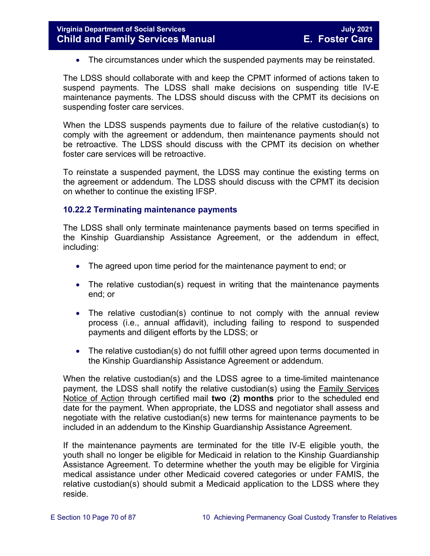• The circumstances under which the suspended payments may be reinstated.

The LDSS should collaborate with and keep the CPMT informed of actions taken to suspend payments. The LDSS shall make decisions on suspending title IV-E maintenance payments. The LDSS should discuss with the CPMT its decisions on suspending foster care services.

When the LDSS suspends payments due to failure of the relative custodian(s) to comply with the agreement or addendum, then maintenance payments should not be retroactive. The LDSS should discuss with the CPMT its decision on whether foster care services will be retroactive.

To reinstate a suspended payment, the LDSS may continue the existing terms on the agreement or addendum. The LDSS should discuss with the CPMT its decision on whether to continue the existing IFSP.

## <span id="page-69-0"></span>**10.22.2 Terminating maintenance payments**

The LDSS shall only terminate maintenance payments based on terms specified in the Kinship Guardianship Assistance Agreement, or the addendum in effect, including:

- The agreed upon time period for the maintenance payment to end; or
- The relative custodian(s) request in writing that the maintenance payments end; or
- The relative custodian(s) continue to not comply with the annual review process (i.e., annual affidavit), including failing to respond to suspended payments and diligent efforts by the LDSS; or
- The relative custodian(s) do not fulfill other agreed upon terms documented in the Kinship Guardianship Assistance Agreement or addendum.

When the relative custodian(s) and the LDSS agree to a time-limited maintenance payment, the LDSS shall notify the relative custodian(s) using the Family Services Notice of Action through certified mail **two** (**2) months** prior to the scheduled end date for the payment. When appropriate, the LDSS and negotiator shall assess and negotiate with the relative custodian(s) new terms for maintenance payments to be included in an addendum to the Kinship Guardianship Assistance Agreement.

If the maintenance payments are terminated for the title IV-E eligible youth, the youth shall no longer be eligible for Medicaid in relation to the Kinship Guardianship Assistance Agreement. To determine whether the youth may be eligible for Virginia medical assistance under other Medicaid covered categories or under FAMIS, the relative custodian(s) should submit a Medicaid application to the LDSS where they reside.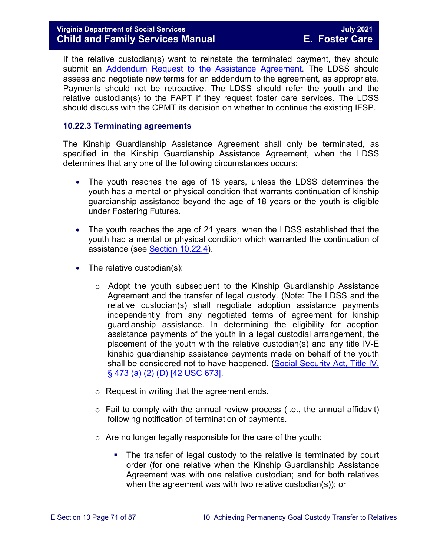## **Virginia Department of Social Services July 2021 Child and Family Services Manual E. Foster Care**

If the relative custodian(s) want to reinstate the terminated payment, they should submit an [Addendum Request to the Assistance](https://fusion.dss.virginia.gov/Portals/%5Bdfs%5D/Files/DFS%20FORMS/Family%20Services-Generic%20Forms/Addendum%20Request%20to%20the%20Assistance%20Agreement.pdf) Agreement. The LDSS should assess and negotiate new terms for an addendum to the agreement, as appropriate. Payments should not be retroactive. The LDSS should refer the youth and the relative custodian(s) to the FAPT if they request foster care services. The LDSS should discuss with the CPMT its decision on whether to continue the existing IFSP.

### <span id="page-70-0"></span>**10.22.3 Terminating agreements**

The Kinship Guardianship Assistance Agreement shall only be terminated, as specified in the Kinship Guardianship Assistance Agreement, when the LDSS determines that any one of the following circumstances occurs:

- The youth reaches the age of 18 years, unless the LDSS determines the youth has a mental or physical condition that warrants continuation of kinship guardianship assistance beyond the age of 18 years or the youth is eligible under Fostering Futures.
- The youth reaches the age of 21 years, when the LDSS established that the youth had a mental or physical condition which warranted the continuation of assistance (see [Section 10.22.4\)](#page-71-0).
- The relative custodian(s):
	- $\circ$  Adopt the youth subsequent to the Kinship Guardianship Assistance Agreement and the transfer of legal custody. (Note: The LDSS and the relative custodian(s) shall negotiate adoption assistance payments independently from any negotiated terms of agreement for kinship guardianship assistance. In determining the eligibility for adoption assistance payments of the youth in a legal custodial arrangement, the placement of the youth with the relative custodian(s) and any title IV-E kinship guardianship assistance payments made on behalf of the youth shall be considered not to have happened. (Social Security Act, Title IV, [§ 473 \(a\) \(2\) \(D\) \[42 USC 673\].](http://www.socialsecurity.gov/OP_Home/ssact/title04/0473.htm)
	- o Request in writing that the agreement ends.
	- $\circ$  Fail to comply with the annual review process (i.e., the annual affidavit) following notification of termination of payments.
	- o Are no longer legally responsible for the care of the youth:
		- The transfer of legal custody to the relative is terminated by court order (for one relative when the Kinship Guardianship Assistance Agreement was with one relative custodian; and for both relatives when the agreement was with two relative custodian(s)); or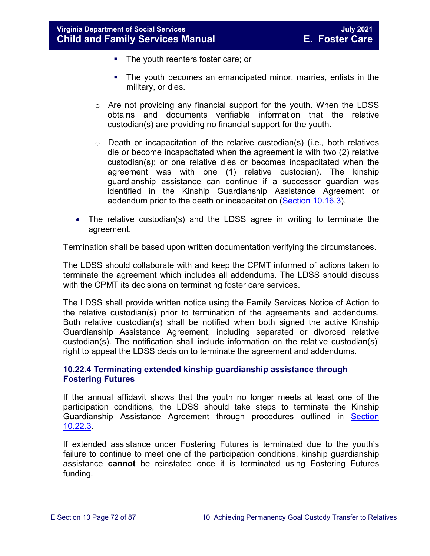- The youth reenters foster care; or
- **The youth becomes an emancipated minor, marries, enlists in the** military, or dies.
- o Are not providing any financial support for the youth. When the LDSS obtains and documents verifiable information that the relative custodian(s) are providing no financial support for the youth.
- $\circ$  Death or incapacitation of the relative custodian(s) (i.e., both relatives die or become incapacitated when the agreement is with two (2) relative custodian(s); or one relative dies or becomes incapacitated when the agreement was with one (1) relative custodian). The kinship guardianship assistance can continue if a successor guardian was identified in the Kinship Guardianship Assistance Agreement or addendum prior to the death or incapacitation [\(Section 10.16.3\)](#page-47-0).
- The relative custodian(s) and the LDSS agree in writing to terminate the agreement.

Termination shall be based upon written documentation verifying the circumstances.

The LDSS should collaborate with and keep the CPMT informed of actions taken to terminate the agreement which includes all addendums. The LDSS should discuss with the CPMT its decisions on terminating foster care services.

The LDSS shall provide written notice using the Family Services Notice of Action to the relative custodian(s) prior to termination of the agreements and addendums. Both relative custodian(s) shall be notified when both signed the active Kinship Guardianship Assistance Agreement, including separated or divorced relative custodian(s). The notification shall include information on the relative custodian(s)' right to appeal the LDSS decision to terminate the agreement and addendums.

## <span id="page-71-0"></span>**10.22.4 Terminating extended kinship guardianship assistance through Fostering Futures**

If the annual affidavit shows that the youth no longer meets at least one of the participation conditions, the LDSS should take steps to terminate the Kinship Guardianship Assistance Agreement through procedures outlined in [Section](#page-70-0)  [10.22.3.](#page-70-0)

If extended assistance under Fostering Futures is terminated due to the youth's failure to continue to meet one of the participation conditions, kinship guardianship assistance **cannot** be reinstated once it is terminated using Fostering Futures funding.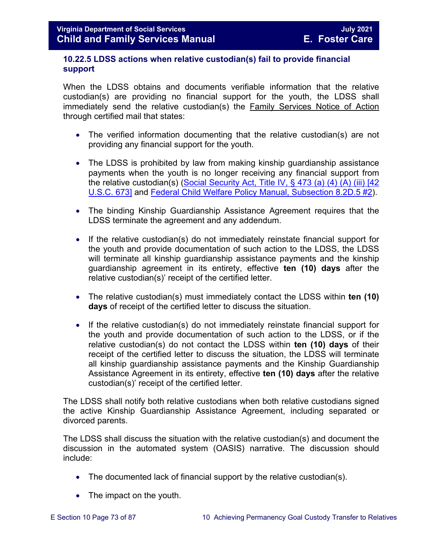#### **10.22.5 LDSS actions when relative custodian(s) fail to provide financial support**

When the LDSS obtains and documents verifiable information that the relative custodian(s) are providing no financial support for the youth, the LDSS shall immediately send the relative custodian(s) the Family Services Notice of Action through certified mail that states:

- The verified information documenting that the relative custodian(s) are not providing any financial support for the youth.
- The LDSS is prohibited by law from making kinship guardianship assistance payments when the youth is no longer receiving any financial support from the relative custodian(s) (Social Security Act, Title IV,  $\S$  473 (a) (4) (A) (iii) [42 [U.S.C. 673\]](https://www.ssa.gov/OP_Home/ssact/title04/0473.htm) and [Federal Child Welfare Policy Manual, Subsection 8.2D.5 #2\)](https://www.acf.hhs.gov/cwpm/public_html/programs/cb/laws_policies/laws/cwpm/policy_dsp.jsp?citID=82).
- The binding Kinship Guardianship Assistance Agreement requires that the LDSS terminate the agreement and any addendum.
- If the relative custodian(s) do not immediately reinstate financial support for the youth and provide documentation of such action to the LDSS, the LDSS will terminate all kinship guardianship assistance payments and the kinship guardianship agreement in its entirety, effective **ten (10) days** after the relative custodian(s)' receipt of the certified letter.
- The relative custodian(s) must immediately contact the LDSS within **ten (10) days** of receipt of the certified letter to discuss the situation.
- If the relative custodian(s) do not immediately reinstate financial support for the youth and provide documentation of such action to the LDSS, or if the relative custodian(s) do not contact the LDSS within **ten (10) days** of their receipt of the certified letter to discuss the situation, the LDSS will terminate all kinship guardianship assistance payments and the Kinship Guardianship Assistance Agreement in its entirety, effective **ten (10) days** after the relative custodian(s)' receipt of the certified letter.

The LDSS shall notify both relative custodians when both relative custodians signed the active Kinship Guardianship Assistance Agreement, including separated or divorced parents.

The LDSS shall discuss the situation with the relative custodian(s) and document the discussion in the automated system (OASIS) narrative. The discussion should include:

- The documented lack of financial support by the relative custodian(s).
- The impact on the youth.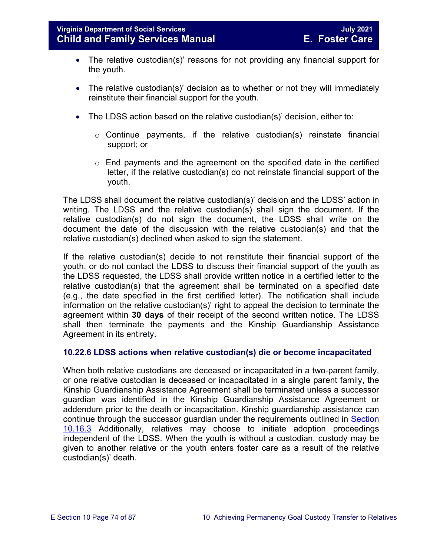- The relative custodian(s)' reasons for not providing any financial support for the youth.
- The relative custodian(s)' decision as to whether or not they will immediately reinstitute their financial support for the youth.
- The LDSS action based on the relative custodian(s)' decision, either to:
	- $\circ$  Continue payments, if the relative custodian(s) reinstate financial support; or
	- o End payments and the agreement on the specified date in the certified letter, if the relative custodian(s) do not reinstate financial support of the youth.

The LDSS shall document the relative custodian(s)' decision and the LDSS' action in writing. The LDSS and the relative custodian(s) shall sign the document. If the relative custodian(s) do not sign the document, the LDSS shall write on the document the date of the discussion with the relative custodian(s) and that the relative custodian(s) declined when asked to sign the statement.

If the relative custodian(s) decide to not reinstitute their financial support of the youth, or do not contact the LDSS to discuss their financial support of the youth as the LDSS requested, the LDSS shall provide written notice in a certified letter to the relative custodian(s) that the agreement shall be terminated on a specified date (e.g., the date specified in the first certified letter). The notification shall include information on the relative custodian(s)' right to appeal the decision to terminate the agreement within **30 days** of their receipt of the second written notice. The LDSS shall then terminate the payments and the Kinship Guardianship Assistance Agreement in its entirety.

### **10.22.6 LDSS actions when relative custodian(s) die or become incapacitated**

When both relative custodians are deceased or incapacitated in a two-parent family, or one relative custodian is deceased or incapacitated in a single parent family, the Kinship Guardianship Assistance Agreement shall be terminated unless a successor guardian was identified in the Kinship Guardianship Assistance Agreement or addendum prior to the death or incapacitation. Kinship guardianship assistance can continue through the successor guardian under the requirements outlined in [Section](#page-47-0)  [10.16.3](#page-47-0) Additionally, relatives may choose to initiate adoption proceedings independent of the LDSS. When the youth is without a custodian, custody may be given to another relative or the youth enters foster care as a result of the relative custodian(s)' death.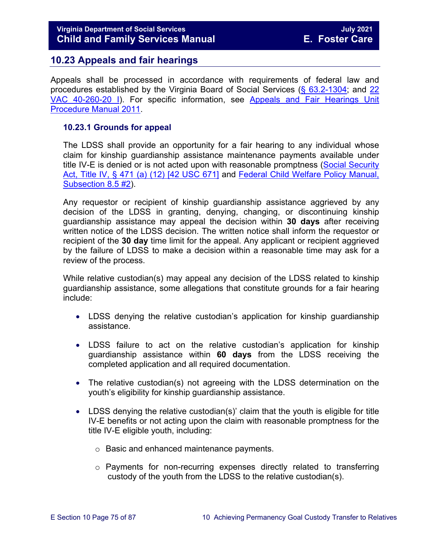# **10.23 Appeals and fair hearings**

Appeals shall be processed in accordance with requirements of federal law and procedures established by the Virginia Board of Social Services [\(§ 63.2-1304;](http://leg1.state.va.us/cgi-bin/legp504.exe?000+cod+63.2-1304) and [22](http://leg1.state.va.us/cgi-bin/legp504.exe?000+reg+22VAC40-260-20)  [VAC 40-260-20 I\)](http://leg1.state.va.us/cgi-bin/legp504.exe?000+reg+22VAC40-260-20). For specific information, see [Appeals and Fair Hearings Unit](https://fusion.dss.virginia.gov/Portals/%5BAC%5D/Files/Appeals%2C%20Fair%20Hearings%20and%20Civil%20Rights/AFH_Procedure_Manual.pdf)  [Procedure Manual 2011.](https://fusion.dss.virginia.gov/Portals/%5BAC%5D/Files/Appeals%2C%20Fair%20Hearings%20and%20Civil%20Rights/AFH_Procedure_Manual.pdf)

#### **10.23.1 Grounds for appeal**

The LDSS shall provide an opportunity for a fair hearing to any individual whose claim for kinship guardianship assistance maintenance payments available under title IV-E is denied or is not acted upon with reasonable promptness [\(Social Security](http://www.ssa.gov/OP_Home/ssact/title04/0471.htm)  [Act, Title IV, § 471 \(a\) \(12\) \[42 USC 671\]](http://www.ssa.gov/OP_Home/ssact/title04/0471.htm) and [Federal Child Welfare Policy Manual,](http://www.acf.hhs.gov/cwpm/programs/cb/laws_policies/laws/cwpm/policy_dsp.jsp?citID=370#2102)  [Subsection 8.5 #2\)](http://www.acf.hhs.gov/cwpm/programs/cb/laws_policies/laws/cwpm/policy_dsp.jsp?citID=370#2102).

Any requestor or recipient of kinship guardianship assistance aggrieved by any decision of the LDSS in granting, denying, changing, or discontinuing kinship guardianship assistance may appeal the decision within **30 days** after receiving written notice of the LDSS decision. The written notice shall inform the requestor or recipient of the **30 day** time limit for the appeal. Any applicant or recipient aggrieved by the failure of LDSS to make a decision within a reasonable time may ask for a review of the process.

While relative custodian(s) may appeal any decision of the LDSS related to kinship guardianship assistance, some allegations that constitute grounds for a fair hearing include:

- LDSS denying the relative custodian's application for kinship guardianship assistance.
- LDSS failure to act on the relative custodian's application for kinship guardianship assistance within **60 days** from the LDSS receiving the completed application and all required documentation.
- The relative custodian(s) not agreeing with the LDSS determination on the youth's eligibility for kinship guardianship assistance.
- LDSS denying the relative custodian(s)' claim that the youth is eligible for title IV-E benefits or not acting upon the claim with reasonable promptness for the title IV-E eligible youth, including:
	- o Basic and enhanced maintenance payments.
	- o Payments for non-recurring expenses directly related to transferring custody of the youth from the LDSS to the relative custodian(s).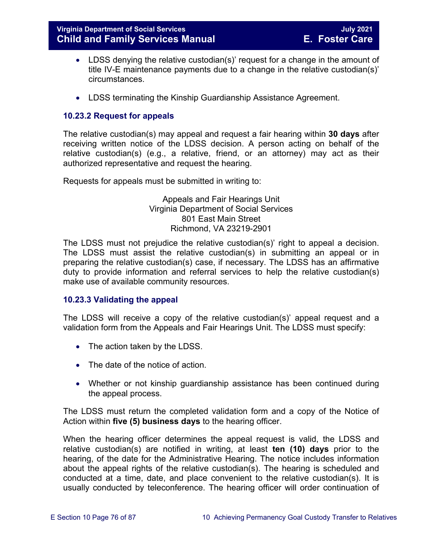- LDSS denying the relative custodian(s)' request for a change in the amount of title IV-E maintenance payments due to a change in the relative custodian(s)' circumstances.
- LDSS terminating the Kinship Guardianship Assistance Agreement.

## **10.23.2 Request for appeals**

The relative custodian(s) may appeal and request a fair hearing within **30 days** after receiving written notice of the LDSS decision. A person acting on behalf of the relative custodian(s) (e.g., a relative, friend, or an attorney) may act as their authorized representative and request the hearing.

Requests for appeals must be submitted in writing to:

Appeals and Fair Hearings Unit Virginia Department of Social Services 801 East Main Street Richmond, VA 23219-2901

The LDSS must not prejudice the relative custodian(s)' right to appeal a decision. The LDSS must assist the relative custodian(s) in submitting an appeal or in preparing the relative custodian(s) case, if necessary. The LDSS has an affirmative duty to provide information and referral services to help the relative custodian(s) make use of available community resources.

### **10.23.3 Validating the appeal**

The LDSS will receive a copy of the relative custodian(s)' appeal request and a validation form from the Appeals and Fair Hearings Unit. The LDSS must specify:

- The action taken by the LDSS.
- The date of the notice of action.
- Whether or not kinship guardianship assistance has been continued during the appeal process.

The LDSS must return the completed validation form and a copy of the Notice of Action within **five (5) business days** to the hearing officer.

When the hearing officer determines the appeal request is valid, the LDSS and relative custodian(s) are notified in writing, at least **ten (10) days** prior to the hearing, of the date for the Administrative Hearing. The notice includes information about the appeal rights of the relative custodian(s). The hearing is scheduled and conducted at a time, date, and place convenient to the relative custodian(s). It is usually conducted by teleconference. The hearing officer will order continuation of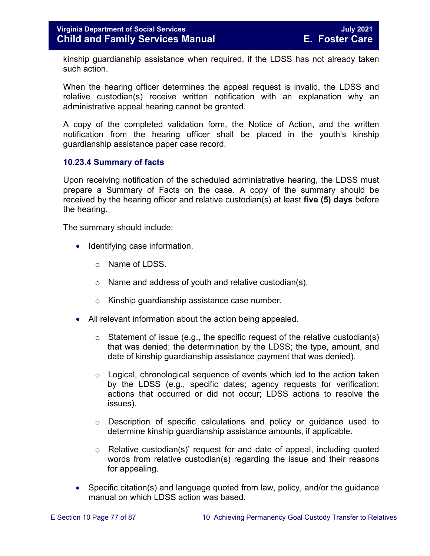kinship guardianship assistance when required, if the LDSS has not already taken such action.

When the hearing officer determines the appeal request is invalid, the LDSS and relative custodian(s) receive written notification with an explanation why an administrative appeal hearing cannot be granted.

A copy of the completed validation form, the Notice of Action, and the written notification from the hearing officer shall be placed in the youth's kinship guardianship assistance paper case record.

### **10.23.4 Summary of facts**

Upon receiving notification of the scheduled administrative hearing, the LDSS must prepare a Summary of Facts on the case. A copy of the summary should be received by the hearing officer and relative custodian(s) at least **five (5) days** before the hearing.

The summary should include:

- Identifying case information.
	- o Name of LDSS.
	- o Name and address of youth and relative custodian(s).
	- o Kinship guardianship assistance case number.
- All relevant information about the action being appealed.
	- $\circ$  Statement of issue (e.g., the specific request of the relative custodian(s) that was denied; the determination by the LDSS; the type, amount, and date of kinship guardianship assistance payment that was denied).
	- o Logical, chronological sequence of events which led to the action taken by the LDSS (e.g., specific dates; agency requests for verification; actions that occurred or did not occur; LDSS actions to resolve the issues).
	- o Description of specific calculations and policy or guidance used to determine kinship guardianship assistance amounts, if applicable.
	- $\circ$  Relative custodian(s)' request for and date of appeal, including quoted words from relative custodian(s) regarding the issue and their reasons for appealing.
- Specific citation(s) and language quoted from law, policy, and/or the guidance manual on which LDSS action was based.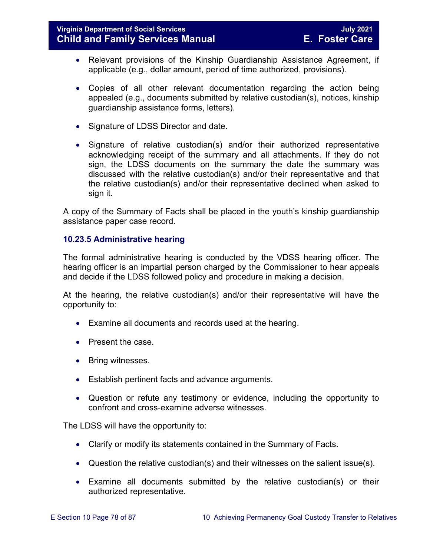- Relevant provisions of the Kinship Guardianship Assistance Agreement, if applicable (e.g., dollar amount, period of time authorized, provisions).
- Copies of all other relevant documentation regarding the action being appealed (e.g., documents submitted by relative custodian(s), notices, kinship guardianship assistance forms, letters).
- Signature of LDSS Director and date.
- Signature of relative custodian(s) and/or their authorized representative acknowledging receipt of the summary and all attachments. If they do not sign, the LDSS documents on the summary the date the summary was discussed with the relative custodian(s) and/or their representative and that the relative custodian(s) and/or their representative declined when asked to sign it.

A copy of the Summary of Facts shall be placed in the youth's kinship guardianship assistance paper case record.

### **10.23.5 Administrative hearing**

The formal administrative hearing is conducted by the VDSS hearing officer. The hearing officer is an impartial person charged by the Commissioner to hear appeals and decide if the LDSS followed policy and procedure in making a decision.

At the hearing, the relative custodian(s) and/or their representative will have the opportunity to:

- Examine all documents and records used at the hearing.
- Present the case.
- Bring witnesses.
- Establish pertinent facts and advance arguments.
- Question or refute any testimony or evidence, including the opportunity to confront and cross-examine adverse witnesses.

The LDSS will have the opportunity to:

- Clarify or modify its statements contained in the Summary of Facts.
- Question the relative custodian(s) and their witnesses on the salient issue(s).
- Examine all documents submitted by the relative custodian(s) or their authorized representative.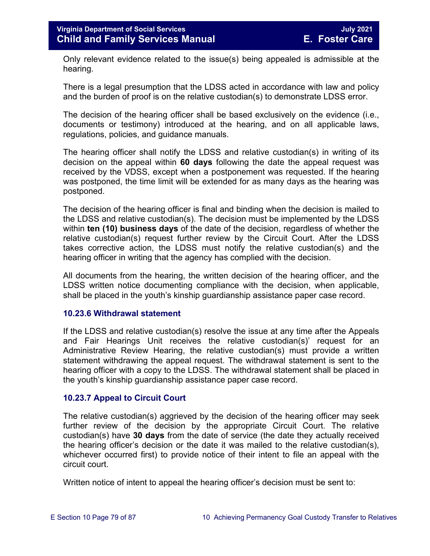Only relevant evidence related to the issue(s) being appealed is admissible at the hearing.

There is a legal presumption that the LDSS acted in accordance with law and policy and the burden of proof is on the relative custodian(s) to demonstrate LDSS error.

The decision of the hearing officer shall be based exclusively on the evidence (i.e., documents or testimony) introduced at the hearing, and on all applicable laws, regulations, policies, and guidance manuals.

The hearing officer shall notify the LDSS and relative custodian(s) in writing of its decision on the appeal within **60 days** following the date the appeal request was received by the VDSS, except when a postponement was requested. If the hearing was postponed, the time limit will be extended for as many days as the hearing was postponed.

The decision of the hearing officer is final and binding when the decision is mailed to the LDSS and relative custodian(s). The decision must be implemented by the LDSS within **ten (10) business days** of the date of the decision, regardless of whether the relative custodian(s) request further review by the Circuit Court. After the LDSS takes corrective action, the LDSS must notify the relative custodian(s) and the hearing officer in writing that the agency has complied with the decision.

All documents from the hearing, the written decision of the hearing officer, and the LDSS written notice documenting compliance with the decision, when applicable, shall be placed in the youth's kinship guardianship assistance paper case record.

#### **10.23.6 Withdrawal statement**

If the LDSS and relative custodian(s) resolve the issue at any time after the Appeals and Fair Hearings Unit receives the relative custodian(s)' request for an Administrative Review Hearing, the relative custodian(s) must provide a written statement withdrawing the appeal request. The withdrawal statement is sent to the hearing officer with a copy to the LDSS. The withdrawal statement shall be placed in the youth's kinship guardianship assistance paper case record.

#### **10.23.7 Appeal to Circuit Court**

The relative custodian(s) aggrieved by the decision of the hearing officer may seek further review of the decision by the appropriate Circuit Court. The relative custodian(s) have **30 days** from the date of service (the date they actually received the hearing officer's decision or the date it was mailed to the relative custodian(s), whichever occurred first) to provide notice of their intent to file an appeal with the circuit court.

Written notice of intent to appeal the hearing officer's decision must be sent to: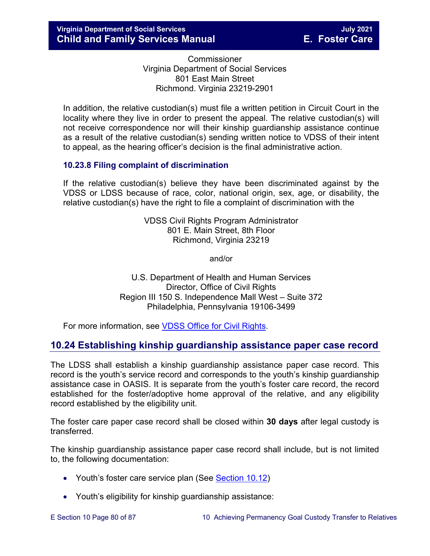Commissioner Virginia Department of Social Services 801 East Main Street Richmond. Virginia 23219-2901

In addition, the relative custodian(s) must file a written petition in Circuit Court in the locality where they live in order to present the appeal. The relative custodian(s) will not receive correspondence nor will their kinship guardianship assistance continue as a result of the relative custodian(s) sending written notice to VDSS of their intent to appeal, as the hearing officer's decision is the final administrative action.

### **10.23.8 Filing complaint of discrimination**

If the relative custodian(s) believe they have been discriminated against by the VDSS or LDSS because of race, color, national origin, sex, age, or disability, the relative custodian(s) have the right to file a complaint of discrimination with the

> VDSS Civil Rights Program Administrator 801 E. Main Street, 8th Floor Richmond, Virginia 23219

> > and/or

U.S. Department of Health and Human Services Director, Office of Civil Rights Region III 150 S. Independence Mall West – Suite 372 Philadelphia, Pennsylvania 19106-3499

For more information, see [VDSS Office for Civil Rights.](http://www.dss.virginia.gov/about/civil_rights/index.cgi)

# **10.24 Establishing kinship guardianship assistance paper case record**

The LDSS shall establish a kinship guardianship assistance paper case record. This record is the youth's service record and corresponds to the youth's kinship guardianship assistance case in OASIS. It is separate from the youth's foster care record, the record established for the foster/adoptive home approval of the relative, and any eligibility record established by the eligibility unit.

The foster care paper case record shall be closed within **30 days** after legal custody is transferred.

The kinship guardianship assistance paper case record shall include, but is not limited to, the following documentation:

- Youth's foster care service plan (See [Section 10.12\)](#page-23-0)
- Youth's eligibility for kinship guardianship assistance: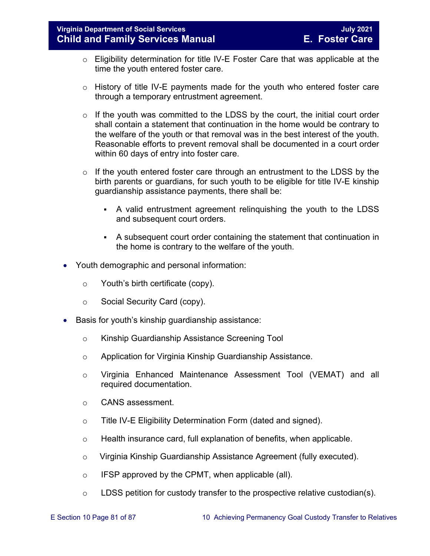- $\circ$  Eligibility determination for title IV-E Foster Care that was applicable at the time the youth entered foster care.
- o History of title IV-E payments made for the youth who entered foster care through a temporary entrustment agreement.
- $\circ$  If the youth was committed to the LDSS by the court, the initial court order shall contain a statement that continuation in the home would be contrary to the welfare of the youth or that removal was in the best interest of the youth. Reasonable efforts to prevent removal shall be documented in a court order within 60 days of entry into foster care.
- $\circ$  If the youth entered foster care through an entrustment to the LDSS by the birth parents or guardians, for such youth to be eligible for title IV-E kinship guardianship assistance payments, there shall be:
	- A valid entrustment agreement relinquishing the youth to the LDSS and subsequent court orders.
	- A subsequent court order containing the statement that continuation in the home is contrary to the welfare of the youth.
- Youth demographic and personal information:
	- o Youth's birth certificate (copy).
	- o Social Security Card (copy).
- Basis for youth's kinship guardianship assistance:
	- o Kinship Guardianship Assistance Screening Tool
	- o Application for Virginia Kinship Guardianship Assistance.
	- o Virginia Enhanced Maintenance Assessment Tool (VEMAT) and all required documentation.
	- o CANS assessment.
	- o Title IV-E Eligibility Determination Form (dated and signed).
	- $\circ$  Health insurance card, full explanation of benefits, when applicable.
	- o Virginia Kinship Guardianship Assistance Agreement (fully executed).
	- o IFSP approved by the CPMT, when applicable (all).
	- o LDSS petition for custody transfer to the prospective relative custodian(s).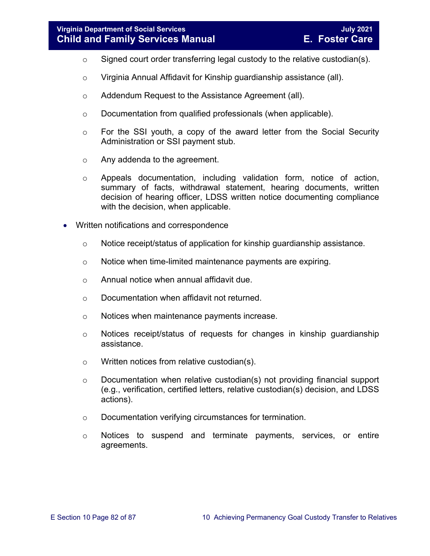- o Signed court order transferring legal custody to the relative custodian(s).
- o Virginia Annual Affidavit for Kinship guardianship assistance (all).
- o Addendum Request to the Assistance Agreement (all).
- o Documentation from qualified professionals (when applicable).
- o For the SSI youth, a copy of the award letter from the Social Security Administration or SSI payment stub.
- o Any addenda to the agreement.
- o Appeals documentation, including validation form, notice of action, summary of facts, withdrawal statement, hearing documents, written decision of hearing officer, LDSS written notice documenting compliance with the decision, when applicable.
- Written notifications and correspondence
	- o Notice receipt/status of application for kinship guardianship assistance.
	- o Notice when time-limited maintenance payments are expiring.
	- o Annual notice when annual affidavit due.
	- o Documentation when affidavit not returned.
	- o Notices when maintenance payments increase.
	- $\circ$  Notices receipt/status of requests for changes in kinship quardianship assistance.
	- o Written notices from relative custodian(s).
	- $\circ$  Documentation when relative custodian(s) not providing financial support (e.g., verification, certified letters, relative custodian(s) decision, and LDSS actions).
	- o Documentation verifying circumstances for termination.
	- o Notices to suspend and terminate payments, services, or entire agreements.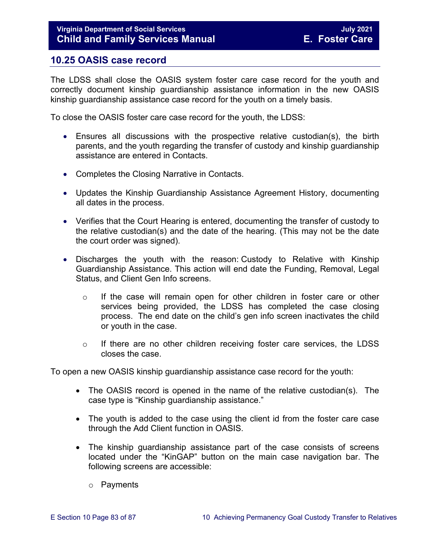# **10.25 OASIS case record**

The LDSS shall close the OASIS system foster care case record for the youth and correctly document kinship guardianship assistance information in the new OASIS kinship guardianship assistance case record for the youth on a timely basis.

To close the OASIS foster care case record for the youth, the LDSS:

- Ensures all discussions with the prospective relative custodian(s), the birth parents, and the youth regarding the transfer of custody and kinship guardianship assistance are entered in Contacts.
- Completes the Closing Narrative in Contacts.
- Updates the Kinship Guardianship Assistance Agreement History, documenting all dates in the process.
- Verifies that the Court Hearing is entered, documenting the transfer of custody to the relative custodian(s) and the date of the hearing. (This may not be the date the court order was signed).
- Discharges the youth with the reason: Custody to Relative with Kinship Guardianship Assistance. This action will end date the Funding, Removal, Legal Status, and Client Gen Info screens.
	- o If the case will remain open for other children in foster care or other services being provided, the LDSS has completed the case closing process. The end date on the child's gen info screen inactivates the child or youth in the case.
	- o If there are no other children receiving foster care services, the LDSS closes the case.

To open a new OASIS kinship guardianship assistance case record for the youth:

- The OASIS record is opened in the name of the relative custodian(s). The case type is "Kinship guardianship assistance."
- The youth is added to the case using the client id from the foster care case through the Add Client function in OASIS.
- The kinship guardianship assistance part of the case consists of screens located under the "KinGAP" button on the main case navigation bar. The following screens are accessible:
	- o Payments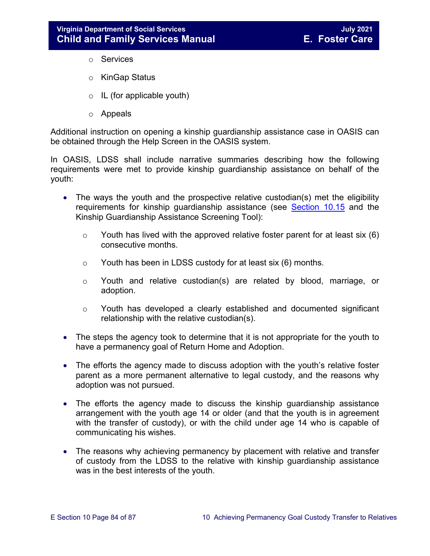- o Services
- o KinGap Status
- o IL (for applicable youth)
- o Appeals

Additional instruction on opening a kinship guardianship assistance case in OASIS can be obtained through the Help Screen in the OASIS system.

In OASIS, LDSS shall include narrative summaries describing how the following requirements were met to provide kinship guardianship assistance on behalf of the youth:

- The ways the youth and the prospective relative custodian(s) met the eligibility requirements for kinship guardianship assistance (see **Section 10.15** and the Kinship Guardianship Assistance Screening Tool):
	- $\circ$  Youth has lived with the approved relative foster parent for at least six (6) consecutive months.
	- $\circ$  Youth has been in LDSS custody for at least six (6) months.
	- o Youth and relative custodian(s) are related by blood, marriage, or adoption.
	- o Youth has developed a clearly established and documented significant relationship with the relative custodian(s).
- The steps the agency took to determine that it is not appropriate for the youth to have a permanency goal of Return Home and Adoption.
- The efforts the agency made to discuss adoption with the youth's relative foster parent as a more permanent alternative to legal custody, and the reasons why adoption was not pursued.
- The efforts the agency made to discuss the kinship guardianship assistance arrangement with the youth age 14 or older (and that the youth is in agreement with the transfer of custody), or with the child under age 14 who is capable of communicating his wishes.
- The reasons why achieving permanency by placement with relative and transfer of custody from the LDSS to the relative with kinship guardianship assistance was in the best interests of the youth.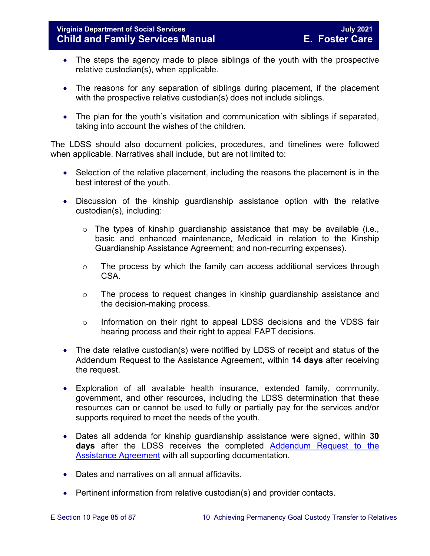- The steps the agency made to place siblings of the youth with the prospective relative custodian(s), when applicable.
- The reasons for any separation of siblings during placement, if the placement with the prospective relative custodian(s) does not include siblings.
- The plan for the youth's visitation and communication with siblings if separated, taking into account the wishes of the children.

The LDSS should also document policies, procedures, and timelines were followed when applicable. Narratives shall include, but are not limited to:

- Selection of the relative placement, including the reasons the placement is in the best interest of the youth.
- Discussion of the kinship guardianship assistance option with the relative custodian(s), including:
	- $\circ$  The types of kinship quardianship assistance that may be available (i.e., basic and enhanced maintenance, Medicaid in relation to the Kinship Guardianship Assistance Agreement; and non-recurring expenses).
	- o The process by which the family can access additional services through CSA.
	- o The process to request changes in kinship guardianship assistance and the decision-making process.
	- o Information on their right to appeal LDSS decisions and the VDSS fair hearing process and their right to appeal FAPT decisions.
- The date relative custodian(s) were notified by LDSS of receipt and status of the Addendum Request to the Assistance Agreement, within **14 days** after receiving the request.
- Exploration of all available health insurance, extended family, community, government, and other resources, including the LDSS determination that these resources can or cannot be used to fully or partially pay for the services and/or supports required to meet the needs of the youth.
- Dates all addenda for kinship guardianship assistance were signed, within **30 days** after the LDSS receives the completed [Addendum](https://fusion.dss.virginia.gov/Portals/%5Bdfs%5D/Files/DFS%20FORMS/Family%20Services-Generic%20Forms/Addendum%20Request%20to%20the%20Assistance%20Agreement.pdf) Request to the Assistance Agreement with all supporting documentation.
- Dates and narratives on all annual affidavits.
- Pertinent information from relative custodian(s) and provider contacts.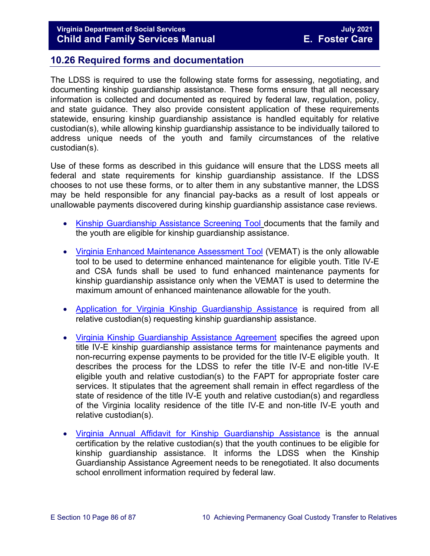## **10.26 Required forms and documentation**

The LDSS is required to use the following state forms for assessing, negotiating, and documenting kinship guardianship assistance. These forms ensure that all necessary information is collected and documented as required by federal law, regulation, policy, and state guidance. They also provide consistent application of these requirements statewide, ensuring kinship guardianship assistance is handled equitably for relative custodian(s), while allowing kinship guardianship assistance to be individually tailored to address unique needs of the youth and family circumstances of the relative custodian(s).

Use of these forms as described in this guidance will ensure that the LDSS meets all federal and state requirements for kinship guardianship assistance. If the LDSS chooses to not use these forms, or to alter them in any substantive manner, the LDSS may be held responsible for any financial pay-backs as a result of lost appeals or unallowable payments discovered during kinship guardianship assistance case reviews.

- [Kinship Guardianship Assistance Screening Tool](https://fusion.dss.virginia.gov/Portals/%5Bdfs%5D/Files/DFS%20FORMS/Foster%20Care%20Forms/Kinship%20Guardianship%20Assistance%20Screening%20Tool.pdf) documents that the family and the youth are eligible for kinship guardianship assistance.
- [Virginia Enhanced Maintenance Assessment Tool](https://fusion.dss.virginia.gov/dis/IT-Services/Applications/VEMAT) (VEMAT) is the only allowable tool to be used to determine enhanced maintenance for eligible youth. Title IV-E and CSA funds shall be used to fund enhanced maintenance payments for kinship guardianship assistance only when the VEMAT is used to determine the maximum amount of enhanced maintenance allowable for the youth.
- [Application for Virginia Kinship Guardianship Assistance](http://www.dss.virginia.gov/family/fc/forms.cgi) is required from all relative custodian(s) requesting kinship guardianship assistance.
- [Virginia Kinship Guardianship Assistance Agreement](https://fusion.dss.virginia.gov/Portals/%5Bdfs%5D/Files/DFS%20FORMS/Foster%20Care%20Forms/Virginia%20Kinship%20Guardianship%20%28KinGAP%29%20Agreement.docxhttp:/www.dss.virginia.gov/family/fc/forms.cgi) specifies the agreed upon title IV-E kinship guardianship assistance terms for maintenance payments and non-recurring expense payments to be provided for the title IV-E eligible youth. It describes the process for the LDSS to refer the title IV-E and non-title IV-E eligible youth and relative custodian(s) to the FAPT for appropriate foster care services. It stipulates that the agreement shall remain in effect regardless of the state of residence of the title IV-E youth and relative custodian(s) and regardless of the Virginia locality residence of the title IV-E and non-title IV-E youth and relative custodian(s).
- [Virginia Annual Affidavit for Kinship Guardianship Assistance](https://fusion.dss.virginia.gov/Portals/%5BDIS%5D/Files/032-04-0048-01-eng.doc) is the annual [certification by the relative custodian\(s\)](https://fusion.dss.virginia.gov/Portals/%5BDIS%5D/Files/032-04-0048-01-eng.doc) that the youth continues to be eligible for [kinship guardianship assistance. It informs the LDSS when the Kinship](https://fusion.dss.virginia.gov/Portals/%5BDIS%5D/Files/032-04-0048-01-eng.doc)  Guardianship Assistance Agreement [needs to be renegotiated. It also documents](https://fusion.dss.virginia.gov/Portals/%5BDIS%5D/Files/032-04-0048-01-eng.doc)  [school enrollment information required by federal law.](https://fusion.dss.virginia.gov/Portals/%5BDIS%5D/Files/032-04-0048-01-eng.doc)